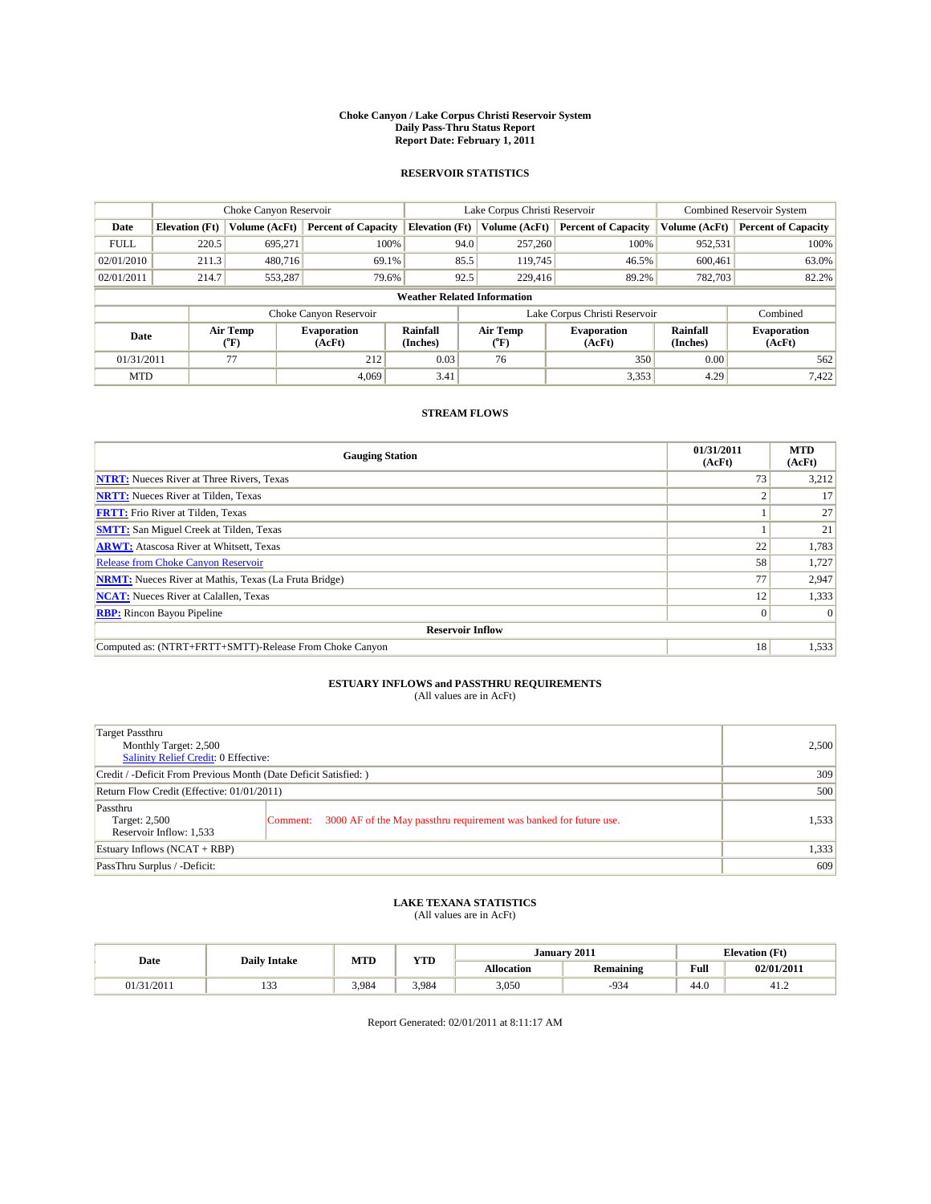#### **Choke Canyon / Lake Corpus Christi Reservoir System Daily Pass-Thru Status Report Report Date: February 1, 2011**

#### **RESERVOIR STATISTICS**

|             | Choke Canyon Reservoir             |                  |                              |                             | Lake Corpus Christi Reservoir | <b>Combined Reservoir System</b> |                      |                              |  |  |
|-------------|------------------------------------|------------------|------------------------------|-----------------------------|-------------------------------|----------------------------------|----------------------|------------------------------|--|--|
| Date        | <b>Elevation</b> (Ft)              | Volume (AcFt)    | <b>Percent of Capacity</b>   | <b>Elevation</b> (Ft)       | Volume (AcFt)                 | <b>Percent of Capacity</b>       | Volume (AcFt)        | <b>Percent of Capacity</b>   |  |  |
| <b>FULL</b> | 220.5                              | 695,271          | 100%                         | 94.0                        | 257,260                       | 100%                             | 952,531              | 100%                         |  |  |
| 02/01/2010  | 211.3                              | 480,716          | 69.1%                        | 85.5                        | 119,745                       | 46.5%                            | 600.461              | 63.0%                        |  |  |
| 02/01/2011  | 214.7                              | 553,287          | 79.6%                        | 92.5                        | 229,416                       | 89.2%                            | 782,703              | 82.2%                        |  |  |
|             | <b>Weather Related Information</b> |                  |                              |                             |                               |                                  |                      |                              |  |  |
|             |                                    |                  | Choke Canyon Reservoir       |                             |                               | Lake Corpus Christi Reservoir    |                      | Combined                     |  |  |
| Date        |                                    | Air Temp<br>(°F) | <b>Evaporation</b><br>(AcFt) | <b>Rainfall</b><br>(Inches) | Air Temp<br>(°F)              | <b>Evaporation</b><br>(AcFt)     | Rainfall<br>(Inches) | <b>Evaporation</b><br>(AcFt) |  |  |
| 01/31/2011  |                                    | 77               | 212                          | 0.03                        | 76                            | 350                              | 0.00                 | 562                          |  |  |
| <b>MTD</b>  |                                    |                  | 4.069                        | 3.41                        |                               | 3,353                            | 4.29                 | 7,422                        |  |  |

### **STREAM FLOWS**

| <b>Gauging Station</b>                                       | 01/31/2011<br>(AcFt) | <b>MTD</b><br>(AcFt) |
|--------------------------------------------------------------|----------------------|----------------------|
| <b>NTRT:</b> Nueces River at Three Rivers, Texas             | 73                   | 3,212                |
| <b>NRTT:</b> Nueces River at Tilden, Texas                   |                      | 17                   |
| <b>FRTT:</b> Frio River at Tilden, Texas                     |                      | 27                   |
| <b>SMTT:</b> San Miguel Creek at Tilden, Texas               |                      | 21                   |
| <b>ARWT:</b> Atascosa River at Whitsett, Texas               | 22                   | 1,783                |
| <b>Release from Choke Canyon Reservoir</b>                   | 58                   | 1,727                |
| <b>NRMT:</b> Nueces River at Mathis, Texas (La Fruta Bridge) | 77                   | 2,947                |
| <b>NCAT:</b> Nueces River at Calallen, Texas                 | 12                   | 1,333                |
| <b>RBP:</b> Rincon Bayou Pipeline                            | $\overline{0}$       | $\Omega$             |
| <b>Reservoir Inflow</b>                                      |                      |                      |
| Computed as: (NTRT+FRTT+SMTT)-Release From Choke Canyon      | 18                   | 1,533                |

# **ESTUARY INFLOWS and PASSTHRU REQUIREMENTS**<br>(All values are in AcFt)

| Target Passthru<br>Monthly Target: 2,500<br>Salinity Relief Credit: 0 Effective: |                                                                                | 2,500 |
|----------------------------------------------------------------------------------|--------------------------------------------------------------------------------|-------|
| Credit / -Deficit From Previous Month (Date Deficit Satisfied: )                 | 309                                                                            |       |
| Return Flow Credit (Effective: 01/01/2011)                                       | 500                                                                            |       |
| Passthru<br>Target: 2,500<br>Reservoir Inflow: 1,533                             | 3000 AF of the May passthru requirement was banked for future use.<br>Comment: | 1,533 |
| Estuary Inflows (NCAT + RBP)                                                     |                                                                                | 1,333 |
| PassThru Surplus / -Deficit:                                                     |                                                                                | 609   |

## **LAKE TEXANA STATISTICS** (All values are in AcFt)

|            | <b>Daily Intake</b> | MTD   | <b>YTD</b> | January 2011      |                  |                                         | <b>Elevation</b> (Ft) |
|------------|---------------------|-------|------------|-------------------|------------------|-----------------------------------------|-----------------------|
| Date       |                     |       |            | <b>Allocation</b> | <b>Remaining</b> | Full<br>the contract of the contract of | 02/01/2011            |
| 01/31/2011 | $\sim$<br>          | 3.984 | 3.984      | 3,050             | $-934$           | 44.U                                    | -41.2                 |

Report Generated: 02/01/2011 at 8:11:17 AM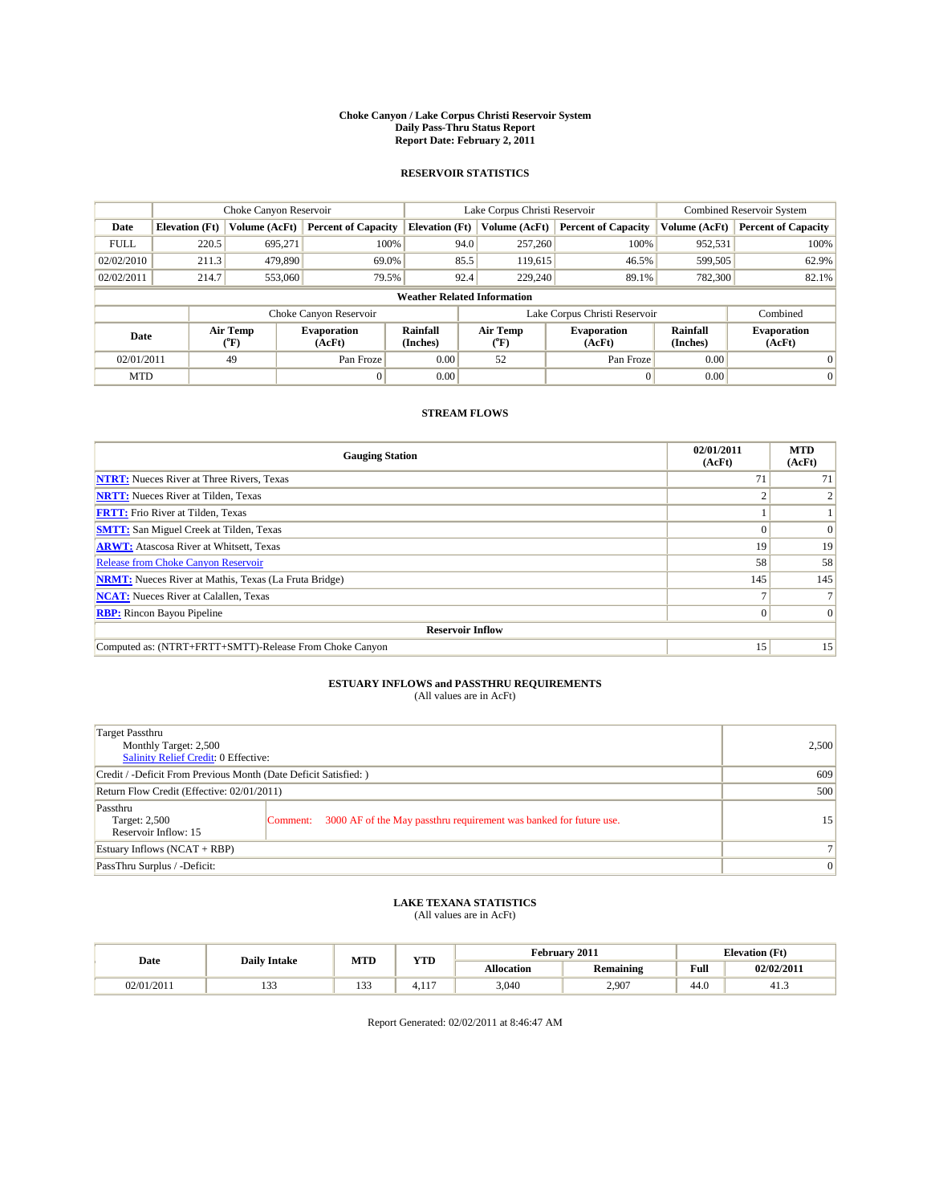#### **Choke Canyon / Lake Corpus Christi Reservoir System Daily Pass-Thru Status Report Report Date: February 2, 2011**

#### **RESERVOIR STATISTICS**

|             | Choke Canyon Reservoir             |                  |                              |                       | Lake Corpus Christi Reservoir | <b>Combined Reservoir System</b> |                      |                              |  |  |
|-------------|------------------------------------|------------------|------------------------------|-----------------------|-------------------------------|----------------------------------|----------------------|------------------------------|--|--|
| Date        | <b>Elevation</b> (Ft)              | Volume (AcFt)    | <b>Percent of Capacity</b>   | <b>Elevation</b> (Ft) | Volume (AcFt)                 | <b>Percent of Capacity</b>       | Volume (AcFt)        | <b>Percent of Capacity</b>   |  |  |
| <b>FULL</b> | 220.5                              | 695.271          | 100%                         | 94.0                  | 257,260                       | 100%                             | 952,531              | 100%                         |  |  |
| 02/02/2010  | 211.3                              | 479.890          | 69.0%                        | 85.5                  | 119,615                       | 46.5%                            | 599,505              | 62.9%                        |  |  |
| 02/02/2011  | 214.7                              | 553,060          | 79.5%                        | 92.4                  | 229,240                       | 89.1%                            | 782,300              | 82.1%                        |  |  |
|             | <b>Weather Related Information</b> |                  |                              |                       |                               |                                  |                      |                              |  |  |
|             |                                    |                  | Choke Canyon Reservoir       |                       |                               | Lake Corpus Christi Reservoir    |                      | Combined                     |  |  |
| Date        |                                    | Air Temp<br>(°F) | <b>Evaporation</b><br>(AcFt) | Rainfall<br>(Inches)  | Air Temp<br>("F)              | <b>Evaporation</b><br>(AcFt)     | Rainfall<br>(Inches) | <b>Evaporation</b><br>(AcFt) |  |  |
| 02/01/2011  |                                    | 49               | Pan Froze                    | 0.00                  | 52                            | Pan Froze                        | 0.00                 | $\Omega$                     |  |  |
| <b>MTD</b>  |                                    |                  | $\Omega$                     | 0.00                  |                               | $\Omega$                         | 0.00                 | $\mathbf{0}$                 |  |  |

### **STREAM FLOWS**

| <b>Gauging Station</b>                                       | 02/01/2011<br>(AcFt) | <b>MTD</b><br>(AcFt) |
|--------------------------------------------------------------|----------------------|----------------------|
| <b>NTRT:</b> Nueces River at Three Rivers, Texas             | 71                   | 71                   |
| <b>NRTT:</b> Nueces River at Tilden, Texas                   |                      |                      |
| <b>FRTT:</b> Frio River at Tilden, Texas                     |                      |                      |
| <b>SMTT:</b> San Miguel Creek at Tilden, Texas               |                      | $\Omega$             |
| <b>ARWT:</b> Atascosa River at Whitsett, Texas               | 19                   | 19                   |
| <b>Release from Choke Canyon Reservoir</b>                   | 58                   | 58                   |
| <b>NRMT:</b> Nueces River at Mathis, Texas (La Fruta Bridge) | 145                  | 145                  |
| <b>NCAT:</b> Nueces River at Calallen, Texas                 |                      |                      |
| <b>RBP:</b> Rincon Bayou Pipeline                            | $\Omega$             | $\Omega$             |
| <b>Reservoir Inflow</b>                                      |                      |                      |
| Computed as: (NTRT+FRTT+SMTT)-Release From Choke Canyon      | 15 <sup>1</sup>      | 15                   |

# **ESTUARY INFLOWS and PASSTHRU REQUIREMENTS**<br>(All values are in AcFt)

| Target Passthru<br>Monthly Target: 2,500<br>Salinity Relief Credit: 0 Effective: |                                                                                | 2,500 |
|----------------------------------------------------------------------------------|--------------------------------------------------------------------------------|-------|
| Credit / -Deficit From Previous Month (Date Deficit Satisfied: )                 | 609                                                                            |       |
| Return Flow Credit (Effective: 02/01/2011)                                       | 500                                                                            |       |
| Passthru<br>Target: 2,500<br>Reservoir Inflow: 15                                | 3000 AF of the May passthru requirement was banked for future use.<br>Comment: | 15    |
| Estuary Inflows (NCAT + RBP)                                                     |                                                                                |       |
| PassThru Surplus / -Deficit:                                                     | $\vert 0 \vert$                                                                |       |

# **LAKE TEXANA STATISTICS** (All values are in AcFt)

| Date       | <b>Daily Intake</b> |                 | <b>YTD</b><br><b>MTD</b> |                   | February 2011    |       | <b>Elevation</b> (Ft) |
|------------|---------------------|-----------------|--------------------------|-------------------|------------------|-------|-----------------------|
|            |                     |                 |                          | <b>Allocation</b> | <b>Remaining</b> | Full  | 02/02/2011            |
| 02/01/2011 | $1 - 1 -$           | $\sim$<br>- 222 | $\sim$<br>T. 1 1         | 3,040             | 2.907            | -44.U | 41.3                  |

Report Generated: 02/02/2011 at 8:46:47 AM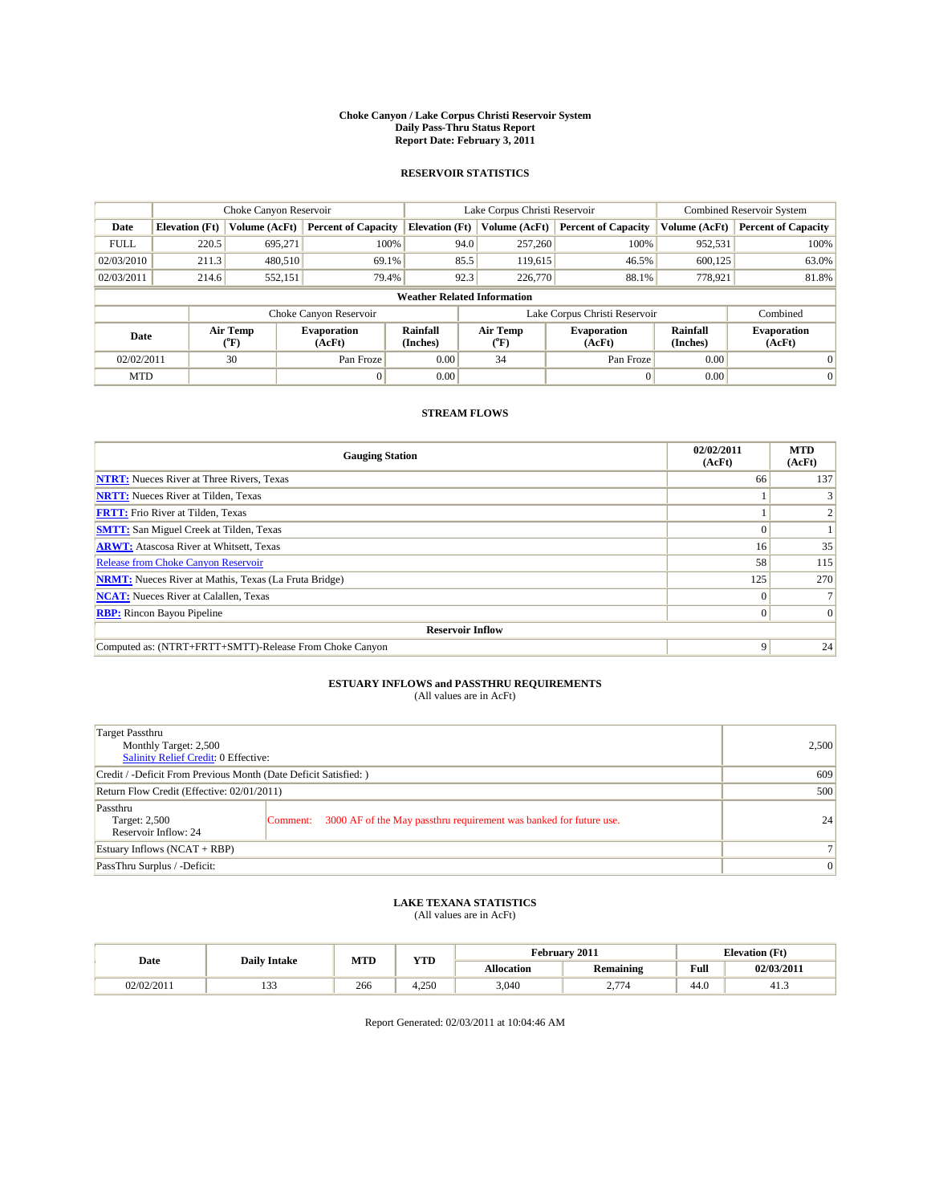#### **Choke Canyon / Lake Corpus Christi Reservoir System Daily Pass-Thru Status Report Report Date: February 3, 2011**

#### **RESERVOIR STATISTICS**

|             | Choke Canyon Reservoir             |                  |                            |                             | Lake Corpus Christi Reservoir | <b>Combined Reservoir System</b> |                      |                              |  |  |
|-------------|------------------------------------|------------------|----------------------------|-----------------------------|-------------------------------|----------------------------------|----------------------|------------------------------|--|--|
| Date        | <b>Elevation</b> (Ft)              | Volume (AcFt)    | <b>Percent of Capacity</b> | <b>Elevation</b> (Ft)       | Volume (AcFt)                 | <b>Percent of Capacity</b>       | Volume (AcFt)        | <b>Percent of Capacity</b>   |  |  |
| <b>FULL</b> | 220.5                              | 695,271          | 100%                       | 94.0                        | 257,260                       | 100%                             | 952,531              | 100%                         |  |  |
| 02/03/2010  | 211.3                              | 480.510          | 69.1%                      | 85.5                        | 119,615                       | 46.5%                            | 600.125              | 63.0%                        |  |  |
| 02/03/2011  | 214.6                              | 552,151          | 79.4%                      | 92.3                        | 226,770                       | 88.1%                            | 778,921              | 81.8%                        |  |  |
|             | <b>Weather Related Information</b> |                  |                            |                             |                               |                                  |                      |                              |  |  |
|             |                                    |                  | Choke Canyon Reservoir     |                             |                               | Lake Corpus Christi Reservoir    |                      | Combined                     |  |  |
| Date        |                                    | Air Temp<br>(°F) | Evaporation<br>(AcFt)      | <b>Rainfall</b><br>(Inches) | Air Temp<br>(°F)              | <b>Evaporation</b><br>(AcFt)     | Rainfall<br>(Inches) | <b>Evaporation</b><br>(AcFt) |  |  |
| 02/02/2011  |                                    | 30               | Pan Froze                  | 0.00                        | 34                            | Pan Froze                        | 0.00                 | 0                            |  |  |
| <b>MTD</b>  |                                    |                  | $\theta$                   | 0.00                        |                               | $\Omega$                         | 0.00                 | $\overline{0}$               |  |  |

### **STREAM FLOWS**

| <b>Gauging Station</b>                                       | 02/02/2011<br>(AcFt) | <b>MTD</b><br>(AcFt) |
|--------------------------------------------------------------|----------------------|----------------------|
| <b>NTRT:</b> Nueces River at Three Rivers, Texas             | 66                   | 137                  |
| <b>NRTT:</b> Nueces River at Tilden, Texas                   |                      |                      |
| <b>FRTT:</b> Frio River at Tilden, Texas                     |                      |                      |
| <b>SMTT:</b> San Miguel Creek at Tilden, Texas               |                      |                      |
| <b>ARWT:</b> Atascosa River at Whitsett, Texas               | 16 <sup>1</sup>      | 35                   |
| Release from Choke Canyon Reservoir                          | 58                   | 115                  |
| <b>NRMT:</b> Nueces River at Mathis, Texas (La Fruta Bridge) | 125                  | 270                  |
| <b>NCAT:</b> Nueces River at Calallen, Texas                 | 0                    |                      |
| <b>RBP:</b> Rincon Bayou Pipeline                            | $\Omega$             | $\Omega$             |
| <b>Reservoir Inflow</b>                                      |                      |                      |
| Computed as: (NTRT+FRTT+SMTT)-Release From Choke Canyon      | 9                    | 24                   |

# **ESTUARY INFLOWS and PASSTHRU REQUIREMENTS**<br>(All values are in AcFt)

| Target Passthru<br>Monthly Target: 2,500<br>Salinity Relief Credit: 0 Effective: |                                                                                | 2,500 |
|----------------------------------------------------------------------------------|--------------------------------------------------------------------------------|-------|
| Credit / -Deficit From Previous Month (Date Deficit Satisfied: )                 | 609                                                                            |       |
| Return Flow Credit (Effective: 02/01/2011)                                       | 500                                                                            |       |
| Passthru<br>Target: 2,500<br>Reservoir Inflow: 24                                | 3000 AF of the May passthru requirement was banked for future use.<br>Comment: | 24    |
| Estuary Inflows (NCAT + RBP)                                                     |                                                                                |       |
| PassThru Surplus / -Deficit:                                                     | $\vert 0 \vert$                                                                |       |

## **LAKE TEXANA STATISTICS** (All values are in AcFt)

|            | <b>Daily Intake</b> | MTD | <b>YTD</b> | February 2011<br><b>Elevation</b> (Ft) |                  |                                         |            |
|------------|---------------------|-----|------------|----------------------------------------|------------------|-----------------------------------------|------------|
| Date       |                     |     |            | <b>Allocation</b>                      | <b>Remaining</b> | Full<br>the contract of the contract of | 02/03/2011 |
| 02/02/2011 | $\sim$<br>.         | 266 | 4.250      | 3,040                                  | 2.774            | 44.U                                    | د.41       |

Report Generated: 02/03/2011 at 10:04:46 AM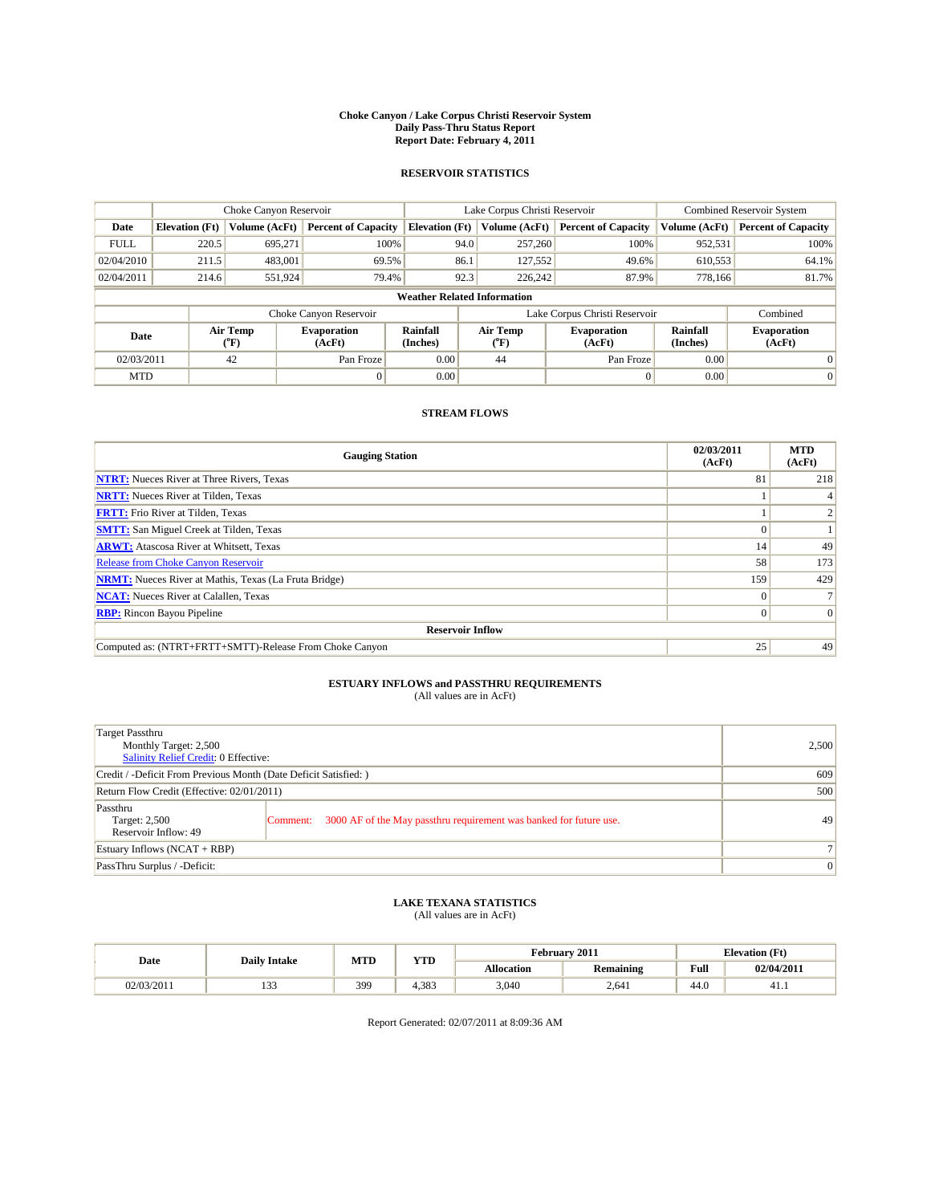#### **Choke Canyon / Lake Corpus Christi Reservoir System Daily Pass-Thru Status Report Report Date: February 4, 2011**

#### **RESERVOIR STATISTICS**

|             | Choke Canyon Reservoir             |                  |                            |                       | Lake Corpus Christi Reservoir | <b>Combined Reservoir System</b> |                      |                              |  |
|-------------|------------------------------------|------------------|----------------------------|-----------------------|-------------------------------|----------------------------------|----------------------|------------------------------|--|
| Date        | <b>Elevation</b> (Ft)              | Volume (AcFt)    | <b>Percent of Capacity</b> | <b>Elevation</b> (Ft) | Volume (AcFt)                 | <b>Percent of Capacity</b>       | Volume (AcFt)        | <b>Percent of Capacity</b>   |  |
| <b>FULL</b> | 220.5                              | 695,271          | 100%                       | 94.0                  | 257,260                       | 100%                             | 952,531              | 100%                         |  |
| 02/04/2010  | 211.5                              | 483,001          | 69.5%                      | 86.1                  | 127,552                       | 49.6%                            | 610,553              | 64.1%                        |  |
| 02/04/2011  | 214.6                              | 551,924          | 79.4%                      | 92.3                  | 226,242                       | 87.9%                            | 778,166              | 81.7%                        |  |
|             | <b>Weather Related Information</b> |                  |                            |                       |                               |                                  |                      |                              |  |
|             |                                    |                  | Choke Canyon Reservoir     |                       |                               | Lake Corpus Christi Reservoir    |                      | Combined                     |  |
| Date        |                                    | Air Temp<br>(°F) | Evaporation<br>(AcFt)      | Rainfall<br>(Inches)  | Air Temp<br>("F)              | <b>Evaporation</b><br>(AcFt)     | Rainfall<br>(Inches) | <b>Evaporation</b><br>(AcFt) |  |
| 02/03/2011  |                                    | 42               | Pan Froze                  | 0.00                  | 44                            | Pan Froze                        | 0.00                 | 0                            |  |
| <b>MTD</b>  |                                    |                  |                            | 0.00                  |                               |                                  | 0.00                 | $\mathbf{0}$                 |  |

### **STREAM FLOWS**

| <b>Gauging Station</b>                                       | 02/03/2011<br>(AcFt) | <b>MTD</b><br>(AcFt) |  |  |  |  |
|--------------------------------------------------------------|----------------------|----------------------|--|--|--|--|
| <b>NTRT:</b> Nueces River at Three Rivers, Texas             | 81                   | 218                  |  |  |  |  |
| <b>NRTT:</b> Nueces River at Tilden, Texas                   |                      |                      |  |  |  |  |
| <b>FRTT:</b> Frio River at Tilden, Texas                     |                      |                      |  |  |  |  |
| <b>SMTT:</b> San Miguel Creek at Tilden, Texas               |                      |                      |  |  |  |  |
| <b>ARWT:</b> Atascosa River at Whitsett, Texas               | 14                   | 49                   |  |  |  |  |
| <b>Release from Choke Canyon Reservoir</b>                   | 58                   | 173                  |  |  |  |  |
| <b>NRMT:</b> Nueces River at Mathis, Texas (La Fruta Bridge) | 159                  | 429                  |  |  |  |  |
| <b>NCAT:</b> Nueces River at Calallen, Texas                 |                      |                      |  |  |  |  |
| <b>RBP:</b> Rincon Bayou Pipeline                            | $\Omega$             | $\Omega$             |  |  |  |  |
| <b>Reservoir Inflow</b>                                      |                      |                      |  |  |  |  |
| Computed as: (NTRT+FRTT+SMTT)-Release From Choke Canyon      | 25                   | 49                   |  |  |  |  |

# **ESTUARY INFLOWS and PASSTHRU REQUIREMENTS**<br>(All values are in AcFt)

| Target Passthru<br>Monthly Target: 2,500<br>Salinity Relief Credit: 0 Effective: |                                                                                | 2,500 |
|----------------------------------------------------------------------------------|--------------------------------------------------------------------------------|-------|
| Credit / -Deficit From Previous Month (Date Deficit Satisfied: )                 | 609                                                                            |       |
| Return Flow Credit (Effective: 02/01/2011)                                       | 500                                                                            |       |
| Passthru<br>Target: 2,500<br>Reservoir Inflow: 49                                | 3000 AF of the May passthru requirement was banked for future use.<br>Comment: | 49    |
| Estuary Inflows (NCAT + RBP)                                                     |                                                                                |       |
| PassThru Surplus / -Deficit:                                                     | $\vert 0 \vert$                                                                |       |

## **LAKE TEXANA STATISTICS** (All values are in AcFt)

|            | <b>Daily Intake</b> | <b>MTD</b> | <b>YTD</b> | February 2011     |                  |      | <b>Elevation</b> (Ft) |  |
|------------|---------------------|------------|------------|-------------------|------------------|------|-----------------------|--|
| Date       |                     |            |            | <b>Allocation</b> | <b>Remaining</b> | Full | 02/04/2011            |  |
| 02/03/2011 | $\sim$<br>ر ر       | 399        | 4.383      | 3.040             | 2.641            | 44.0 | 41.1                  |  |

Report Generated: 02/07/2011 at 8:09:36 AM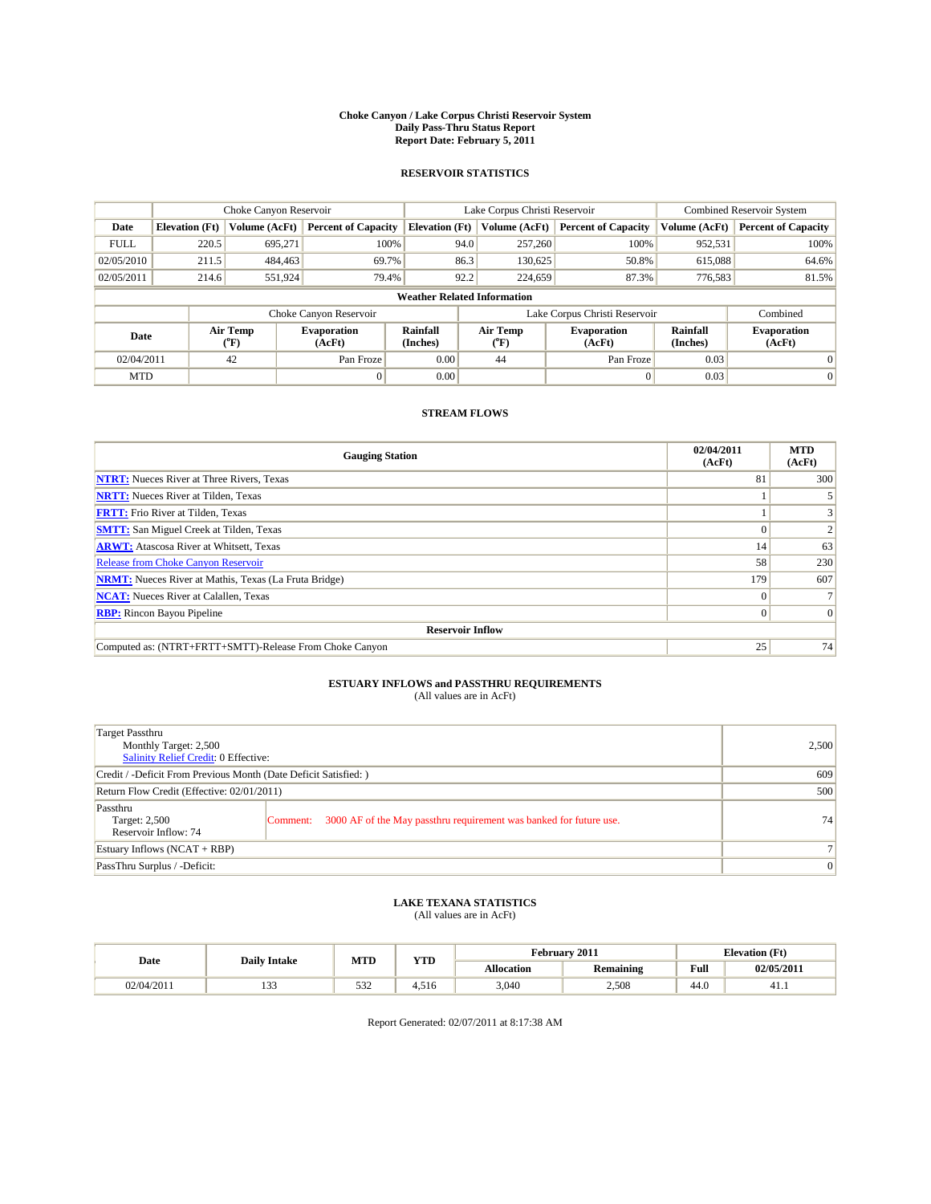#### **Choke Canyon / Lake Corpus Christi Reservoir System Daily Pass-Thru Status Report Report Date: February 5, 2011**

#### **RESERVOIR STATISTICS**

|             | Choke Canyon Reservoir             |                  |                            |                       | Lake Corpus Christi Reservoir | <b>Combined Reservoir System</b> |                      |                              |  |
|-------------|------------------------------------|------------------|----------------------------|-----------------------|-------------------------------|----------------------------------|----------------------|------------------------------|--|
| Date        | <b>Elevation</b> (Ft)              | Volume (AcFt)    | <b>Percent of Capacity</b> | <b>Elevation</b> (Ft) | Volume (AcFt)                 | <b>Percent of Capacity</b>       | Volume (AcFt)        | <b>Percent of Capacity</b>   |  |
| <b>FULL</b> | 220.5                              | 695,271          | 100%                       | 94.0                  | 257,260                       | 100%                             | 952,531              | 100%                         |  |
| 02/05/2010  | 211.5                              | 484,463          | 69.7%                      | 86.3                  | 130,625                       | 50.8%                            | 615,088              | 64.6%                        |  |
| 02/05/2011  | 214.6                              | 551,924          | 79.4%                      | 92.2                  | 224,659                       | 87.3%                            | 776,583              | 81.5%                        |  |
|             | <b>Weather Related Information</b> |                  |                            |                       |                               |                                  |                      |                              |  |
|             |                                    |                  | Choke Canyon Reservoir     |                       |                               | Lake Corpus Christi Reservoir    |                      | Combined                     |  |
| Date        |                                    | Air Temp<br>(°F) | Evaporation<br>(AcFt)      | Rainfall<br>(Inches)  | Air Temp<br>("F)              | <b>Evaporation</b><br>(AcFt)     | Rainfall<br>(Inches) | <b>Evaporation</b><br>(AcFt) |  |
| 02/04/2011  |                                    | 42               | Pan Froze                  | 0.00                  | 44                            | Pan Froze                        | 0.03                 | 0                            |  |
| <b>MTD</b>  |                                    |                  |                            | 0.00                  |                               |                                  | 0.03                 | $\mathbf{0}$                 |  |

### **STREAM FLOWS**

| <b>Gauging Station</b>                                       | 02/04/2011<br>(AcFt) | <b>MTD</b><br>(AcFt) |
|--------------------------------------------------------------|----------------------|----------------------|
| <b>NTRT:</b> Nueces River at Three Rivers, Texas             | 81                   | 300                  |
| <b>NRTT:</b> Nueces River at Tilden, Texas                   |                      |                      |
| <b>FRTT:</b> Frio River at Tilden, Texas                     |                      |                      |
| <b>SMTT:</b> San Miguel Creek at Tilden, Texas               |                      |                      |
| <b>ARWT:</b> Atascosa River at Whitsett, Texas               | 14                   | 63                   |
| <b>Release from Choke Canyon Reservoir</b>                   | 58                   | 230                  |
| <b>NRMT:</b> Nueces River at Mathis, Texas (La Fruta Bridge) | 179                  | 607                  |
| <b>NCAT:</b> Nueces River at Calallen, Texas                 |                      |                      |
| <b>RBP:</b> Rincon Bayou Pipeline                            | 0                    | $\vert 0 \vert$      |
| <b>Reservoir Inflow</b>                                      |                      |                      |
| Computed as: (NTRT+FRTT+SMTT)-Release From Choke Canyon      | 25                   | 74                   |

# **ESTUARY INFLOWS and PASSTHRU REQUIREMENTS**<br>(All values are in AcFt)

| Target Passthru<br>Monthly Target: 2,500<br>Salinity Relief Credit: 0 Effective: |                                                                                | 2,500           |
|----------------------------------------------------------------------------------|--------------------------------------------------------------------------------|-----------------|
| Credit / -Deficit From Previous Month (Date Deficit Satisfied: )                 | 609                                                                            |                 |
| Return Flow Credit (Effective: 02/01/2011)                                       | 500                                                                            |                 |
| Passthru<br>Target: 2,500<br>Reservoir Inflow: 74                                | 3000 AF of the May passthru requirement was banked for future use.<br>Comment: | 74 <sub>1</sub> |
| Estuary Inflows (NCAT + RBP)                                                     |                                                                                |                 |
| PassThru Surplus / -Deficit:                                                     |                                                                                | $\vert 0 \vert$ |

# **LAKE TEXANA STATISTICS** (All values are in AcFt)

| Date       | <b>Daily Intake</b> | <b>MTD</b> | <b>YTD</b> |                   | February 2011    |      | <b>Elevation</b> (Ft) |
|------------|---------------------|------------|------------|-------------------|------------------|------|-----------------------|
|            |                     |            |            | <b>Allocation</b> | <b>Remaining</b> | Full | 02/05/2011            |
| 02/04/2011 | $\sim$<br>1 J J     | 532        | 4.516      | 3,040             | 2,508            | 44.0 | 41.1                  |

Report Generated: 02/07/2011 at 8:17:38 AM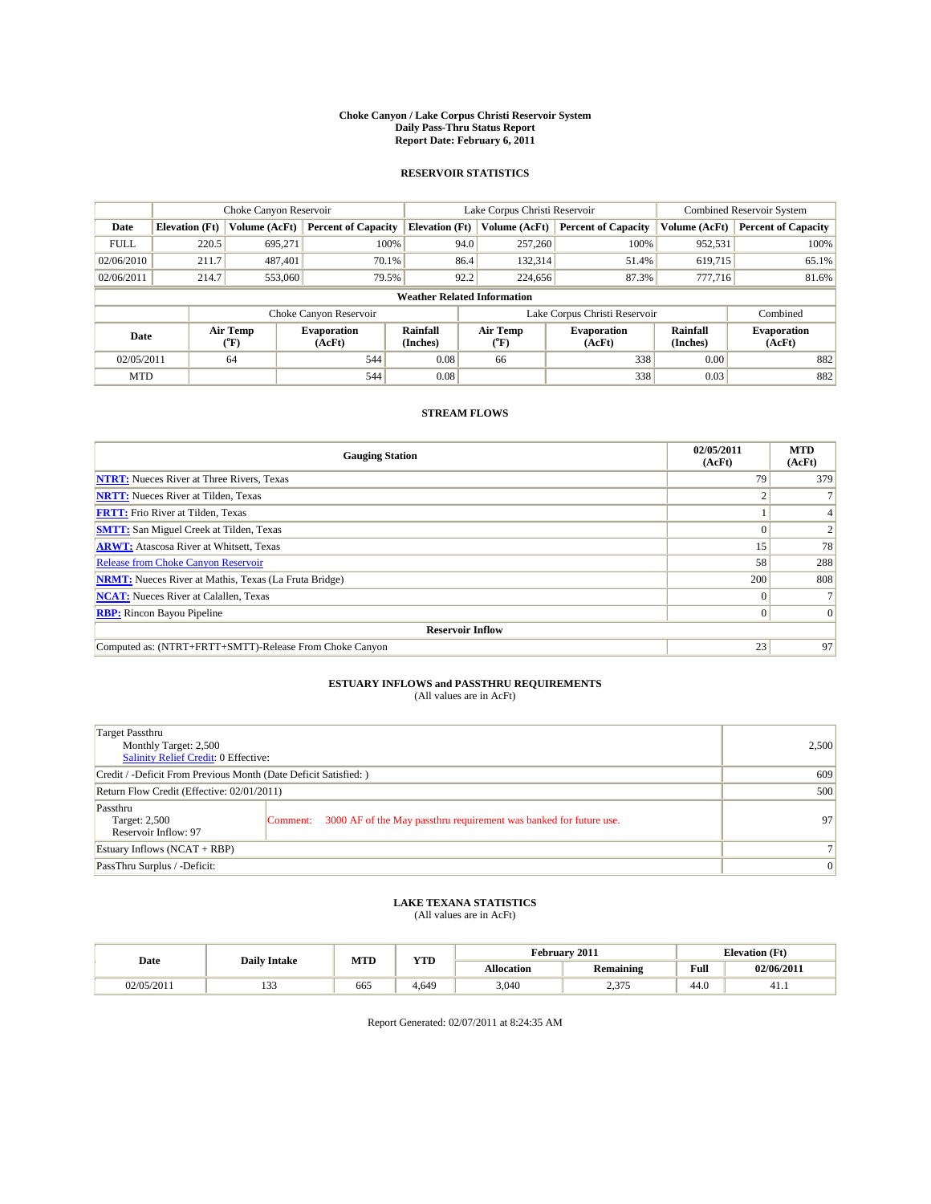#### **Choke Canyon / Lake Corpus Christi Reservoir System Daily Pass-Thru Status Report Report Date: February 6, 2011**

#### **RESERVOIR STATISTICS**

|             | Choke Canyon Reservoir             |                                           |                              |                       | Lake Corpus Christi Reservoir | <b>Combined Reservoir System</b> |                      |                              |  |
|-------------|------------------------------------|-------------------------------------------|------------------------------|-----------------------|-------------------------------|----------------------------------|----------------------|------------------------------|--|
| Date        | <b>Elevation</b> (Ft)              | Volume (AcFt)                             | <b>Percent of Capacity</b>   | <b>Elevation</b> (Ft) | Volume (AcFt)                 | <b>Percent of Capacity</b>       | Volume (AcFt)        | <b>Percent of Capacity</b>   |  |
| <b>FULL</b> | 220.5                              | 695.271                                   | 100%                         | 94.0                  | 257,260                       | 100%                             | 952,531              | 100%                         |  |
| 02/06/2010  | 211.7                              | 487.401                                   | 70.1%                        | 86.4                  | 132,314                       | 51.4%                            | 619,715              | 65.1%                        |  |
| 02/06/2011  | 214.7                              | 553,060                                   | 79.5%                        | 92.2                  | 224,656                       | 87.3%                            | 777,716              | 81.6%                        |  |
|             | <b>Weather Related Information</b> |                                           |                              |                       |                               |                                  |                      |                              |  |
|             |                                    |                                           | Choke Canyon Reservoir       |                       |                               | Lake Corpus Christi Reservoir    |                      | Combined                     |  |
| Date        |                                    | Air Temp<br>$({}^{\mathrm{o}}\mathrm{F})$ | <b>Evaporation</b><br>(AcFt) | Rainfall<br>(Inches)  | Air Temp<br>(°F)              | <b>Evaporation</b><br>(AcFt)     | Rainfall<br>(Inches) | <b>Evaporation</b><br>(AcFt) |  |
| 02/05/2011  |                                    | 64                                        | 544                          | 0.08                  | 66                            | 338                              | 0.00                 | 882                          |  |
| <b>MTD</b>  |                                    |                                           | 544                          | 0.08                  |                               | 338                              | 0.03                 | 882                          |  |

### **STREAM FLOWS**

| <b>Gauging Station</b>                                       | 02/05/2011<br>(AcFt) | <b>MTD</b><br>(AcFt) |
|--------------------------------------------------------------|----------------------|----------------------|
| <b>NTRT:</b> Nueces River at Three Rivers, Texas             | 79                   | 379                  |
| <b>NRTT:</b> Nueces River at Tilden, Texas                   |                      |                      |
| <b>FRTT:</b> Frio River at Tilden, Texas                     |                      |                      |
| <b>SMTT:</b> San Miguel Creek at Tilden, Texas               |                      |                      |
| <b>ARWT:</b> Atascosa River at Whitsett, Texas               | 15                   | 78                   |
| Release from Choke Canyon Reservoir                          | 58                   | 288                  |
| <b>NRMT:</b> Nueces River at Mathis, Texas (La Fruta Bridge) | 200                  | 808                  |
| <b>NCAT:</b> Nueces River at Calallen, Texas                 | $\Omega$             |                      |
| <b>RBP:</b> Rincon Bayou Pipeline                            | $\Omega$             | $\Omega$             |
| <b>Reservoir Inflow</b>                                      |                      |                      |
| Computed as: (NTRT+FRTT+SMTT)-Release From Choke Canyon      | 23                   | 97                   |

# **ESTUARY INFLOWS and PASSTHRU REQUIREMENTS**<br>(All values are in AcFt)

| Target Passthru<br>Monthly Target: 2,500<br>Salinity Relief Credit: 0 Effective: |                                                                                | 2,500 |
|----------------------------------------------------------------------------------|--------------------------------------------------------------------------------|-------|
| Credit / -Deficit From Previous Month (Date Deficit Satisfied: )                 | 609                                                                            |       |
| Return Flow Credit (Effective: 02/01/2011)                                       | 500                                                                            |       |
| Passthru<br>Target: 2,500<br>Reservoir Inflow: 97                                | 3000 AF of the May passthru requirement was banked for future use.<br>Comment: | 97    |
| Estuary Inflows (NCAT + RBP)                                                     |                                                                                |       |
| PassThru Surplus / -Deficit:                                                     | $\vert 0 \vert$                                                                |       |

# **LAKE TEXANA STATISTICS** (All values are in AcFt)

|            | <b>Daily Intake</b> | MTD | <b>YTD</b> | February 2011<br><b>Elevation</b> (Ft) |                  |                                         |            |
|------------|---------------------|-----|------------|----------------------------------------|------------------|-----------------------------------------|------------|
| Date       |                     |     |            | <b>Allocation</b>                      | <b>Remaining</b> | Full<br>the contract of the contract of | 02/06/2011 |
| 02/05/2011 | $\sim$<br>.         | 665 | 4.649      | 3,040                                  | 2,375            | 44.0                                    | 41.1       |

Report Generated: 02/07/2011 at 8:24:35 AM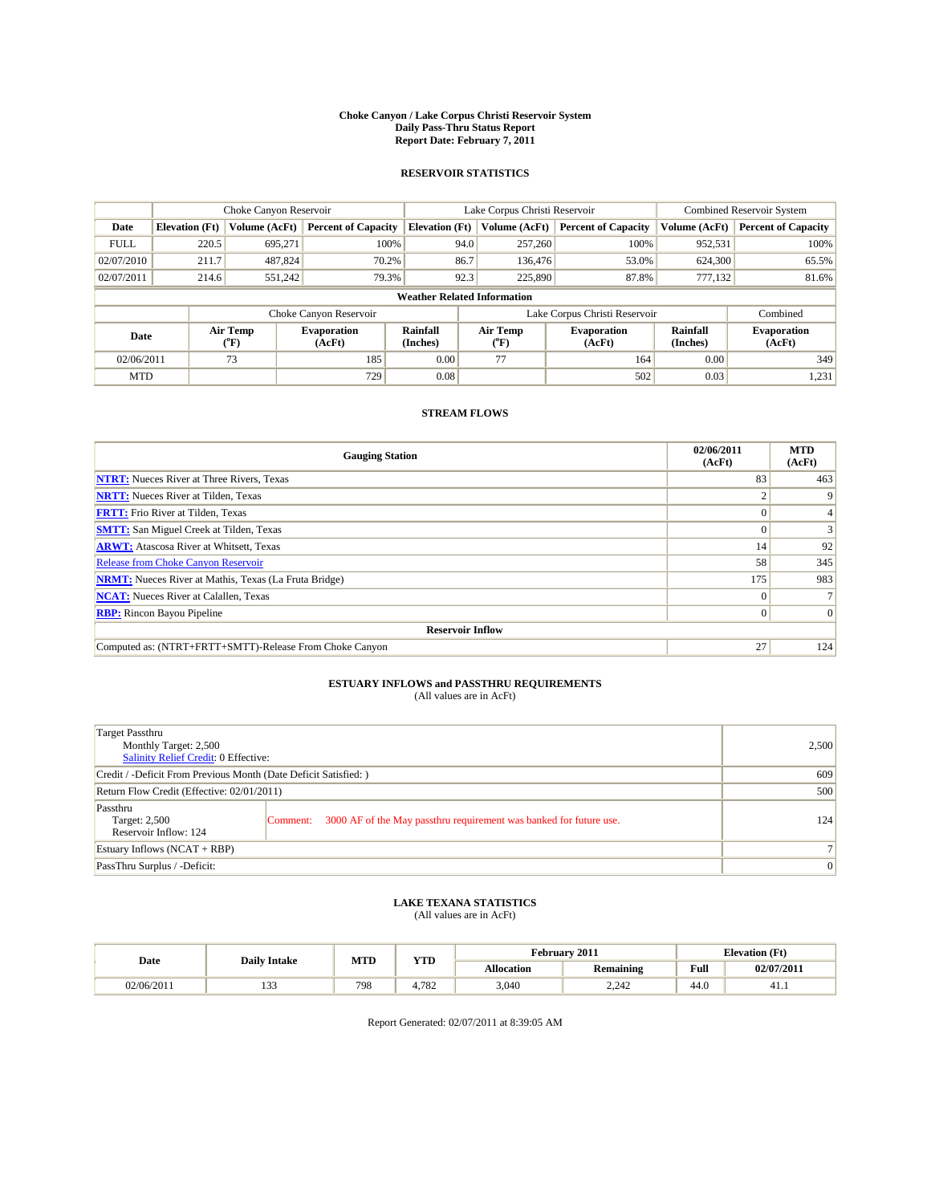#### **Choke Canyon / Lake Corpus Christi Reservoir System Daily Pass-Thru Status Report Report Date: February 7, 2011**

#### **RESERVOIR STATISTICS**

|             | Choke Canyon Reservoir             |                             |                              |                             | Lake Corpus Christi Reservoir | Combined Reservoir System     |                      |                              |  |  |
|-------------|------------------------------------|-----------------------------|------------------------------|-----------------------------|-------------------------------|-------------------------------|----------------------|------------------------------|--|--|
| Date        | <b>Elevation</b> (Ft)              | Volume (AcFt)               | <b>Percent of Capacity</b>   | <b>Elevation</b> (Ft)       | Volume (AcFt)                 | <b>Percent of Capacity</b>    | Volume (AcFt)        | <b>Percent of Capacity</b>   |  |  |
| <b>FULL</b> | 220.5                              | 695,271                     | 100%                         | 94.0                        | 257,260                       | 100%                          | 952,531              | 100%                         |  |  |
| 02/07/2010  | 211.7                              | 487,824                     | 70.2%                        | 86.7                        | 136,476                       | 53.0%                         | 624,300              | 65.5%                        |  |  |
| 02/07/2011  | 214.6                              | 551,242                     | 79.3%                        | 92.3                        | 225,890                       | 87.8%                         | 777.132              | 81.6%                        |  |  |
|             | <b>Weather Related Information</b> |                             |                              |                             |                               |                               |                      |                              |  |  |
|             |                                    |                             | Choke Canyon Reservoir       |                             |                               | Lake Corpus Christi Reservoir |                      | Combined                     |  |  |
| Date        |                                    | Air Temp<br>${}^{\circ}$ F) | <b>Evaporation</b><br>(AcFt) | <b>Rainfall</b><br>(Inches) | Air Temp<br>$(^{\circ}F)$     | <b>Evaporation</b><br>(AcFt)  | Rainfall<br>(Inches) | <b>Evaporation</b><br>(AcFt) |  |  |
| 02/06/2011  |                                    | 73                          | 185                          | 0.00                        | 77                            | 164                           | 0.00                 | 349                          |  |  |
| <b>MTD</b>  |                                    |                             | 729                          | 0.08                        |                               | 502                           | 0.03                 | 1,231                        |  |  |

### **STREAM FLOWS**

| <b>Gauging Station</b>                                       | 02/06/2011<br>(AcFt) | <b>MTD</b><br>(AcFt) |
|--------------------------------------------------------------|----------------------|----------------------|
| <b>NTRT:</b> Nueces River at Three Rivers, Texas             | 83                   | 463                  |
| <b>NRTT:</b> Nueces River at Tilden, Texas                   |                      |                      |
| <b>FRTT:</b> Frio River at Tilden, Texas                     |                      |                      |
| <b>SMTT:</b> San Miguel Creek at Tilden, Texas               |                      |                      |
| <b>ARWT:</b> Atascosa River at Whitsett, Texas               | 14                   | 92                   |
| Release from Choke Canyon Reservoir                          | 58                   | 345                  |
| <b>NRMT:</b> Nueces River at Mathis, Texas (La Fruta Bridge) | 175                  | 983                  |
| <b>NCAT:</b> Nueces River at Calallen, Texas                 | $\Omega$             |                      |
| <b>RBP:</b> Rincon Bayou Pipeline                            | $\Omega$             | $\Omega$             |
| <b>Reservoir Inflow</b>                                      |                      |                      |
| Computed as: (NTRT+FRTT+SMTT)-Release From Choke Canyon      | 27                   | 124                  |

# **ESTUARY INFLOWS and PASSTHRU REQUIREMENTS**<br>(All values are in AcFt)

| Target Passthru<br>Monthly Target: 2,500<br>Salinity Relief Credit: 0 Effective: |                                                                                | 2,500 |
|----------------------------------------------------------------------------------|--------------------------------------------------------------------------------|-------|
| Credit / -Deficit From Previous Month (Date Deficit Satisfied: )                 | 609                                                                            |       |
| Return Flow Credit (Effective: 02/01/2011)                                       | 500                                                                            |       |
| Passthru<br>Target: 2,500<br>Reservoir Inflow: 124                               | 3000 AF of the May passthru requirement was banked for future use.<br>Comment: | 124   |
| Estuary Inflows (NCAT + RBP)                                                     |                                                                                |       |
| PassThru Surplus / -Deficit:                                                     | $\vert 0 \vert$                                                                |       |

## **LAKE TEXANA STATISTICS** (All values are in AcFt)

|            | <b>Daily Intake</b> | MTD | <b>YTD</b>                | February 2011<br><b>Elevation</b> (Ft) |                  |                                         |            |
|------------|---------------------|-----|---------------------------|----------------------------------------|------------------|-----------------------------------------|------------|
| Date       |                     |     |                           | <b>Allocation</b>                      | <b>Remaining</b> | Full<br>the contract of the contract of | 02/07/2011 |
| 02/06/2011 | $\sim$<br>          | 798 | 70 <sup>o</sup><br>$+104$ | 3,040                                  | 2.242            | 44.0                                    | 41.1       |

Report Generated: 02/07/2011 at 8:39:05 AM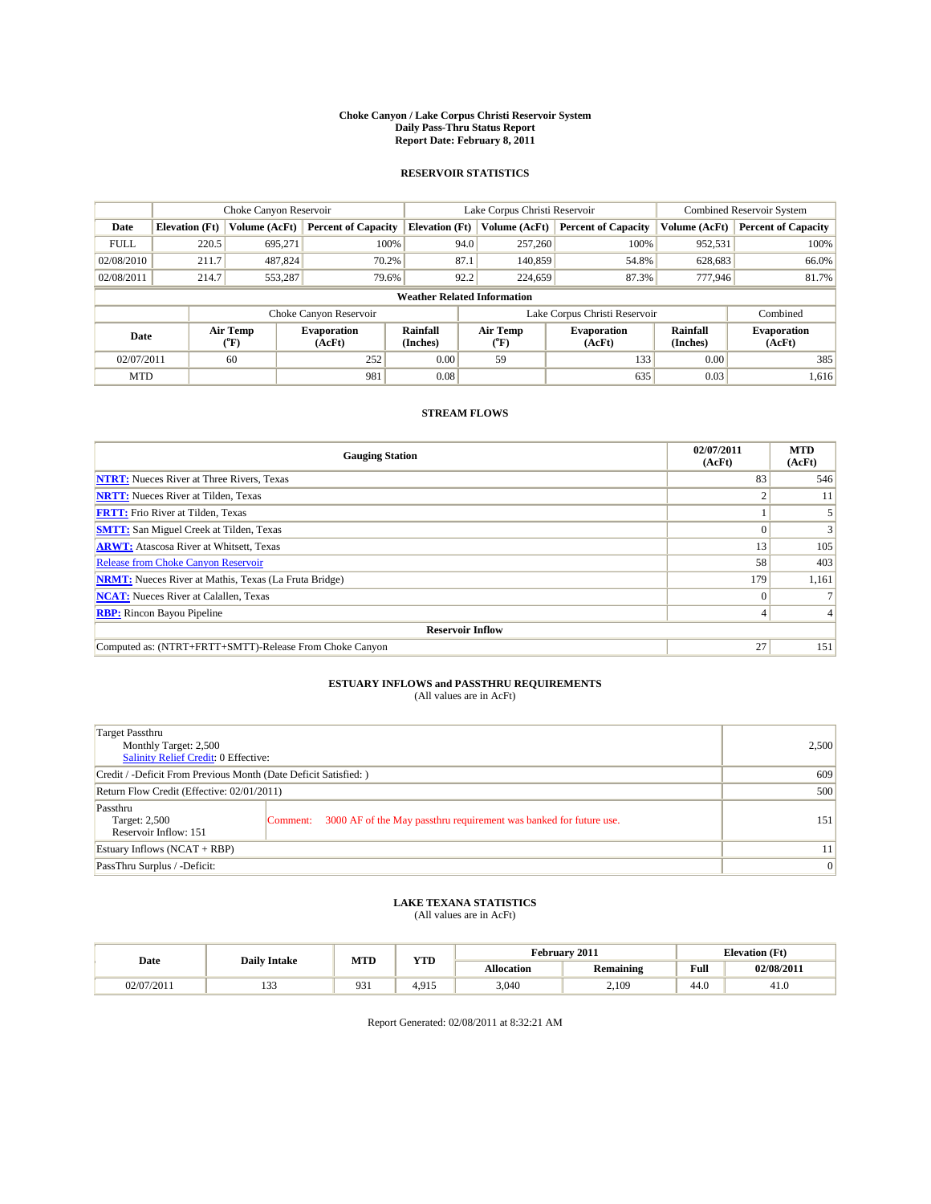#### **Choke Canyon / Lake Corpus Christi Reservoir System Daily Pass-Thru Status Report Report Date: February 8, 2011**

#### **RESERVOIR STATISTICS**

|             | Choke Canyon Reservoir             |                  |                              |                       | Lake Corpus Christi Reservoir | <b>Combined Reservoir System</b> |                      |                              |  |  |
|-------------|------------------------------------|------------------|------------------------------|-----------------------|-------------------------------|----------------------------------|----------------------|------------------------------|--|--|
| Date        | <b>Elevation</b> (Ft)              | Volume (AcFt)    | <b>Percent of Capacity</b>   | <b>Elevation</b> (Ft) | Volume (AcFt)                 | <b>Percent of Capacity</b>       | Volume (AcFt)        | <b>Percent of Capacity</b>   |  |  |
| <b>FULL</b> | 220.5                              | 695.271          | 100%                         | 94.0                  | 257,260                       | 100%                             | 952,531              | 100%                         |  |  |
| 02/08/2010  | 211.7                              | 487,824          | 70.2%                        | 87.1                  | 140,859                       | 54.8%                            | 628,683              | 66.0%                        |  |  |
| 02/08/2011  | 214.7                              | 553,287          | 79.6%                        | 92.2                  | 224,659                       | 87.3%                            | 777,946              | 81.7%                        |  |  |
|             | <b>Weather Related Information</b> |                  |                              |                       |                               |                                  |                      |                              |  |  |
|             |                                    |                  | Choke Canyon Reservoir       |                       |                               | Lake Corpus Christi Reservoir    |                      | Combined                     |  |  |
| Date        |                                    | Air Temp<br>(°F) | <b>Evaporation</b><br>(AcFt) | Rainfall<br>(Inches)  | Air Temp<br>("F)              | <b>Evaporation</b><br>(AcFt)     | Rainfall<br>(Inches) | <b>Evaporation</b><br>(AcFt) |  |  |
| 02/07/2011  |                                    | 60               | 252                          | 0.00                  | 59                            | 133                              | 0.00                 | 385                          |  |  |
| <b>MTD</b>  |                                    |                  | 981                          | 0.08                  |                               | 635                              | 0.03                 | 1,616                        |  |  |

### **STREAM FLOWS**

| <b>Gauging Station</b>                                       | 02/07/2011<br>(AcFt) | <b>MTD</b><br>(AcFt) |
|--------------------------------------------------------------|----------------------|----------------------|
| <b>NTRT:</b> Nueces River at Three Rivers, Texas             | 83                   | 546                  |
| <b>NRTT:</b> Nueces River at Tilden, Texas                   |                      | 11                   |
| <b>FRTT:</b> Frio River at Tilden, Texas                     |                      |                      |
| <b>SMTT:</b> San Miguel Creek at Tilden, Texas               |                      |                      |
| <b>ARWT:</b> Atascosa River at Whitsett, Texas               | 13                   | 105                  |
| <b>Release from Choke Canyon Reservoir</b>                   | 58                   | 403                  |
| <b>NRMT:</b> Nueces River at Mathis, Texas (La Fruta Bridge) | 179                  | 1,161                |
| <b>NCAT:</b> Nueces River at Calallen, Texas                 | $\Omega$             |                      |
| <b>RBP:</b> Rincon Bayou Pipeline                            | 4                    |                      |
| <b>Reservoir Inflow</b>                                      |                      |                      |
| Computed as: (NTRT+FRTT+SMTT)-Release From Choke Canyon      | 27                   | 151                  |

# **ESTUARY INFLOWS and PASSTHRU REQUIREMENTS**<br>(All values are in AcFt)

| Target Passthru<br>Monthly Target: 2,500<br>Salinity Relief Credit: 0 Effective: |                                                                                | 2,500 |
|----------------------------------------------------------------------------------|--------------------------------------------------------------------------------|-------|
| Credit / -Deficit From Previous Month (Date Deficit Satisfied: )                 | 609                                                                            |       |
| Return Flow Credit (Effective: 02/01/2011)                                       | 500                                                                            |       |
| Passthru<br>Target: 2,500<br>Reservoir Inflow: 151                               | 3000 AF of the May passthru requirement was banked for future use.<br>Comment: | 151   |
| Estuary Inflows (NCAT + RBP)                                                     |                                                                                | 11    |
| PassThru Surplus / -Deficit:                                                     | $\vert 0 \vert$                                                                |       |

# **LAKE TEXANA STATISTICS** (All values are in AcFt)

|            | <b>Daily Intake</b> | MTD | <b>YTD</b> | February 2011<br><b>Elevation</b> (Ft) |                  |                                         |            |
|------------|---------------------|-----|------------|----------------------------------------|------------------|-----------------------------------------|------------|
| Date       |                     |     |            | <b>Allocation</b>                      | <b>Remaining</b> | Full<br>the contract of the contract of | 02/08/2011 |
| 02/07/2011 | $\sim$<br>ر ر       | 931 | 4.915      | 3,040                                  | 2,109            | -44.U                                   | 41.U       |

Report Generated: 02/08/2011 at 8:32:21 AM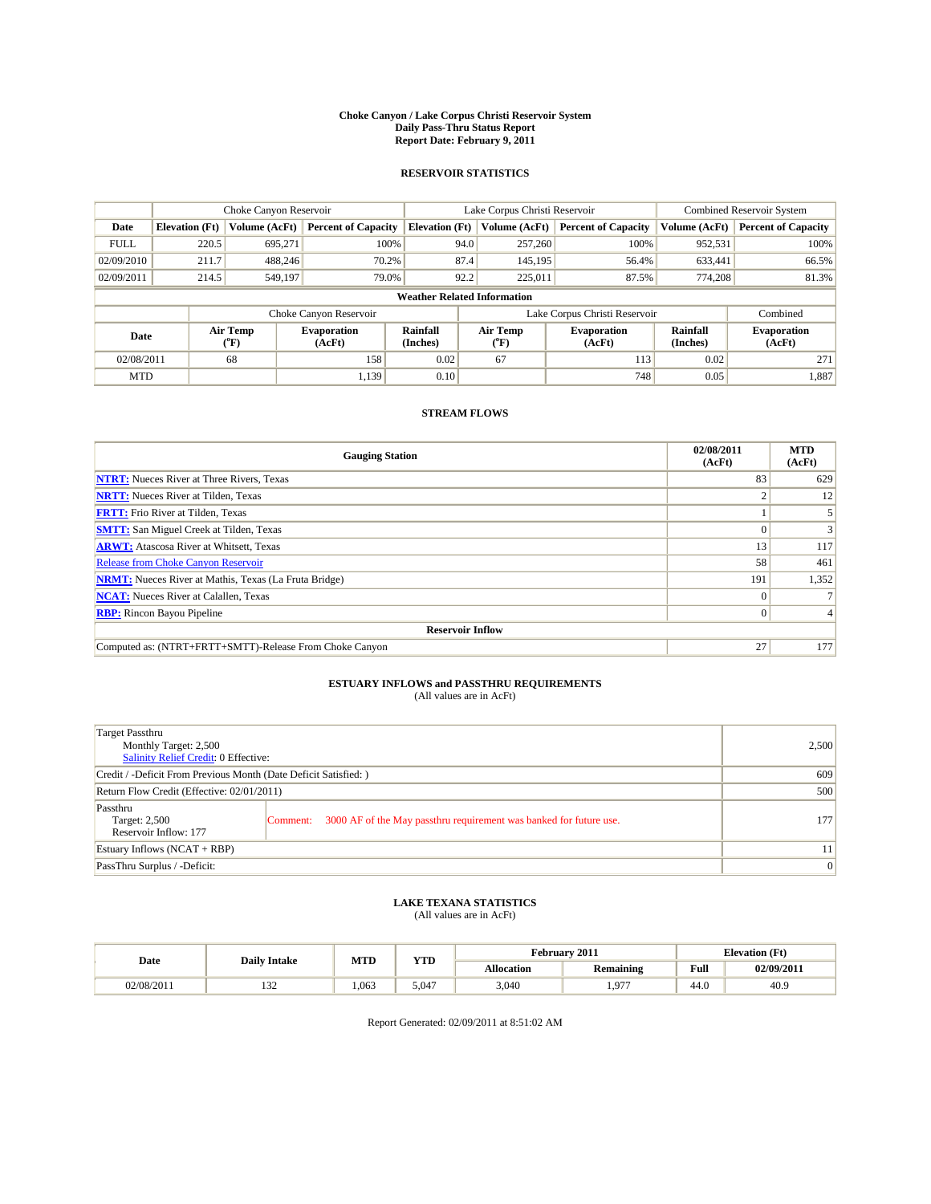#### **Choke Canyon / Lake Corpus Christi Reservoir System Daily Pass-Thru Status Report Report Date: February 9, 2011**

#### **RESERVOIR STATISTICS**

|             | Choke Canyon Reservoir             |                  |                              |                             | Lake Corpus Christi Reservoir | <b>Combined Reservoir System</b> |                      |                              |  |  |
|-------------|------------------------------------|------------------|------------------------------|-----------------------------|-------------------------------|----------------------------------|----------------------|------------------------------|--|--|
| Date        | <b>Elevation</b> (Ft)              | Volume (AcFt)    | <b>Percent of Capacity</b>   | <b>Elevation</b> (Ft)       | Volume (AcFt)                 | <b>Percent of Capacity</b>       | Volume (AcFt)        | <b>Percent of Capacity</b>   |  |  |
| <b>FULL</b> | 220.5                              | 695,271          | 100%                         | 94.0                        | 257,260                       | 100%                             | 952,531              | 100%                         |  |  |
| 02/09/2010  | 211.7                              | 488.246          | 70.2%                        | 87.4                        | 145,195                       | 56.4%                            | 633,441              | 66.5%                        |  |  |
| 02/09/2011  | 214.5                              | 549,197          | 79.0%                        | 92.2                        | 225,011                       | 87.5%                            | 774,208              | 81.3%                        |  |  |
|             | <b>Weather Related Information</b> |                  |                              |                             |                               |                                  |                      |                              |  |  |
|             |                                    |                  | Choke Canyon Reservoir       |                             |                               | Lake Corpus Christi Reservoir    |                      | Combined                     |  |  |
| Date        |                                    | Air Temp<br>(°F) | <b>Evaporation</b><br>(AcFt) | <b>Rainfall</b><br>(Inches) | Air Temp<br>(°F)              | <b>Evaporation</b><br>(AcFt)     | Rainfall<br>(Inches) | <b>Evaporation</b><br>(AcFt) |  |  |
| 02/08/2011  |                                    | 68               | 158                          | 0.02                        | 67                            | 113                              | 0.02                 | 271                          |  |  |
| <b>MTD</b>  |                                    |                  | 1.139                        | 0.10                        |                               | 748                              | 0.05                 | 1,887                        |  |  |

### **STREAM FLOWS**

| <b>Gauging Station</b>                                       | 02/08/2011<br>(AcFt) | <b>MTD</b><br>(AcFt) |
|--------------------------------------------------------------|----------------------|----------------------|
| <b>NTRT:</b> Nueces River at Three Rivers, Texas             | 83                   | 629                  |
| <b>NRTT:</b> Nueces River at Tilden, Texas                   |                      | 12                   |
| <b>FRTT:</b> Frio River at Tilden, Texas                     |                      |                      |
| <b>SMTT:</b> San Miguel Creek at Tilden, Texas               |                      |                      |
| <b>ARWT:</b> Atascosa River at Whitsett, Texas               | 13                   | 117                  |
| Release from Choke Canyon Reservoir                          | 58                   | 461                  |
| <b>NRMT:</b> Nueces River at Mathis, Texas (La Fruta Bridge) | 191                  | 1,352                |
| <b>NCAT:</b> Nueces River at Calallen, Texas                 | $\Omega$             |                      |
| <b>RBP:</b> Rincon Bayou Pipeline                            | $\Omega$             |                      |
| <b>Reservoir Inflow</b>                                      |                      |                      |
| Computed as: (NTRT+FRTT+SMTT)-Release From Choke Canyon      | 27                   | 177                  |

# **ESTUARY INFLOWS and PASSTHRU REQUIREMENTS**<br>(All values are in AcFt)

| Target Passthru<br>Monthly Target: 2,500<br>Salinity Relief Credit: 0 Effective: |                                                                                | 2,500 |
|----------------------------------------------------------------------------------|--------------------------------------------------------------------------------|-------|
| Credit / -Deficit From Previous Month (Date Deficit Satisfied: )                 | 609                                                                            |       |
| Return Flow Credit (Effective: 02/01/2011)                                       | 500                                                                            |       |
| Passthru<br>Target: 2,500<br>Reservoir Inflow: 177                               | 3000 AF of the May passthru requirement was banked for future use.<br>Comment: | 177   |
| Estuary Inflows (NCAT + RBP)                                                     |                                                                                | 11    |
| PassThru Surplus / -Deficit:                                                     | $\vert 0 \vert$                                                                |       |

## **LAKE TEXANA STATISTICS** (All values are in AcFt)

|            | <b>Daily Intake</b> | MTD   | <b>YTD</b> | February 2011<br><b>Elevation</b> (Ft) |                  |                                         |            |
|------------|---------------------|-------|------------|----------------------------------------|------------------|-----------------------------------------|------------|
| Date       |                     |       |            | <b>Allocation</b>                      | <b>Remaining</b> | Full<br>the contract of the contract of | 02/09/2011 |
| 02/08/2011 | $\sim$<br>1 J 4     | 1.063 | 5.047      | 3,040                                  | 1.977            | 44.U                                    | 40.9       |

Report Generated: 02/09/2011 at 8:51:02 AM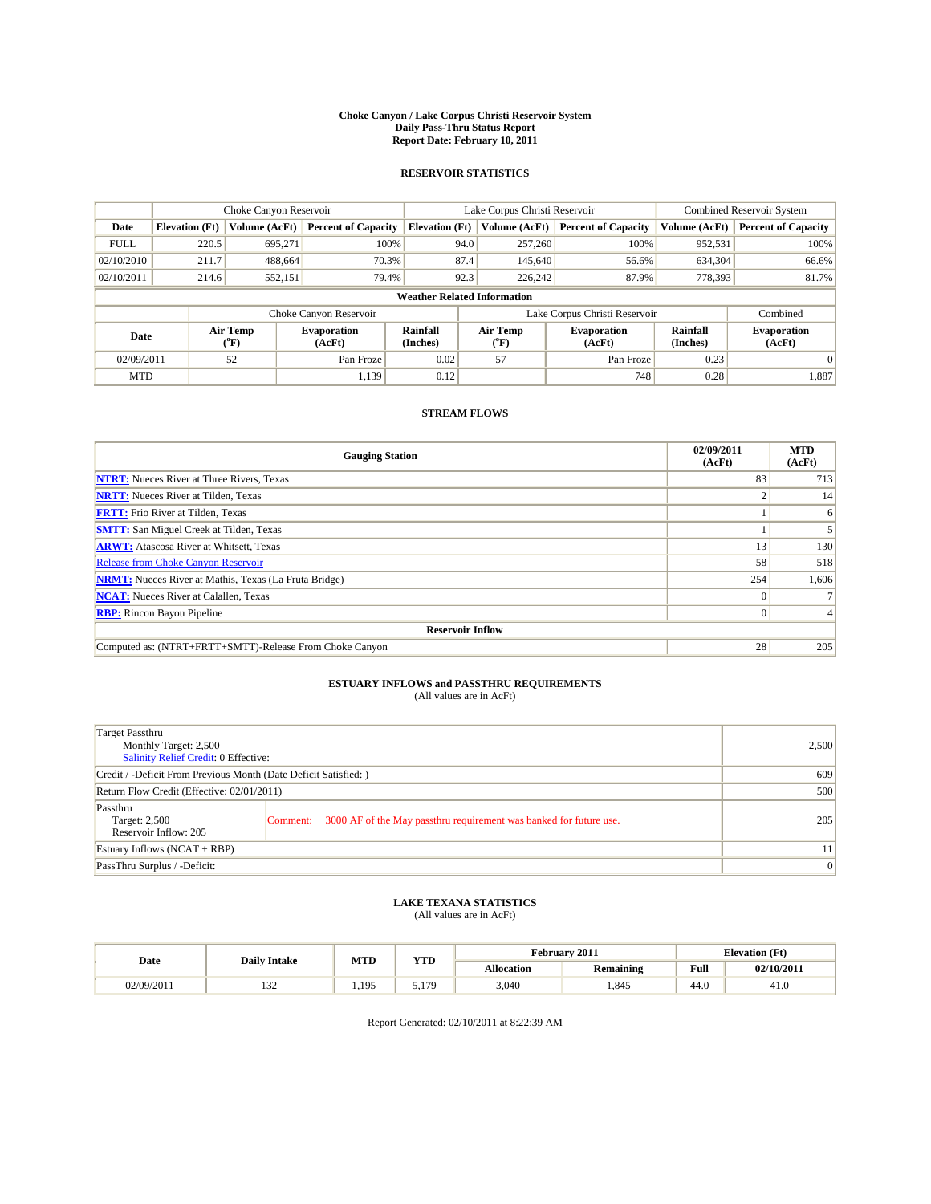#### **Choke Canyon / Lake Corpus Christi Reservoir System Daily Pass-Thru Status Report Report Date: February 10, 2011**

#### **RESERVOIR STATISTICS**

|             | Choke Canyon Reservoir             |                                           |                              |                       | Lake Corpus Christi Reservoir | <b>Combined Reservoir System</b> |                      |                              |  |  |
|-------------|------------------------------------|-------------------------------------------|------------------------------|-----------------------|-------------------------------|----------------------------------|----------------------|------------------------------|--|--|
| Date        | <b>Elevation</b> (Ft)              | Volume (AcFt)                             | <b>Percent of Capacity</b>   | <b>Elevation</b> (Ft) | Volume (AcFt)                 | <b>Percent of Capacity</b>       | Volume (AcFt)        | <b>Percent of Capacity</b>   |  |  |
| <b>FULL</b> | 220.5                              | 695.271                                   | 100%                         | 94.0                  | 257,260                       | 100%                             | 952,531              | 100%                         |  |  |
| 02/10/2010  | 211.7                              | 488,664                                   | 70.3%                        | 87.4                  | 145,640                       | 56.6%                            | 634,304              | 66.6%                        |  |  |
| 02/10/2011  | 214.6                              | 552,151                                   | 79.4%                        | 92.3                  | 226,242                       | 87.9%                            | 778,393              | 81.7%                        |  |  |
|             | <b>Weather Related Information</b> |                                           |                              |                       |                               |                                  |                      |                              |  |  |
|             |                                    |                                           | Choke Canyon Reservoir       |                       |                               | Lake Corpus Christi Reservoir    |                      | Combined                     |  |  |
| Date        |                                    | Air Temp<br>$({}^{\mathrm{o}}\mathrm{F})$ | <b>Evaporation</b><br>(AcFt) | Rainfall<br>(Inches)  | Air Temp<br>(°F)              | <b>Evaporation</b><br>(AcFt)     | Rainfall<br>(Inches) | <b>Evaporation</b><br>(AcFt) |  |  |
| 02/09/2011  |                                    | 52                                        | Pan Froze                    | 0.02                  | 57                            | Pan Froze                        | 0.23                 | 0                            |  |  |
| <b>MTD</b>  |                                    |                                           | 1.139                        | 0.12                  |                               | 748                              | 0.28                 | 1,887                        |  |  |

### **STREAM FLOWS**

| <b>Gauging Station</b>                                       | 02/09/2011<br>(AcFt) | <b>MTD</b><br>(AcFt) |
|--------------------------------------------------------------|----------------------|----------------------|
| <b>NTRT:</b> Nueces River at Three Rivers, Texas             | 83                   | 713                  |
| <b>NRTT:</b> Nueces River at Tilden, Texas                   |                      | 14                   |
| <b>FRTT:</b> Frio River at Tilden, Texas                     |                      | 6                    |
| <b>SMTT:</b> San Miguel Creek at Tilden, Texas               |                      |                      |
| <b>ARWT:</b> Atascosa River at Whitsett, Texas               | 13                   | 130                  |
| <b>Release from Choke Canyon Reservoir</b>                   | 58                   | 518                  |
| <b>NRMT:</b> Nueces River at Mathis, Texas (La Fruta Bridge) | 254                  | 1,606                |
| <b>NCAT:</b> Nueces River at Calallen, Texas                 | $\Omega$             |                      |
| <b>RBP:</b> Rincon Bayou Pipeline                            | $\Omega$             |                      |
| <b>Reservoir Inflow</b>                                      |                      |                      |
| Computed as: (NTRT+FRTT+SMTT)-Release From Choke Canyon      | 28                   | 205                  |

# **ESTUARY INFLOWS and PASSTHRU REQUIREMENTS**<br>(All values are in AcFt)

| Target Passthru<br>Monthly Target: 2,500<br>Salinity Relief Credit: 0 Effective: |                                                                                | 2,500           |
|----------------------------------------------------------------------------------|--------------------------------------------------------------------------------|-----------------|
| Credit / -Deficit From Previous Month (Date Deficit Satisfied: )                 | 609                                                                            |                 |
| Return Flow Credit (Effective: 02/01/2011)                                       | 500                                                                            |                 |
| Passthru<br>Target: 2,500<br>Reservoir Inflow: 205                               | 3000 AF of the May passthru requirement was banked for future use.<br>Comment: | 205             |
| Estuary Inflows (NCAT + RBP)                                                     |                                                                                | 11              |
| PassThru Surplus / -Deficit:                                                     |                                                                                | $\vert 0 \vert$ |

## **LAKE TEXANA STATISTICS** (All values are in AcFt)

|            | <b>Daily Intake</b> | MTD     | <b>YTD</b> | February 2011<br><b>Elevation</b> (Ft) |                  |                                         |            |
|------------|---------------------|---------|------------|----------------------------------------|------------------|-----------------------------------------|------------|
| Date       |                     |         |            | <b>Allocation</b>                      | <b>Remaining</b> | Full<br>the contract of the contract of | 02/10/2011 |
| 02/09/2011 | $\sim$<br>1 J 4     | 195<br> | 170<br>.   | 3,040                                  | 1,845            | 44.0                                    | 41.U       |

Report Generated: 02/10/2011 at 8:22:39 AM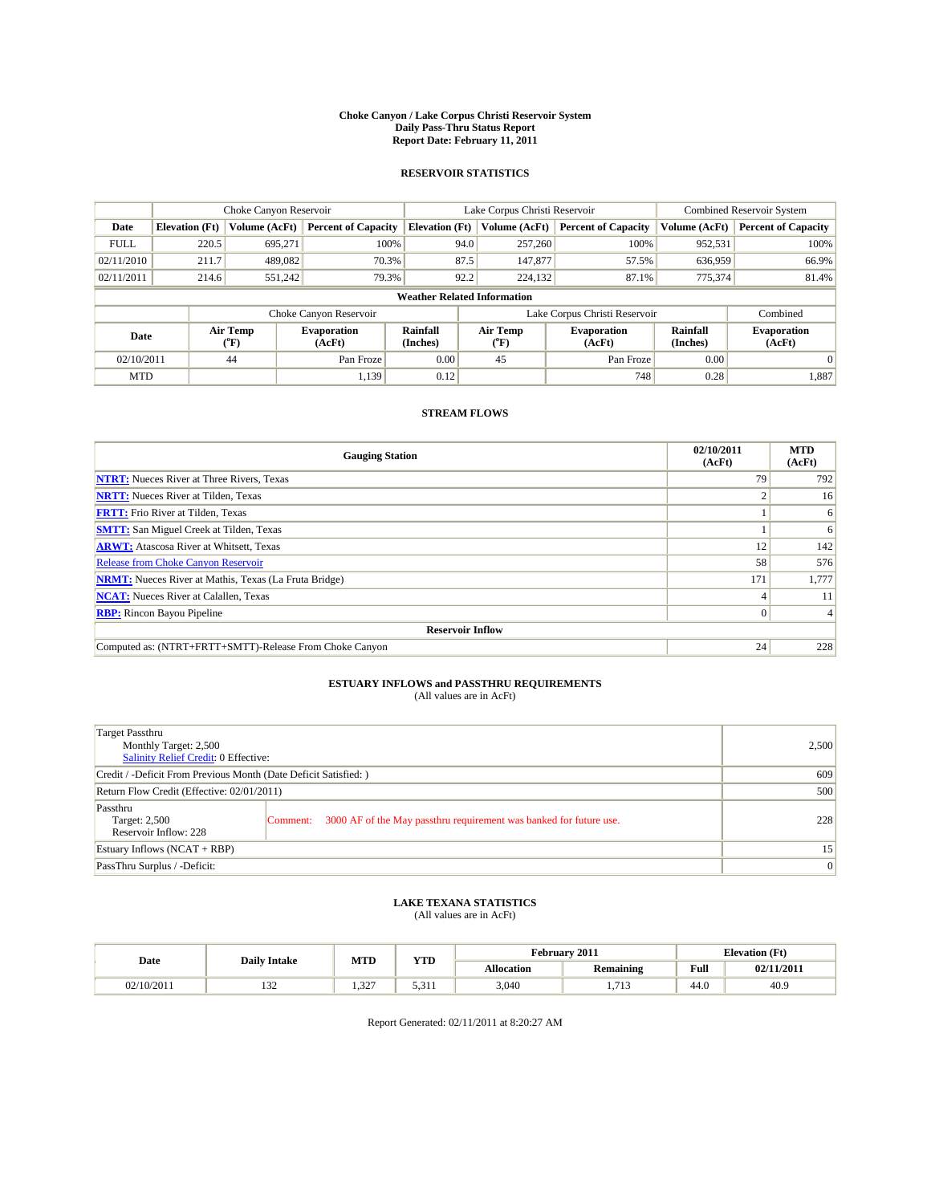#### **Choke Canyon / Lake Corpus Christi Reservoir System Daily Pass-Thru Status Report Report Date: February 11, 2011**

#### **RESERVOIR STATISTICS**

|             | Choke Canyon Reservoir             |                                           |                              |                       | Lake Corpus Christi Reservoir | <b>Combined Reservoir System</b> |                      |                              |  |  |
|-------------|------------------------------------|-------------------------------------------|------------------------------|-----------------------|-------------------------------|----------------------------------|----------------------|------------------------------|--|--|
| Date        | <b>Elevation</b> (Ft)              | Volume (AcFt)                             | <b>Percent of Capacity</b>   | <b>Elevation</b> (Ft) | Volume (AcFt)                 | <b>Percent of Capacity</b>       | Volume (AcFt)        | <b>Percent of Capacity</b>   |  |  |
| <b>FULL</b> | 220.5                              | 695.271                                   | 100%                         | 94.0                  | 257,260                       | 100%                             | 952,531              | 100%                         |  |  |
| 02/11/2010  | 211.7                              | 489,082                                   | 70.3%                        | 87.5                  | 147,877                       | 57.5%                            | 636,959              | 66.9%                        |  |  |
| 02/11/2011  | 214.6                              | 551,242                                   | 79.3%                        | 92.2                  | 224,132                       | 87.1%                            | 775,374              | 81.4%                        |  |  |
|             | <b>Weather Related Information</b> |                                           |                              |                       |                               |                                  |                      |                              |  |  |
|             |                                    |                                           | Choke Canyon Reservoir       |                       |                               | Lake Corpus Christi Reservoir    |                      | Combined                     |  |  |
| Date        |                                    | Air Temp<br>$({}^{\mathrm{o}}\mathrm{F})$ | <b>Evaporation</b><br>(AcFt) | Rainfall<br>(Inches)  | Air Temp<br>(°F)              | <b>Evaporation</b><br>(AcFt)     | Rainfall<br>(Inches) | <b>Evaporation</b><br>(AcFt) |  |  |
| 02/10/2011  |                                    | 44                                        | Pan Froze                    | 0.00                  | 45                            | Pan Froze                        | 0.00                 | 0                            |  |  |
| <b>MTD</b>  |                                    |                                           | 1.139                        | 0.12                  |                               | 748                              | 0.28                 | 1,887                        |  |  |

### **STREAM FLOWS**

| <b>Gauging Station</b>                                       | 02/10/2011<br>(AcFt) | <b>MTD</b><br>(AcFt) |
|--------------------------------------------------------------|----------------------|----------------------|
| <b>NTRT:</b> Nueces River at Three Rivers, Texas             | 79                   | 792                  |
| <b>NRTT:</b> Nueces River at Tilden, Texas                   |                      | 16                   |
| <b>FRTT:</b> Frio River at Tilden, Texas                     |                      | 6                    |
| <b>SMTT:</b> San Miguel Creek at Tilden, Texas               |                      | 6                    |
| <b>ARWT:</b> Atascosa River at Whitsett, Texas               | 12                   | 142                  |
| <b>Release from Choke Canyon Reservoir</b>                   | 58                   | 576                  |
| <b>NRMT:</b> Nueces River at Mathis, Texas (La Fruta Bridge) | 171                  | 1,777                |
| <b>NCAT:</b> Nueces River at Calallen, Texas                 |                      | 11                   |
| <b>RBP:</b> Rincon Bayou Pipeline                            | $\Omega$             |                      |
| <b>Reservoir Inflow</b>                                      |                      |                      |
| Computed as: (NTRT+FRTT+SMTT)-Release From Choke Canyon      | 24                   | 228                  |

# **ESTUARY INFLOWS and PASSTHRU REQUIREMENTS**<br>(All values are in AcFt)

| Target Passthru<br>Monthly Target: 2,500<br>Salinity Relief Credit: 0 Effective: |                                                                                | 2,500           |
|----------------------------------------------------------------------------------|--------------------------------------------------------------------------------|-----------------|
| Credit / -Deficit From Previous Month (Date Deficit Satisfied: )                 | 609                                                                            |                 |
| Return Flow Credit (Effective: 02/01/2011)                                       | 500                                                                            |                 |
| Passthru<br>Target: 2,500<br>Reservoir Inflow: 228                               | 3000 AF of the May passthru requirement was banked for future use.<br>Comment: | 228             |
| Estuary Inflows (NCAT + RBP)                                                     |                                                                                | 15              |
| PassThru Surplus / -Deficit:                                                     |                                                                                | $\vert 0 \vert$ |

# **LAKE TEXANA STATISTICS** (All values are in AcFt)

|            | <b>Daily Intake</b>  | MTD          | VTT<br>1 I.D           | February 2011<br><b>Elevation</b> (Ft) |                          |                                         |            |
|------------|----------------------|--------------|------------------------|----------------------------------------|--------------------------|-----------------------------------------|------------|
| Date       |                      |              |                        | <b>Allocation</b>                      | <b>Remaining</b>         | Full<br>the contract of the contract of | 02/11/2011 |
| 02/10/2011 | $\sim$<br>. <i>.</i> | 227<br>ے د.ء | $\sim$ 0.1.1<br>5.31 I | 3,040                                  | 71 <sup>o</sup><br>1,110 | 44.0                                    | 40.9       |

Report Generated: 02/11/2011 at 8:20:27 AM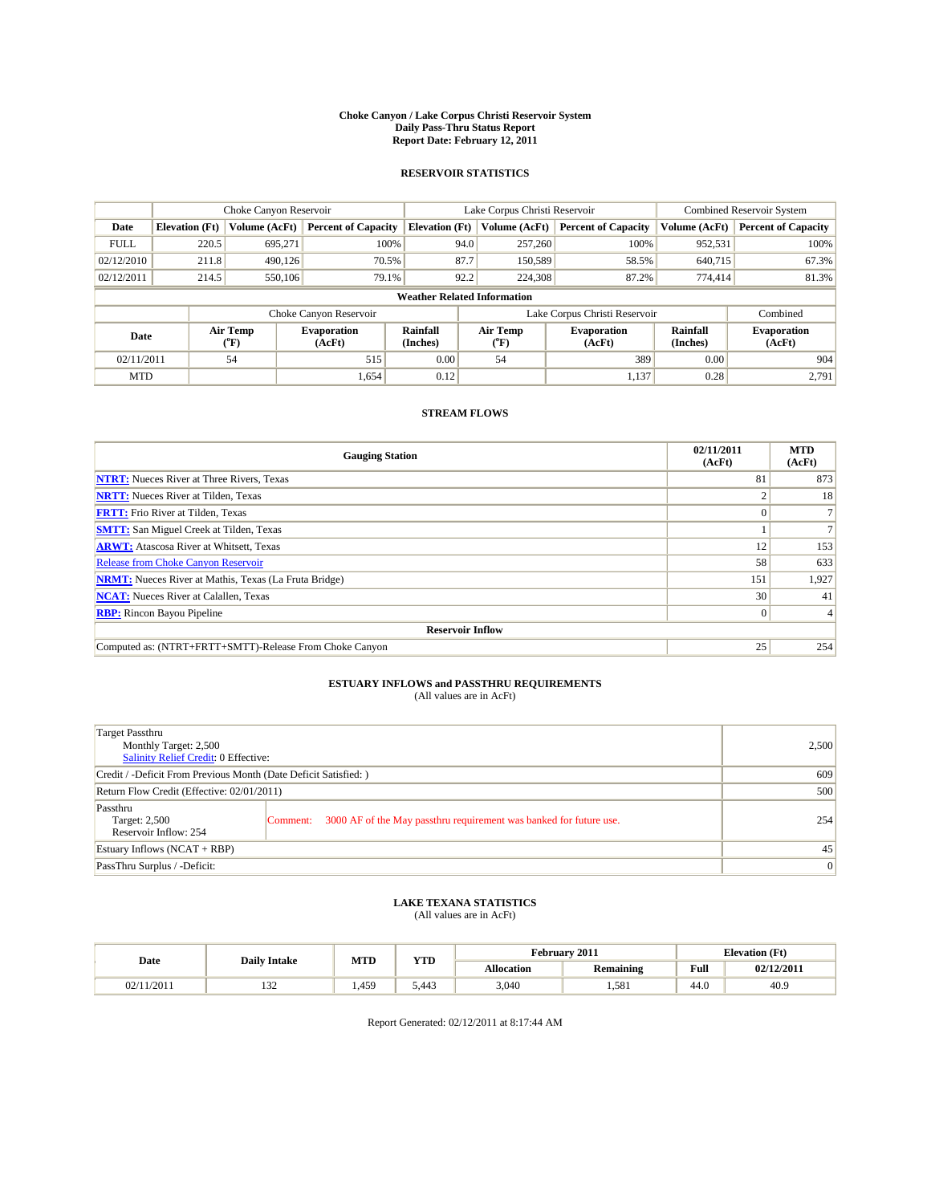#### **Choke Canyon / Lake Corpus Christi Reservoir System Daily Pass-Thru Status Report Report Date: February 12, 2011**

#### **RESERVOIR STATISTICS**

|             | Choke Canyon Reservoir             |                  |                              |                             | Lake Corpus Christi Reservoir  | <b>Combined Reservoir System</b> |                             |                              |  |  |
|-------------|------------------------------------|------------------|------------------------------|-----------------------------|--------------------------------|----------------------------------|-----------------------------|------------------------------|--|--|
| Date        | <b>Elevation</b> (Ft)              | Volume (AcFt)    | <b>Percent of Capacity</b>   | <b>Elevation</b> (Ft)       | Volume (AcFt)                  | <b>Percent of Capacity</b>       | Volume (AcFt)               | <b>Percent of Capacity</b>   |  |  |
| <b>FULL</b> | 220.5                              | 695,271          | 100%                         | 94.0                        | 257,260                        | 100%                             | 952,531                     | 100%                         |  |  |
| 02/12/2010  | 211.8                              | 490.126          | 70.5%                        | 87.7                        | 150,589                        | 58.5%                            | 640,715                     | 67.3%                        |  |  |
| 02/12/2011  | 214.5                              | 550,106          | 79.1%                        | 92.2                        | 224,308                        | 87.2%                            | 774,414                     | 81.3%                        |  |  |
|             | <b>Weather Related Information</b> |                  |                              |                             |                                |                                  |                             |                              |  |  |
|             |                                    |                  | Choke Canyon Reservoir       |                             |                                | Lake Corpus Christi Reservoir    |                             | Combined                     |  |  |
| Date        |                                    | Air Temp<br>(°F) | <b>Evaporation</b><br>(AcFt) | <b>Rainfall</b><br>(Inches) | Air Temp<br>$({}^o\mathrm{F})$ | <b>Evaporation</b><br>(AcFt)     | <b>Rainfall</b><br>(Inches) | <b>Evaporation</b><br>(AcFt) |  |  |
| 02/11/2011  |                                    | 54               | 515                          | 0.00                        | 54                             | 389                              | 0.00                        | 904                          |  |  |
| <b>MTD</b>  |                                    |                  | 1,654                        | 0.12                        |                                | 1,137                            | 0.28                        | 2.791                        |  |  |

### **STREAM FLOWS**

| <b>Gauging Station</b>                                       | 02/11/2011<br>(AcFt) | <b>MTD</b><br>(AcFt) |
|--------------------------------------------------------------|----------------------|----------------------|
| <b>NTRT:</b> Nueces River at Three Rivers, Texas             | 81                   | 873                  |
| <b>NRTT:</b> Nueces River at Tilden, Texas                   |                      | 18                   |
| <b>FRTT:</b> Frio River at Tilden, Texas                     |                      |                      |
| <b>SMTT:</b> San Miguel Creek at Tilden, Texas               |                      |                      |
| <b>ARWT:</b> Atascosa River at Whitsett, Texas               | 12                   | 153                  |
| Release from Choke Canyon Reservoir                          | 58                   | 633                  |
| <b>NRMT:</b> Nueces River at Mathis, Texas (La Fruta Bridge) | 151                  | 1,927                |
| <b>NCAT:</b> Nueces River at Calallen, Texas                 | 30                   | 41                   |
| <b>RBP:</b> Rincon Bayou Pipeline                            | $\Omega$             |                      |
| <b>Reservoir Inflow</b>                                      |                      |                      |
| Computed as: (NTRT+FRTT+SMTT)-Release From Choke Canyon      | 25                   | 254                  |

# **ESTUARY INFLOWS and PASSTHRU REQUIREMENTS**<br>(All values are in AcFt)

| Target Passthru<br>Monthly Target: 2,500<br>Salinity Relief Credit: 0 Effective: |                                                                                | 2,500           |
|----------------------------------------------------------------------------------|--------------------------------------------------------------------------------|-----------------|
| Credit / -Deficit From Previous Month (Date Deficit Satisfied: )                 | 609                                                                            |                 |
| Return Flow Credit (Effective: 02/01/2011)                                       | 500                                                                            |                 |
| Passthru<br>Target: 2,500<br>Reservoir Inflow: 254                               | 3000 AF of the May passthru requirement was banked for future use.<br>Comment: | 254             |
| Estuary Inflows (NCAT + RBP)                                                     |                                                                                | 45              |
| PassThru Surplus / -Deficit:                                                     |                                                                                | $\vert 0 \vert$ |

## **LAKE TEXANA STATISTICS** (All values are in AcFt)

|            | <b>Daily Intake</b> | MTD   | VTD<br>1 I.D | February 2011 |                  |                                         | <b>Elevation</b> (Ft) |
|------------|---------------------|-------|--------------|---------------|------------------|-----------------------------------------|-----------------------|
| Date       |                     |       |              | Allocation    | <b>Remaining</b> | Full<br>the contract of the contract of | 02/12/2011            |
| 02/11/2011 | $\sim$<br>1 J 4     | 1.459 | 5.443        | 3,040         | 1,581            | 44.0                                    | 40.9                  |

Report Generated: 02/12/2011 at 8:17:44 AM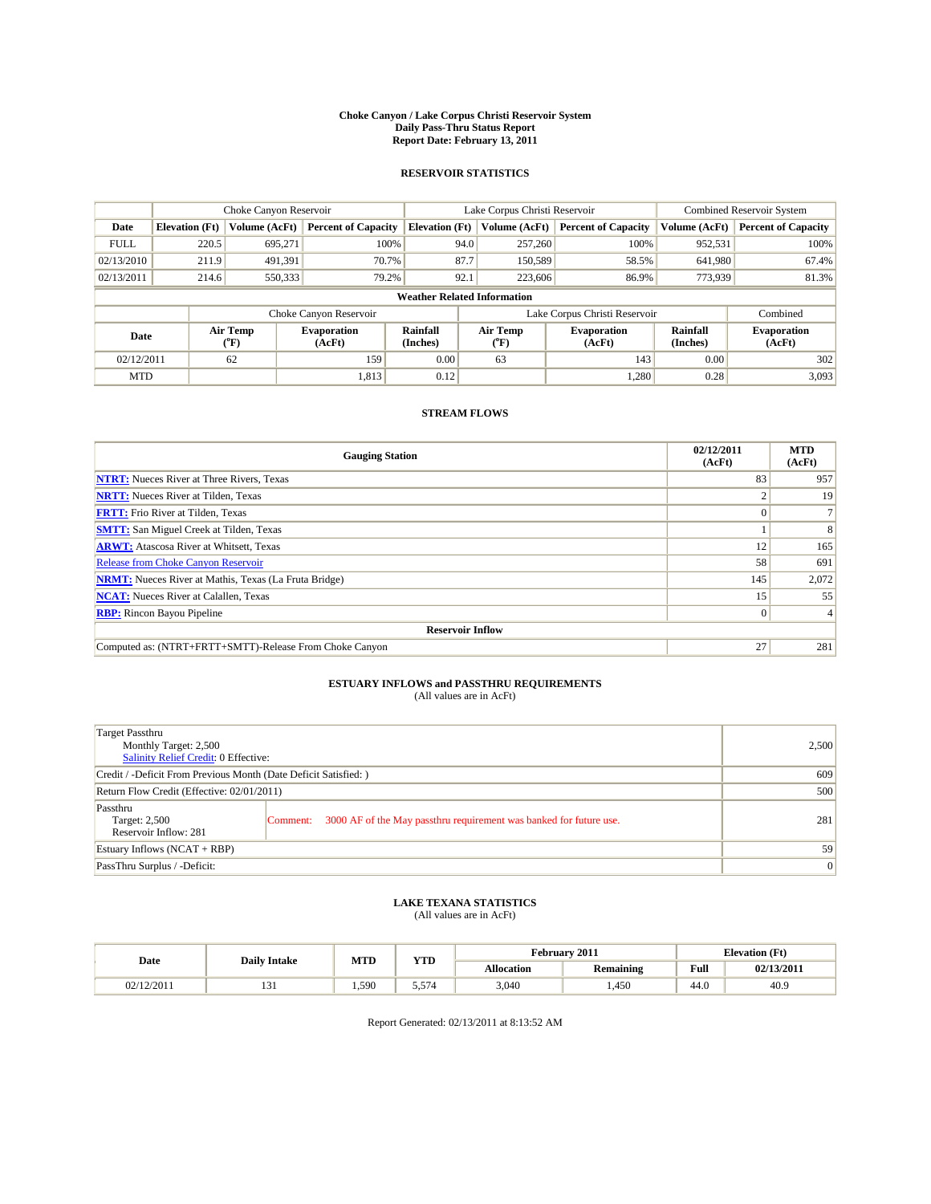#### **Choke Canyon / Lake Corpus Christi Reservoir System Daily Pass-Thru Status Report Report Date: February 13, 2011**

#### **RESERVOIR STATISTICS**

|             | Choke Canyon Reservoir             |                  |                              |                             | Lake Corpus Christi Reservoir | <b>Combined Reservoir System</b> |                             |                              |  |  |
|-------------|------------------------------------|------------------|------------------------------|-----------------------------|-------------------------------|----------------------------------|-----------------------------|------------------------------|--|--|
| Date        | <b>Elevation</b> (Ft)              | Volume (AcFt)    | <b>Percent of Capacity</b>   | <b>Elevation</b> (Ft)       | Volume (AcFt)                 | <b>Percent of Capacity</b>       | Volume (AcFt)               | <b>Percent of Capacity</b>   |  |  |
| <b>FULL</b> | 220.5                              | 695,271          | 100%                         | 94.0                        | 257,260                       | 100%                             | 952,531                     | 100%                         |  |  |
| 02/13/2010  | 211.9                              | 491,391          | 70.7%                        | 87.7                        | 150,589                       | 58.5%                            | 641,980                     | 67.4%                        |  |  |
| 02/13/2011  | 214.6                              | 550,333          | 79.2%                        | 92.1                        | 223,606                       | 86.9%                            | 773,939                     | 81.3%                        |  |  |
|             | <b>Weather Related Information</b> |                  |                              |                             |                               |                                  |                             |                              |  |  |
|             |                                    |                  | Choke Canyon Reservoir       |                             |                               | Lake Corpus Christi Reservoir    |                             | Combined                     |  |  |
| Date        |                                    | Air Temp<br>(°F) | <b>Evaporation</b><br>(AcFt) | <b>Rainfall</b><br>(Inches) | Air Temp<br>(°F)              | <b>Evaporation</b><br>(AcFt)     | <b>Rainfall</b><br>(Inches) | <b>Evaporation</b><br>(AcFt) |  |  |
| 02/12/2011  |                                    | 62               | 159                          | 0.00                        | 63                            | 143                              | 0.00                        | 302                          |  |  |
| <b>MTD</b>  |                                    |                  | 1,813                        | 0.12                        |                               | 1.280                            | 0.28                        | 3.093                        |  |  |

### **STREAM FLOWS**

| <b>Gauging Station</b>                                       | 02/12/2011<br>(AcFt) | <b>MTD</b><br>(AcFt) |
|--------------------------------------------------------------|----------------------|----------------------|
| <b>NTRT:</b> Nueces River at Three Rivers, Texas             | 83                   | 957                  |
| <b>NRTT:</b> Nueces River at Tilden, Texas                   |                      | 19                   |
| <b>FRTT:</b> Frio River at Tilden, Texas                     |                      |                      |
| <b>SMTT:</b> San Miguel Creek at Tilden, Texas               |                      | 8                    |
| <b>ARWT:</b> Atascosa River at Whitsett, Texas               | 12                   | 165                  |
| <b>Release from Choke Canyon Reservoir</b>                   | 58                   | 691                  |
| <b>NRMT:</b> Nueces River at Mathis, Texas (La Fruta Bridge) | 145                  | 2,072                |
| <b>NCAT:</b> Nueces River at Calallen, Texas                 | 15                   | 55                   |
| <b>RBP:</b> Rincon Bayou Pipeline                            | $\overline{0}$       |                      |
| <b>Reservoir Inflow</b>                                      |                      |                      |
| Computed as: (NTRT+FRTT+SMTT)-Release From Choke Canyon      | 27                   | 281                  |

# **ESTUARY INFLOWS and PASSTHRU REQUIREMENTS**<br>(All values are in AcFt)

| Target Passthru<br>Monthly Target: 2,500<br>Salinity Relief Credit: 0 Effective: |                                                                                | 2,500 |
|----------------------------------------------------------------------------------|--------------------------------------------------------------------------------|-------|
| Credit / -Deficit From Previous Month (Date Deficit Satisfied: )                 | 609                                                                            |       |
| Return Flow Credit (Effective: 02/01/2011)                                       | 500                                                                            |       |
| Passthru<br>Target: 2,500<br>Reservoir Inflow: 281                               | 3000 AF of the May passthru requirement was banked for future use.<br>Comment: | 281   |
| Estuary Inflows (NCAT + RBP)                                                     |                                                                                | 59    |
| PassThru Surplus / -Deficit:                                                     |                                                                                | 0     |

## **LAKE TEXANA STATISTICS** (All values are in AcFt)

|            | <b>Daily Intake</b> | MTD   | VTD<br>1 I.D | February 2011 |                  |                                         | <b>Elevation</b> (Ft) |
|------------|---------------------|-------|--------------|---------------|------------------|-----------------------------------------|-----------------------|
| Date       |                     |       |              | Allocation    | <b>Remaining</b> | Full<br>the contract of the contract of | 02/13/2011            |
| 02/12/2011 | $\sim$<br>1 J 1     | 1.590 | 5.574        | 3,040         | 1.450            | 44.0                                    | 40.9                  |

Report Generated: 02/13/2011 at 8:13:52 AM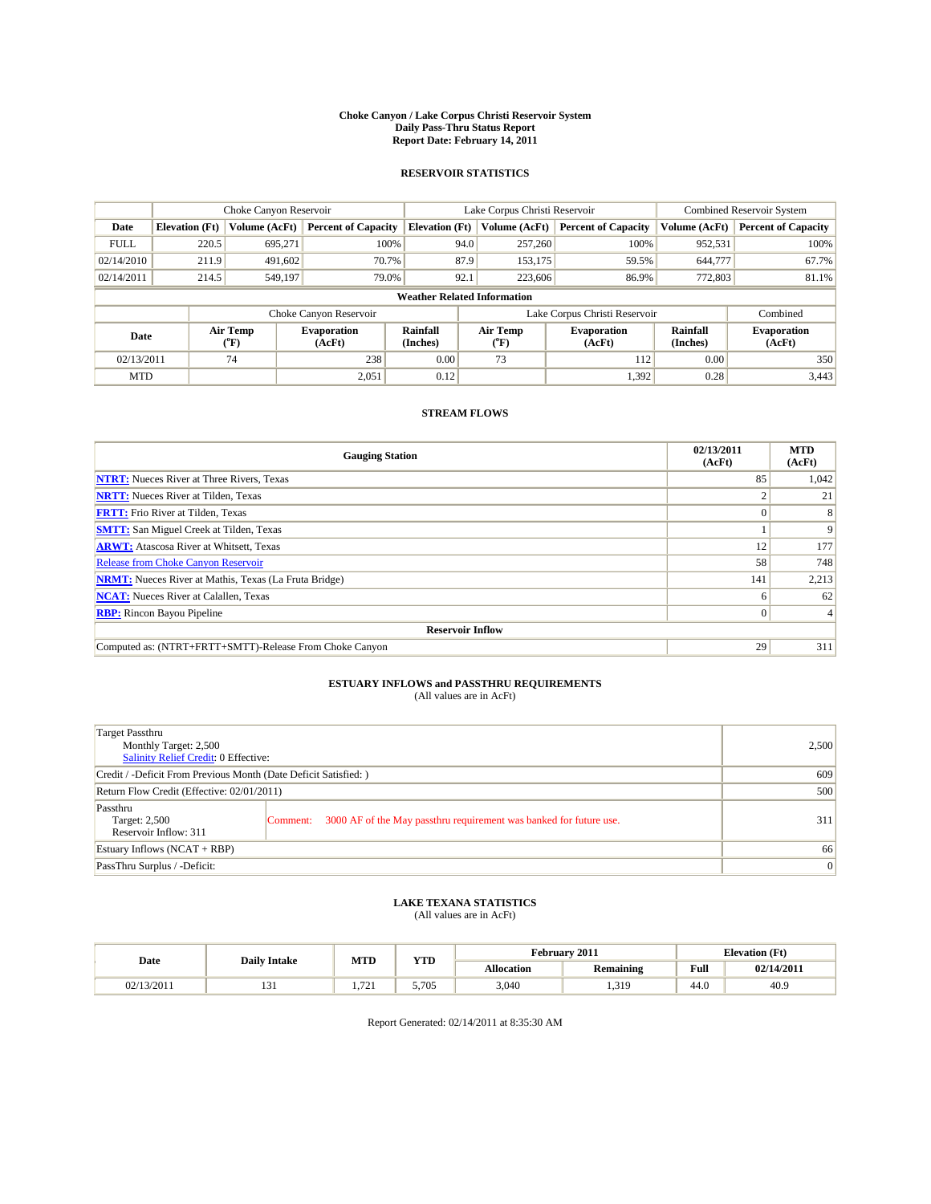#### **Choke Canyon / Lake Corpus Christi Reservoir System Daily Pass-Thru Status Report Report Date: February 14, 2011**

#### **RESERVOIR STATISTICS**

|             | Choke Canyon Reservoir             |                                           |                              |                       | Lake Corpus Christi Reservoir | <b>Combined Reservoir System</b> |                      |                              |  |  |
|-------------|------------------------------------|-------------------------------------------|------------------------------|-----------------------|-------------------------------|----------------------------------|----------------------|------------------------------|--|--|
| Date        | <b>Elevation</b> (Ft)              | Volume (AcFt)                             | <b>Percent of Capacity</b>   | <b>Elevation</b> (Ft) | Volume (AcFt)                 | <b>Percent of Capacity</b>       | Volume (AcFt)        | <b>Percent of Capacity</b>   |  |  |
| <b>FULL</b> | 220.5                              | 695,271                                   | 100%                         | 94.0                  | 257,260                       | 100%                             | 952,531              | 100%                         |  |  |
| 02/14/2010  | 211.9                              | 491,602                                   | 70.7%                        | 87.9                  | 153,175                       | 59.5%                            | 644,777              | 67.7%                        |  |  |
| 02/14/2011  | 214.5                              | 549,197                                   | 79.0%                        | 92.1                  | 223,606                       | 86.9%                            | 772,803              | 81.1%                        |  |  |
|             | <b>Weather Related Information</b> |                                           |                              |                       |                               |                                  |                      |                              |  |  |
|             |                                    |                                           | Choke Canyon Reservoir       |                       |                               | Lake Corpus Christi Reservoir    |                      | Combined                     |  |  |
| Date        |                                    | Air Temp<br>$({}^{\mathrm{o}}\mathrm{F})$ | <b>Evaporation</b><br>(AcFt) | Rainfall<br>(Inches)  | Air Temp<br>(°F)              | <b>Evaporation</b><br>(AcFt)     | Rainfall<br>(Inches) | <b>Evaporation</b><br>(AcFt) |  |  |
| 02/13/2011  |                                    | 74                                        | 238                          | 0.00                  | 73                            | 112                              | 0.00                 | 350                          |  |  |
| <b>MTD</b>  |                                    |                                           | 2,051                        | 0.12                  |                               | 1,392                            | 0.28                 | 3.443                        |  |  |

### **STREAM FLOWS**

| <b>Gauging Station</b>                                       | 02/13/2011<br>(AcFt) | <b>MTD</b><br>(AcFt) |
|--------------------------------------------------------------|----------------------|----------------------|
| <b>NTRT:</b> Nueces River at Three Rivers, Texas             | 85                   | 1,042                |
| <b>NRTT:</b> Nueces River at Tilden, Texas                   |                      | 21                   |
| <b>FRTT:</b> Frio River at Tilden, Texas                     |                      | 8                    |
| <b>SMTT:</b> San Miguel Creek at Tilden, Texas               |                      | 9                    |
| <b>ARWT:</b> Atascosa River at Whitsett, Texas               | 12                   | 177                  |
| <b>Release from Choke Canyon Reservoir</b>                   | 58                   | 748                  |
| <b>NRMT:</b> Nueces River at Mathis, Texas (La Fruta Bridge) | 141                  | 2,213                |
| <b>NCAT:</b> Nueces River at Calallen, Texas                 | 6                    | 62                   |
| <b>RBP:</b> Rincon Bayou Pipeline                            | $\overline{0}$       | 4                    |
| <b>Reservoir Inflow</b>                                      |                      |                      |
| Computed as: (NTRT+FRTT+SMTT)-Release From Choke Canyon      | 29                   | 311                  |

# **ESTUARY INFLOWS and PASSTHRU REQUIREMENTS**<br>(All values are in AcFt)

| Target Passthru<br>Monthly Target: 2,500<br>Salinity Relief Credit: 0 Effective: |                                                                                | 2,500 |
|----------------------------------------------------------------------------------|--------------------------------------------------------------------------------|-------|
| Credit / -Deficit From Previous Month (Date Deficit Satisfied: )                 | 609                                                                            |       |
| Return Flow Credit (Effective: 02/01/2011)                                       | 500                                                                            |       |
| Passthru<br>Target: 2,500<br>Reservoir Inflow: 311                               | 3000 AF of the May passthru requirement was banked for future use.<br>Comment: | 311   |
| Estuary Inflows (NCAT + RBP)                                                     |                                                                                | 66    |
| PassThru Surplus / -Deficit:                                                     | $\vert 0 \vert$                                                                |       |

## **LAKE TEXANA STATISTICS** (All values are in AcFt)

|            | <b>Daily Intake</b> | <b>MTD</b>                    | <b>YTD</b> | February 2011<br><b>Elevation</b> (Ft) |                  |      |            |
|------------|---------------------|-------------------------------|------------|----------------------------------------|------------------|------|------------|
| Date       |                     |                               |            | <b>Allocation</b>                      | <b>Remaining</b> | Full | 02/14/2011 |
| 02/13/2011 | 1 J 1               | $\mathbf{a}$<br>$\rightarrow$ | 5.705      | 3,040                                  | 1,319            | 44.0 | 40.9       |

Report Generated: 02/14/2011 at 8:35:30 AM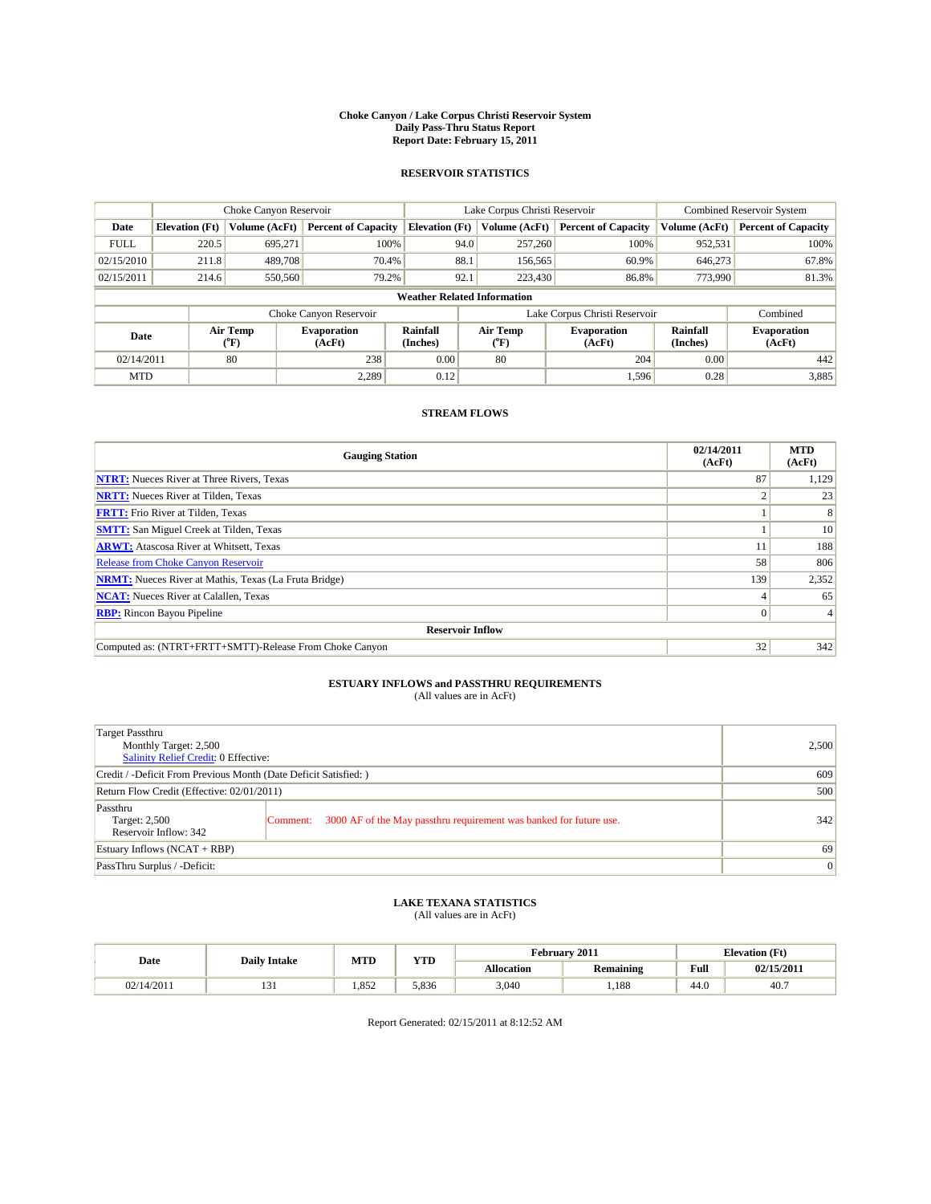#### **Choke Canyon / Lake Corpus Christi Reservoir System Daily Pass-Thru Status Report Report Date: February 15, 2011**

#### **RESERVOIR STATISTICS**

|             | Choke Canyon Reservoir             |                  |                              |                             | Lake Corpus Christi Reservoir | <b>Combined Reservoir System</b> |                             |                              |  |  |
|-------------|------------------------------------|------------------|------------------------------|-----------------------------|-------------------------------|----------------------------------|-----------------------------|------------------------------|--|--|
| Date        | <b>Elevation</b> (Ft)              | Volume (AcFt)    | <b>Percent of Capacity</b>   | <b>Elevation</b> (Ft)       | Volume (AcFt)                 | <b>Percent of Capacity</b>       | Volume (AcFt)               | <b>Percent of Capacity</b>   |  |  |
| <b>FULL</b> | 220.5                              | 695,271          | 100%                         | 94.0                        | 257,260                       | 100%                             | 952,531                     | 100%                         |  |  |
| 02/15/2010  | 211.8                              | 489,708          | 70.4%                        | 88.1                        | 156,565                       | 60.9%                            | 646,273                     | 67.8%                        |  |  |
| 02/15/2011  | 214.6                              | 550,560          | 79.2%                        | 92.1                        | 223,430                       | 86.8%                            | 773,990                     | 81.3%                        |  |  |
|             | <b>Weather Related Information</b> |                  |                              |                             |                               |                                  |                             |                              |  |  |
|             |                                    |                  | Choke Canyon Reservoir       |                             |                               | Lake Corpus Christi Reservoir    |                             | Combined                     |  |  |
| Date        |                                    | Air Temp<br>(°F) | <b>Evaporation</b><br>(AcFt) | <b>Rainfall</b><br>(Inches) | Air Temp<br>(°F)              | <b>Evaporation</b><br>(AcFt)     | <b>Rainfall</b><br>(Inches) | <b>Evaporation</b><br>(AcFt) |  |  |
| 02/14/2011  |                                    | 80               | 238                          | 0.00                        | 80                            | 204                              | 0.00                        | 442                          |  |  |
| <b>MTD</b>  |                                    |                  | 2.289                        | 0.12                        |                               | 1,596                            | 0.28                        | 3,885                        |  |  |

### **STREAM FLOWS**

| <b>Gauging Station</b>                                       | 02/14/2011<br>(AcFt) | <b>MTD</b><br>(AcFt) |
|--------------------------------------------------------------|----------------------|----------------------|
| <b>NTRT:</b> Nueces River at Three Rivers, Texas             | 87                   | 1,129                |
| <b>NRTT:</b> Nueces River at Tilden, Texas                   |                      | 23                   |
| <b>FRTT:</b> Frio River at Tilden, Texas                     |                      |                      |
| <b>SMTT:</b> San Miguel Creek at Tilden, Texas               |                      | 10                   |
| <b>ARWT:</b> Atascosa River at Whitsett, Texas               |                      | 188                  |
| <b>Release from Choke Canyon Reservoir</b>                   | 58                   | 806                  |
| <b>NRMT:</b> Nueces River at Mathis, Texas (La Fruta Bridge) | 139                  | 2,352                |
| <b>NCAT:</b> Nueces River at Calallen, Texas                 |                      | 65                   |
| <b>RBP:</b> Rincon Bayou Pipeline                            | $\overline{0}$       | 4                    |
| <b>Reservoir Inflow</b>                                      |                      |                      |
| Computed as: (NTRT+FRTT+SMTT)-Release From Choke Canyon      | 32                   | 342                  |

# **ESTUARY INFLOWS and PASSTHRU REQUIREMENTS**<br>(All values are in AcFt)

| Target Passthru<br>Monthly Target: 2,500<br>Salinity Relief Credit: 0 Effective: |                                                                                | 2,500 |
|----------------------------------------------------------------------------------|--------------------------------------------------------------------------------|-------|
| Credit / -Deficit From Previous Month (Date Deficit Satisfied: )                 | 609                                                                            |       |
| Return Flow Credit (Effective: 02/01/2011)                                       | 500                                                                            |       |
| Passthru<br>Target: 2,500<br>Reservoir Inflow: 342                               | 3000 AF of the May passthru requirement was banked for future use.<br>Comment: | 342   |
| Estuary Inflows (NCAT + RBP)                                                     |                                                                                | 69    |
| PassThru Surplus / -Deficit:                                                     | $\vert 0 \vert$                                                                |       |

## **LAKE TEXANA STATISTICS** (All values are in AcFt)

|            | <b>Daily Intake</b> | MTD  | VTF<br>1 I.D | February 2011<br><b>Elevation</b> (Ft) |                  |                                         |            |
|------------|---------------------|------|--------------|----------------------------------------|------------------|-----------------------------------------|------------|
| Date       |                     |      |              | Allocation                             | <b>Remaining</b> | Full<br>the contract of the contract of | 02/15/2011 |
| 02/14/2011 | $\sim$<br>1 J 1     | .852 | 5.836        | 3,040                                  | . 188            | 44.0                                    | 40.        |

Report Generated: 02/15/2011 at 8:12:52 AM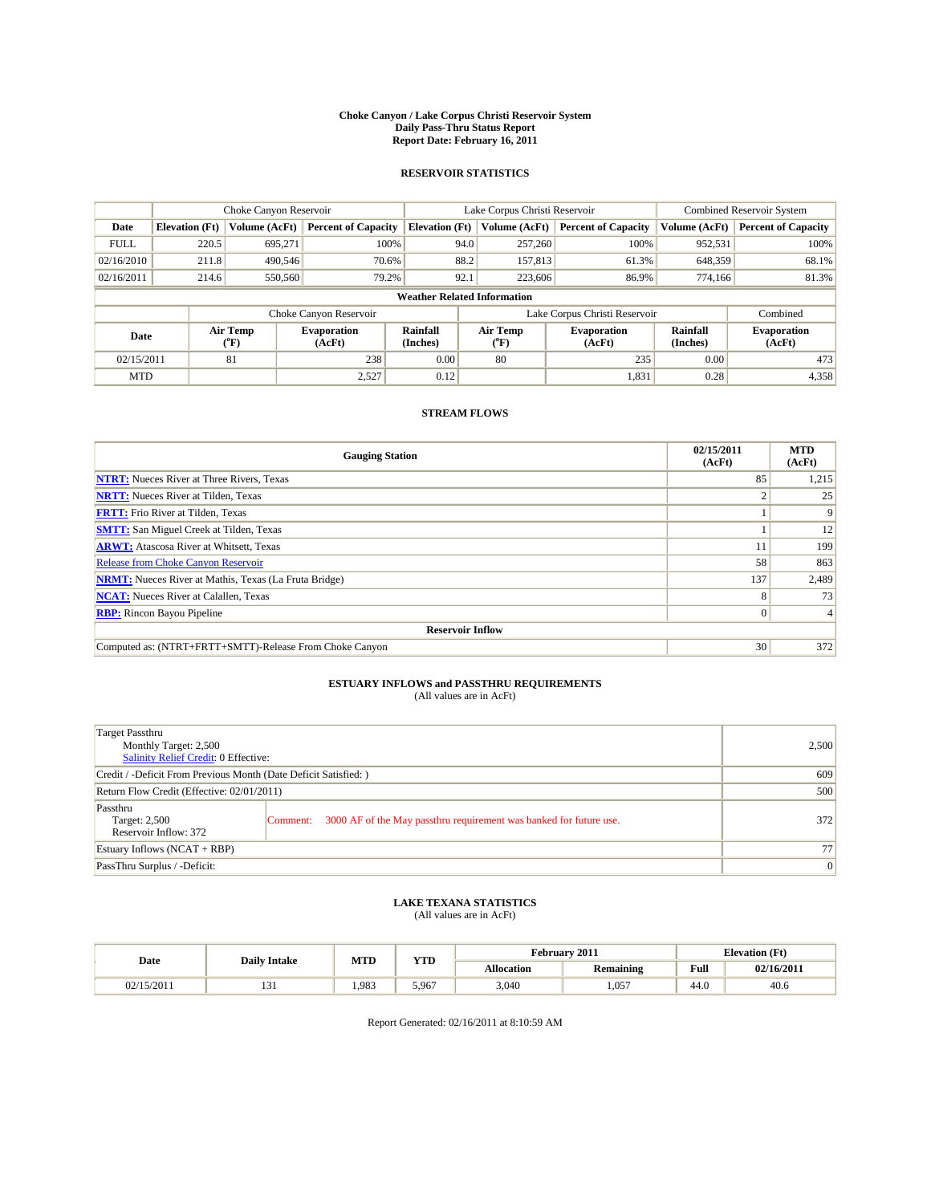#### **Choke Canyon / Lake Corpus Christi Reservoir System Daily Pass-Thru Status Report Report Date: February 16, 2011**

#### **RESERVOIR STATISTICS**

|             | Choke Canyon Reservoir             |                  |                              |                       | Lake Corpus Christi Reservoir | <b>Combined Reservoir System</b> |                      |                              |  |  |
|-------------|------------------------------------|------------------|------------------------------|-----------------------|-------------------------------|----------------------------------|----------------------|------------------------------|--|--|
| Date        | <b>Elevation</b> (Ft)              | Volume (AcFt)    | <b>Percent of Capacity</b>   | <b>Elevation</b> (Ft) | Volume (AcFt)                 | <b>Percent of Capacity</b>       | Volume (AcFt)        | <b>Percent of Capacity</b>   |  |  |
| <b>FULL</b> | 220.5                              | 695,271          | 100%                         | 94.0                  | 257,260                       | 100%                             | 952,531              | 100%                         |  |  |
| 02/16/2010  | 211.8                              | 490,546          | 70.6%                        | 88.2                  | 157,813                       | 61.3%                            | 648,359              | 68.1%                        |  |  |
| 02/16/2011  | 214.6                              | 550,560          | 79.2%                        | 92.1                  | 223,606                       | 86.9%                            | 774,166              | 81.3%                        |  |  |
|             | <b>Weather Related Information</b> |                  |                              |                       |                               |                                  |                      |                              |  |  |
|             |                                    |                  | Choke Canyon Reservoir       |                       |                               | Lake Corpus Christi Reservoir    |                      | Combined                     |  |  |
| Date        |                                    | Air Temp<br>(°F) | <b>Evaporation</b><br>(AcFt) | Rainfall<br>(Inches)  | Air Temp<br>("F)              | <b>Evaporation</b><br>(AcFt)     | Rainfall<br>(Inches) | <b>Evaporation</b><br>(AcFt) |  |  |
| 02/15/2011  |                                    | 81               | 238                          | 0.00                  | 80                            | 235                              | 0.00                 | 473                          |  |  |
| <b>MTD</b>  |                                    |                  | 2,527                        | 0.12                  |                               | 1,831                            | 0.28                 | 4,358                        |  |  |

### **STREAM FLOWS**

| <b>Gauging Station</b>                                       | 02/15/2011<br>(AcFt) | <b>MTD</b><br>(AcFt) |
|--------------------------------------------------------------|----------------------|----------------------|
| <b>NTRT:</b> Nueces River at Three Rivers, Texas             | 85                   | 1,215                |
| <b>NRTT:</b> Nueces River at Tilden, Texas                   |                      | 25                   |
| <b>FRTT:</b> Frio River at Tilden, Texas                     |                      | 9                    |
| <b>SMTT:</b> San Miguel Creek at Tilden, Texas               |                      | 12                   |
| <b>ARWT:</b> Atascosa River at Whitsett, Texas               |                      | 199                  |
| <b>Release from Choke Canyon Reservoir</b>                   | 58                   | 863                  |
| <b>NRMT:</b> Nueces River at Mathis, Texas (La Fruta Bridge) | 137                  | 2,489                |
| <b>NCAT:</b> Nueces River at Calallen, Texas                 | 8                    | 73                   |
| <b>RBP:</b> Rincon Bayou Pipeline                            | $\overline{0}$       | 4                    |
| <b>Reservoir Inflow</b>                                      |                      |                      |
| Computed as: (NTRT+FRTT+SMTT)-Release From Choke Canyon      | 30                   | 372                  |

## **ESTUARY INFLOWS and PASSTHRU REQUIREMENTS**<br>(All values are in AcFt)

| <b>Target Passthru</b><br>Monthly Target: 2,500<br><b>Salinity Relief Credit: 0 Effective:</b> |                                                                                | 2,500 |
|------------------------------------------------------------------------------------------------|--------------------------------------------------------------------------------|-------|
| Credit / -Deficit From Previous Month (Date Deficit Satisfied: )                               |                                                                                | 609   |
| Return Flow Credit (Effective: 02/01/2011)                                                     | 500                                                                            |       |
| Passthru<br>Target: 2,500<br>Reservoir Inflow: 372                                             | 3000 AF of the May passthru requirement was banked for future use.<br>Comment: | 372   |
| Estuary Inflows $(NCAT + RBP)$                                                                 |                                                                                | 77    |
| PassThru Surplus / -Deficit:                                                                   |                                                                                | 0     |

## **LAKE TEXANA STATISTICS** (All values are in AcFt)

|            | <b>Daily Intake</b> | MTD   | <b>WITH</b><br>1 I.D | <b>Elevation</b> (Ft)<br>February 2011 |                  |                |            |
|------------|---------------------|-------|----------------------|----------------------------------------|------------------|----------------|------------|
| Date       |                     |       |                      | <b>Allocation</b>                      | <b>Remaining</b> | Full<br>_____  | 02/16/2011 |
| 02/15/2011 | 1 J 1               | 1.983 | 5.967                | 3.040                                  | 1,057            | $\sim$<br>44.0 | 40.6       |

Report Generated: 02/16/2011 at 8:10:59 AM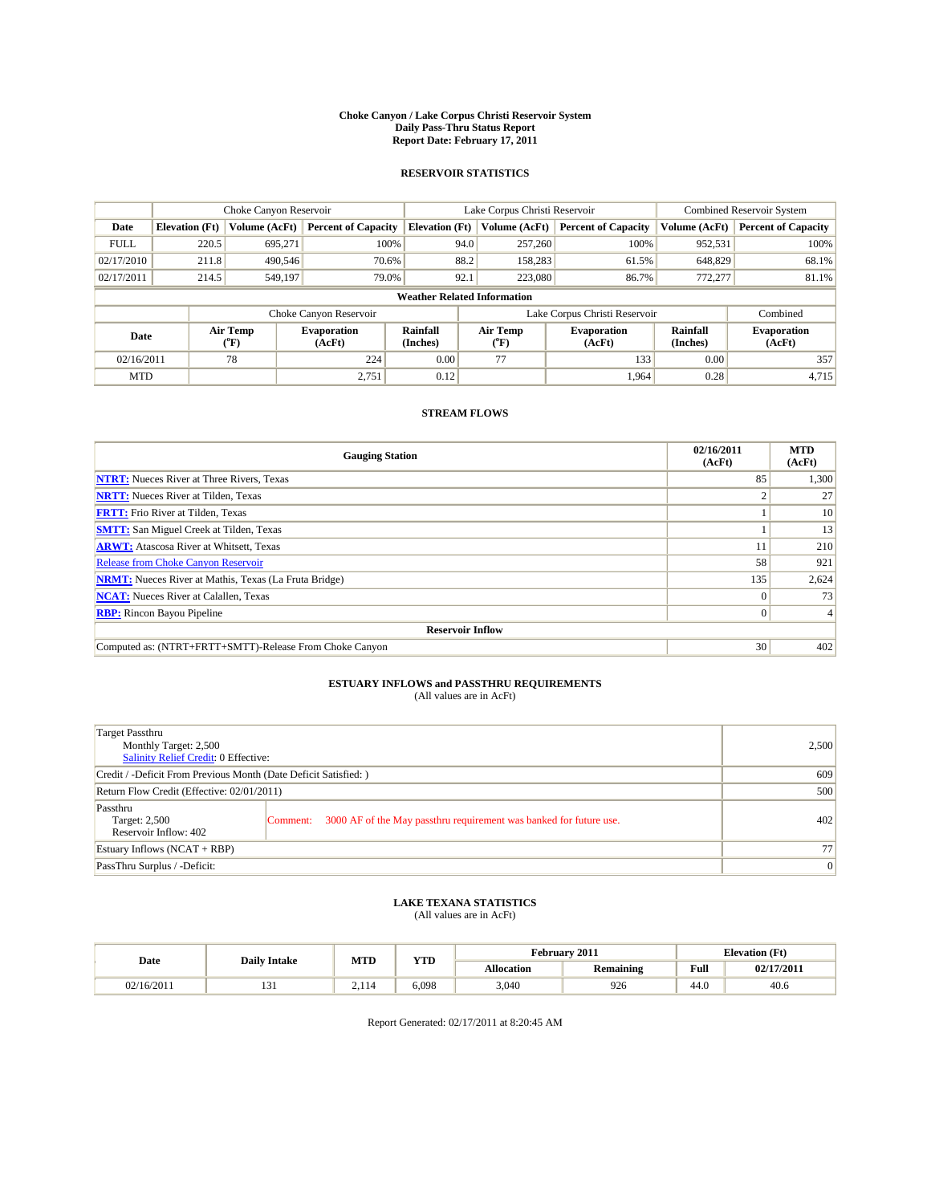#### **Choke Canyon / Lake Corpus Christi Reservoir System Daily Pass-Thru Status Report Report Date: February 17, 2011**

#### **RESERVOIR STATISTICS**

|             | Choke Canyon Reservoir             |                  |                              |                             | Lake Corpus Christi Reservoir | <b>Combined Reservoir System</b> |                             |                              |  |
|-------------|------------------------------------|------------------|------------------------------|-----------------------------|-------------------------------|----------------------------------|-----------------------------|------------------------------|--|
| Date        | <b>Elevation</b> (Ft)              | Volume (AcFt)    | <b>Percent of Capacity</b>   | <b>Elevation</b> (Ft)       | Volume (AcFt)                 | <b>Percent of Capacity</b>       | Volume (AcFt)               | <b>Percent of Capacity</b>   |  |
| <b>FULL</b> | 220.5                              | 695,271          | 100%                         | 94.0                        | 257,260                       | 100%                             | 952,531                     | 100%                         |  |
| 02/17/2010  | 211.8                              | 490,546          | 70.6%                        | 88.2                        | 158,283                       | 61.5%                            | 648,829                     | 68.1%                        |  |
| 02/17/2011  | 214.5                              | 549,197          | 79.0%                        | 92.1                        | 223,080                       | 86.7%                            | 772,277                     | 81.1%                        |  |
|             | <b>Weather Related Information</b> |                  |                              |                             |                               |                                  |                             |                              |  |
|             |                                    |                  | Choke Canyon Reservoir       |                             |                               | Lake Corpus Christi Reservoir    |                             | Combined                     |  |
| Date        |                                    | Air Temp<br>(°F) | <b>Evaporation</b><br>(AcFt) | <b>Rainfall</b><br>(Inches) | Air Temp<br>(°F)              | <b>Evaporation</b><br>(AcFt)     | <b>Rainfall</b><br>(Inches) | <b>Evaporation</b><br>(AcFt) |  |
| 02/16/2011  |                                    | 78               | 224                          | 0.00                        | 77                            | 133                              | 0.00                        | 357                          |  |
| <b>MTD</b>  |                                    |                  | 2,751                        | 0.12                        |                               | 1.964                            | 0.28                        | 4,715                        |  |

### **STREAM FLOWS**

| <b>Gauging Station</b>                                       | 02/16/2011<br>(AcFt) | <b>MTD</b><br>(AcFt) |
|--------------------------------------------------------------|----------------------|----------------------|
| <b>NTRT:</b> Nueces River at Three Rivers, Texas             | 85                   | 1,300                |
| <b>NRTT:</b> Nueces River at Tilden, Texas                   |                      | 27                   |
| <b>FRTT:</b> Frio River at Tilden, Texas                     |                      | 10                   |
| <b>SMTT:</b> San Miguel Creek at Tilden, Texas               |                      | 13                   |
| <b>ARWT:</b> Atascosa River at Whitsett, Texas               |                      | 210                  |
| <b>Release from Choke Canyon Reservoir</b>                   | 58                   | 921                  |
| <b>NRMT:</b> Nueces River at Mathis, Texas (La Fruta Bridge) | 135                  | 2,624                |
| <b>NCAT:</b> Nueces River at Calallen, Texas                 | $\Omega$             | 73                   |
| <b>RBP:</b> Rincon Bayou Pipeline                            | $\overline{0}$       | 4                    |
| <b>Reservoir Inflow</b>                                      |                      |                      |
| Computed as: (NTRT+FRTT+SMTT)-Release From Choke Canyon      | 30                   | 402                  |

# **ESTUARY INFLOWS and PASSTHRU REQUIREMENTS**<br>(All values are in AcFt)

| Target Passthru<br>Monthly Target: 2,500<br><b>Salinity Relief Credit: 0 Effective:</b> |                                                                                | 2,500           |
|-----------------------------------------------------------------------------------------|--------------------------------------------------------------------------------|-----------------|
| Credit / -Deficit From Previous Month (Date Deficit Satisfied: )                        | 609                                                                            |                 |
| Return Flow Credit (Effective: 02/01/2011)                                              | 500                                                                            |                 |
| Passthru<br>Target: 2,500<br>Reservoir Inflow: 402                                      | 3000 AF of the May passthru requirement was banked for future use.<br>Comment: | 402             |
| Estuary Inflows $(NCAT + RBP)$                                                          |                                                                                | 77              |
| PassThru Surplus / -Deficit:                                                            |                                                                                | $\vert 0 \vert$ |

## **LAKE TEXANA STATISTICS** (All values are in AcFt)

|            | <b>Daily Intake</b> | MTD                         | <b>WITH</b><br>1 I.D | February 2011<br><b>Elevation</b> (Ft) |                  |                                         |            |
|------------|---------------------|-----------------------------|----------------------|----------------------------------------|------------------|-----------------------------------------|------------|
| Date       |                     |                             |                      | <b>Allocation</b>                      | <b>Remaining</b> | Full<br>the contract of the contract of | 02/17/2011 |
| 02/16/2011 | 1 J 1               | $\sim$ $\sim$ $\sim$ $\sim$ | 6.098                | 3.040                                  | 926              | 44.C                                    | 40.6       |

Report Generated: 02/17/2011 at 8:20:45 AM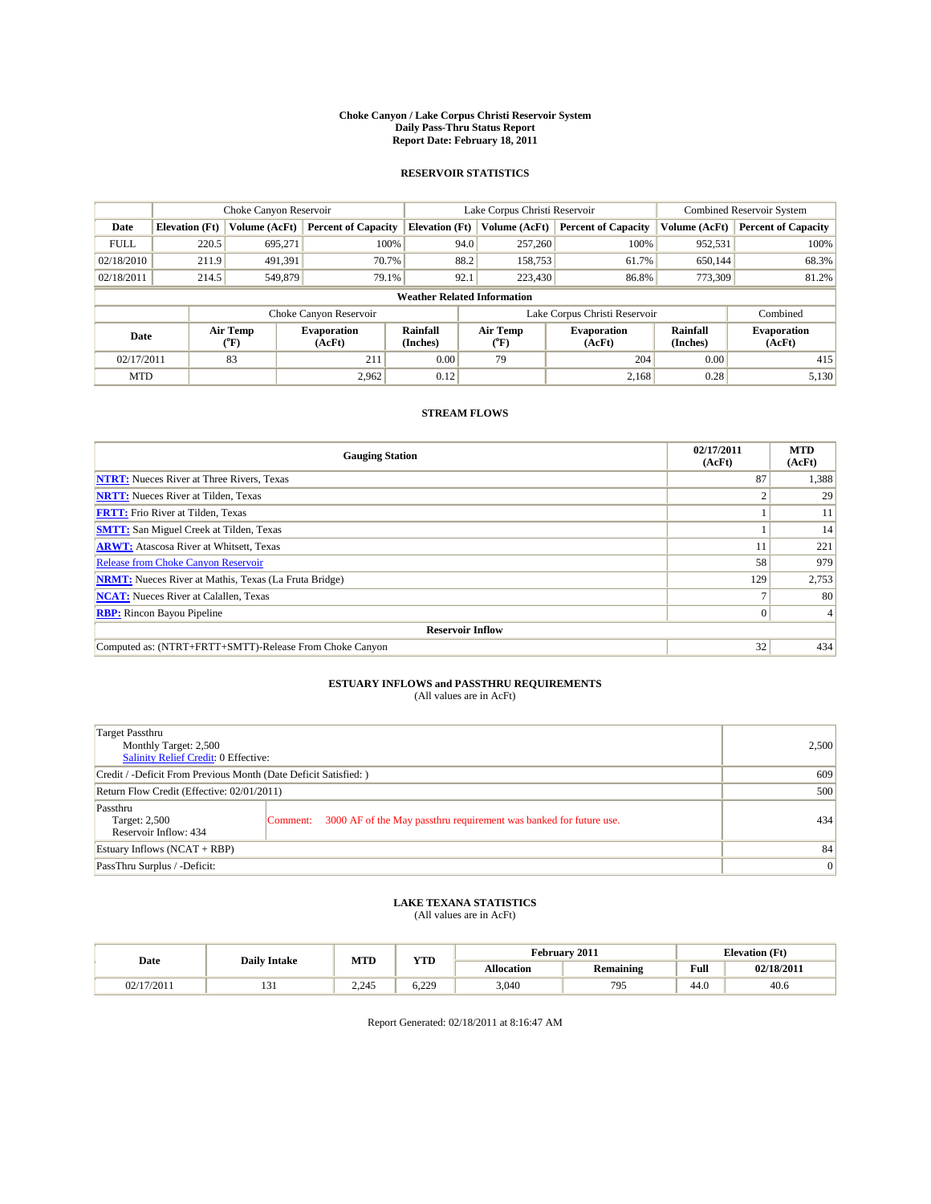#### **Choke Canyon / Lake Corpus Christi Reservoir System Daily Pass-Thru Status Report Report Date: February 18, 2011**

#### **RESERVOIR STATISTICS**

|             | Choke Canyon Reservoir             |                                           |                              |                             | Lake Corpus Christi Reservoir | <b>Combined Reservoir System</b> |                             |                              |  |  |
|-------------|------------------------------------|-------------------------------------------|------------------------------|-----------------------------|-------------------------------|----------------------------------|-----------------------------|------------------------------|--|--|
| Date        | <b>Elevation</b> (Ft)              | Volume (AcFt)                             | <b>Percent of Capacity</b>   | <b>Elevation</b> (Ft)       | Volume (AcFt)                 | <b>Percent of Capacity</b>       | Volume (AcFt)               | <b>Percent of Capacity</b>   |  |  |
| <b>FULL</b> | 220.5                              | 695,271                                   | 100%                         | 94.0                        | 257,260                       | 100%                             | 952,531                     | 100%                         |  |  |
| 02/18/2010  | 211.9                              | 491,391                                   | 70.7%                        | 88.2                        | 158,753                       | 61.7%                            | 650,144                     | 68.3%                        |  |  |
| 02/18/2011  | 214.5                              | 549,879                                   | 79.1%                        | 92.1                        | 223,430                       | 86.8%                            | 773,309                     | 81.2%                        |  |  |
|             | <b>Weather Related Information</b> |                                           |                              |                             |                               |                                  |                             |                              |  |  |
|             |                                    |                                           | Choke Canyon Reservoir       |                             |                               | Lake Corpus Christi Reservoir    |                             | Combined                     |  |  |
| Date        |                                    | Air Temp<br>$({}^{\mathrm{o}}\mathrm{F})$ | <b>Evaporation</b><br>(AcFt) | <b>Rainfall</b><br>(Inches) | Air Temp<br>(°F)              | <b>Evaporation</b><br>(AcFt)     | <b>Rainfall</b><br>(Inches) | <b>Evaporation</b><br>(AcFt) |  |  |
| 02/17/2011  |                                    | 83                                        | 211                          | 0.00                        | 79                            | 204                              | 0.00                        | 415                          |  |  |
| <b>MTD</b>  |                                    |                                           | 2,962                        | 0.12                        |                               | 2.168                            | 0.28                        | 5,130                        |  |  |

### **STREAM FLOWS**

| <b>Gauging Station</b>                                       | 02/17/2011<br>(AcFt) | <b>MTD</b><br>(AcFt) |
|--------------------------------------------------------------|----------------------|----------------------|
| <b>NTRT:</b> Nueces River at Three Rivers, Texas             | 87                   | 1,388                |
| <b>NRTT:</b> Nueces River at Tilden, Texas                   |                      | 29                   |
| <b>FRTT:</b> Frio River at Tilden, Texas                     |                      | 11                   |
| <b>SMTT:</b> San Miguel Creek at Tilden, Texas               |                      | 14                   |
| <b>ARWT:</b> Atascosa River at Whitsett, Texas               |                      | 221                  |
| <b>Release from Choke Canyon Reservoir</b>                   | 58                   | 979                  |
| <b>NRMT:</b> Nueces River at Mathis, Texas (La Fruta Bridge) | 129                  | 2,753                |
| <b>NCAT:</b> Nueces River at Calallen, Texas                 |                      | 80                   |
| <b>RBP:</b> Rincon Bayou Pipeline                            | $\overline{0}$       | 4                    |
| <b>Reservoir Inflow</b>                                      |                      |                      |
| Computed as: (NTRT+FRTT+SMTT)-Release From Choke Canyon      | 32                   | 434                  |

# **ESTUARY INFLOWS and PASSTHRU REQUIREMENTS**<br>(All values are in AcFt)

| Target Passthru<br>Monthly Target: 2,500<br>Salinity Relief Credit: 0 Effective: |                                                                                | 2,500 |
|----------------------------------------------------------------------------------|--------------------------------------------------------------------------------|-------|
| Credit / -Deficit From Previous Month (Date Deficit Satisfied: )                 | 609                                                                            |       |
| Return Flow Credit (Effective: 02/01/2011)                                       | 500                                                                            |       |
| Passthru<br>Target: 2,500<br>Reservoir Inflow: 434                               | 3000 AF of the May passthru requirement was banked for future use.<br>Comment: | 434   |
| Estuary Inflows (NCAT + RBP)                                                     |                                                                                | 84    |
| PassThru Surplus / -Deficit:                                                     | $\vert 0 \vert$                                                                |       |

## **LAKE TEXANA STATISTICS** (All values are in AcFt)

|            | <b>Daily Intake</b> | MTD   | VTT<br>1 I.D |            | February 2011         | <b>Elevation</b> (Ft)                   |            |
|------------|---------------------|-------|--------------|------------|-----------------------|-----------------------------------------|------------|
| Date       |                     |       |              | Allocation | <b>Remaining</b>      | Full<br>the contract of the contract of | 02/18/2011 |
| 02/17/2011 | $\sim$<br>1 J 1     | 2.245 | ാറ<br>6.229  | 3,040      | 70 <sup>5</sup><br>フー | $\sim$<br>44.U                          | 40.6       |

Report Generated: 02/18/2011 at 8:16:47 AM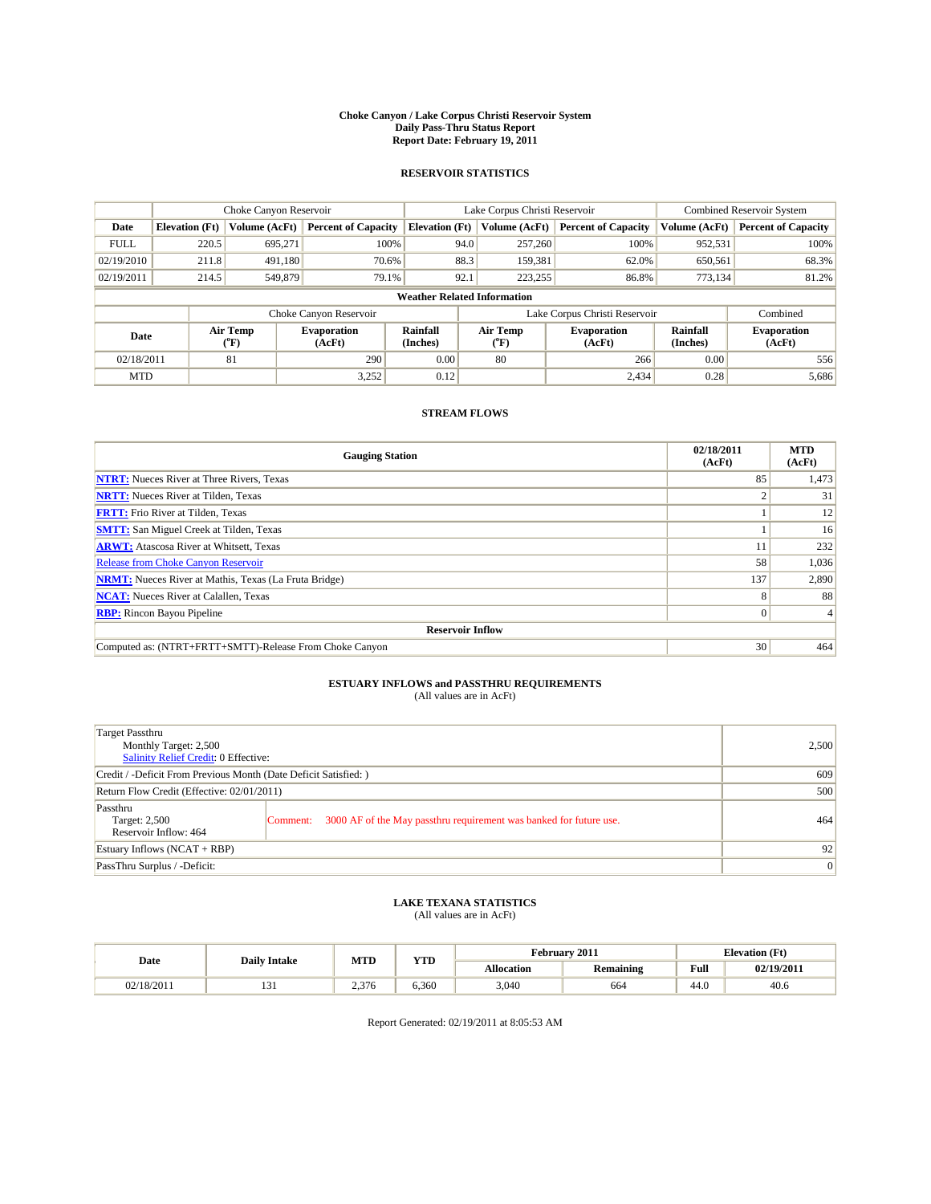#### **Choke Canyon / Lake Corpus Christi Reservoir System Daily Pass-Thru Status Report Report Date: February 19, 2011**

#### **RESERVOIR STATISTICS**

|             |                       | Choke Canyon Reservoir |                              |                                    | Lake Corpus Christi Reservoir                    | <b>Combined Reservoir System</b> |                      |                              |
|-------------|-----------------------|------------------------|------------------------------|------------------------------------|--------------------------------------------------|----------------------------------|----------------------|------------------------------|
| Date        | <b>Elevation</b> (Ft) | Volume (AcFt)          | <b>Percent of Capacity</b>   | <b>Elevation</b> (Ft)              | Volume (AcFt)                                    | <b>Percent of Capacity</b>       | Volume (AcFt)        | <b>Percent of Capacity</b>   |
| <b>FULL</b> | 220.5                 | 695,271                | 100%                         | 94.0                               | 257,260                                          | 100%                             | 952,531              | 100%                         |
| 02/19/2010  | 211.8                 | 491,180                | 70.6%                        | 88.3                               | 159,381                                          | 62.0%                            | 650,561              | 68.3%                        |
| 02/19/2011  | 214.5                 | 549,879                | 79.1%                        | 92.1                               | 223,255                                          | 86.8%                            | 773,134              | 81.2%                        |
|             |                       |                        |                              | <b>Weather Related Information</b> |                                                  |                                  |                      |                              |
|             |                       |                        | Choke Canyon Reservoir       |                                    |                                                  | Lake Corpus Christi Reservoir    |                      | Combined                     |
| Date        |                       | Air Temp<br>(°F)       | <b>Evaporation</b><br>(AcFt) | <b>Rainfall</b><br>(Inches)        | Air Temp<br><b>Evaporation</b><br>(AcFt)<br>(°F) |                                  | Rainfall<br>(Inches) | <b>Evaporation</b><br>(AcFt) |
| 02/18/2011  |                       | 81                     | 290                          | 0.00                               | 80                                               | 266                              | 0.00                 | 556                          |
| <b>MTD</b>  |                       |                        | 3,252                        | 0.12                               |                                                  | 2.434                            | 0.28                 | 5,686                        |

### **STREAM FLOWS**

| <b>Gauging Station</b>                                       | 02/18/2011<br>(AcFt) | <b>MTD</b><br>(AcFt) |  |  |  |  |
|--------------------------------------------------------------|----------------------|----------------------|--|--|--|--|
| <b>NTRT:</b> Nueces River at Three Rivers, Texas             | 85                   | 1,473                |  |  |  |  |
| <b>NRTT:</b> Nueces River at Tilden, Texas                   |                      | 31                   |  |  |  |  |
| <b>FRTT:</b> Frio River at Tilden, Texas                     |                      | 12                   |  |  |  |  |
| <b>SMTT:</b> San Miguel Creek at Tilden, Texas               |                      | 16                   |  |  |  |  |
| <b>ARWT:</b> Atascosa River at Whitsett, Texas               |                      | 232                  |  |  |  |  |
| <b>Release from Choke Canyon Reservoir</b>                   | 58                   | 1,036                |  |  |  |  |
| <b>NRMT:</b> Nueces River at Mathis, Texas (La Fruta Bridge) | 137                  | 2,890                |  |  |  |  |
| <b>NCAT:</b> Nueces River at Calallen, Texas                 | 8                    | 88                   |  |  |  |  |
| <b>RBP:</b> Rincon Bayou Pipeline                            | $\overline{0}$       | 4                    |  |  |  |  |
| <b>Reservoir Inflow</b>                                      |                      |                      |  |  |  |  |
| Computed as: (NTRT+FRTT+SMTT)-Release From Choke Canyon      | 30                   | 464                  |  |  |  |  |

# **ESTUARY INFLOWS and PASSTHRU REQUIREMENTS**<br>(All values are in AcFt)

| Target Passthru<br>Monthly Target: 2,500<br><b>Salinity Relief Credit: 0 Effective:</b> |                                                                                | 2,500           |
|-----------------------------------------------------------------------------------------|--------------------------------------------------------------------------------|-----------------|
| Credit / -Deficit From Previous Month (Date Deficit Satisfied: )                        |                                                                                | 609             |
| Return Flow Credit (Effective: 02/01/2011)                                              |                                                                                | 500             |
| Passthru<br>Target: 2,500<br>Reservoir Inflow: 464                                      | 3000 AF of the May passthru requirement was banked for future use.<br>Comment: | 464             |
| Estuary Inflows $(NCAT + RBP)$                                                          |                                                                                | 92              |
| PassThru Surplus / -Deficit:                                                            |                                                                                | $\vert 0 \vert$ |

## **LAKE TEXANA STATISTICS** (All values are in AcFt)

|            | <b>Daily Intake</b> | MTD   | VTD   |            | February 2011    | <b>Elevation</b> (Ft) |            |
|------------|---------------------|-------|-------|------------|------------------|-----------------------|------------|
| Date       |                     |       | 1 I.D | Allocation | <b>Remaining</b> |                       | 02/19/2011 |
| 02/18/2011 | $\sim$<br>1 J 1     | 2.376 | 6.360 | 3,040      | 664              | 44.0                  | 40.6       |

Report Generated: 02/19/2011 at 8:05:53 AM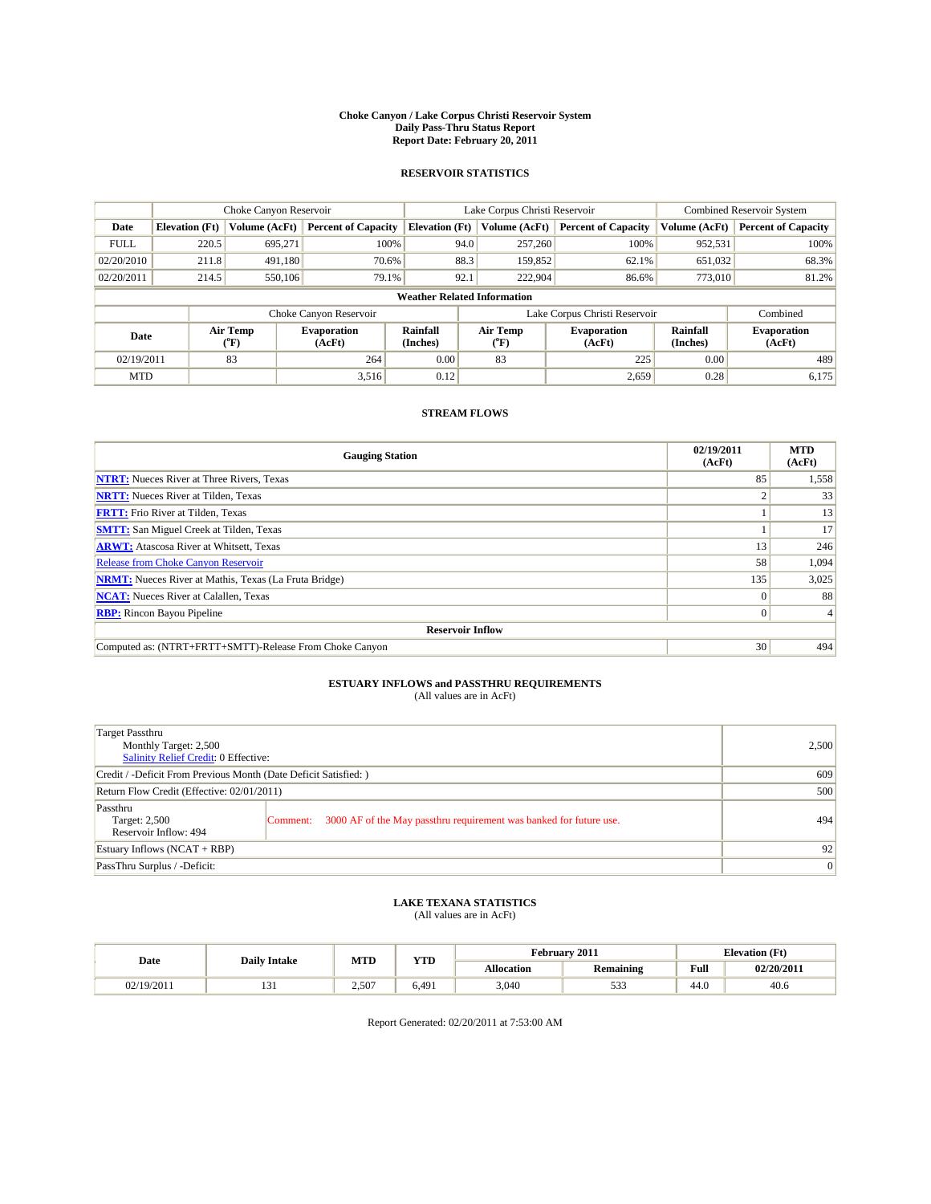#### **Choke Canyon / Lake Corpus Christi Reservoir System Daily Pass-Thru Status Report Report Date: February 20, 2011**

#### **RESERVOIR STATISTICS**

|             |                       | Choke Canyon Reservoir |                                                                          |                       | Lake Corpus Christi Reservoir      | <b>Combined Reservoir System</b> |                              |                            |
|-------------|-----------------------|------------------------|--------------------------------------------------------------------------|-----------------------|------------------------------------|----------------------------------|------------------------------|----------------------------|
| Date        | <b>Elevation</b> (Ft) | Volume (AcFt)          | <b>Percent of Capacity</b>                                               | <b>Elevation</b> (Ft) | Volume (AcFt)                      | <b>Percent of Capacity</b>       | Volume (AcFt)                | <b>Percent of Capacity</b> |
| <b>FULL</b> | 220.5                 | 695.271                | 100%                                                                     |                       | 94.0<br>257,260                    | 100%                             | 952,531                      | 100%                       |
| 02/20/2010  | 211.8                 | 491.180                | 70.6%                                                                    |                       | 88.3<br>159,852                    | 62.1%                            | 651,032                      | 68.3%                      |
| 02/20/2011  | 214.5                 | 550,106                | 79.1%                                                                    | 92.1                  | 222,904                            | 86.6%                            | 773,010                      | 81.2%                      |
|             |                       |                        |                                                                          |                       | <b>Weather Related Information</b> |                                  |                              |                            |
|             |                       |                        | Choke Canyon Reservoir                                                   |                       |                                    | Lake Corpus Christi Reservoir    |                              | Combined                   |
| Date        |                       | Air Temp<br>(°F)       | Air Temp<br>Rainfall<br><b>Evaporation</b><br>(Inches)<br>(AcFt)<br>("F) |                       | <b>Evaporation</b><br>(AcFt)       | Rainfall<br>(Inches)             | <b>Evaporation</b><br>(AcFt) |                            |
| 02/19/2011  |                       | 83                     | 264                                                                      | 0.00                  | 83                                 | 225                              | 0.00                         | 489                        |
| <b>MTD</b>  |                       |                        | 3,516                                                                    | 0.12                  |                                    | 2,659                            | 0.28                         | 6,175                      |

### **STREAM FLOWS**

| <b>Gauging Station</b>                                       | 02/19/2011<br>(AcFt) | <b>MTD</b><br>(AcFt) |  |  |  |  |
|--------------------------------------------------------------|----------------------|----------------------|--|--|--|--|
| <b>NTRT:</b> Nueces River at Three Rivers, Texas             | 85                   | 1,558                |  |  |  |  |
| <b>NRTT:</b> Nueces River at Tilden, Texas                   |                      | 33                   |  |  |  |  |
| <b>FRTT:</b> Frio River at Tilden, Texas                     |                      | 13                   |  |  |  |  |
| <b>SMTT:</b> San Miguel Creek at Tilden, Texas               |                      | 17                   |  |  |  |  |
| <b>ARWT:</b> Atascosa River at Whitsett, Texas               | 13                   | 246                  |  |  |  |  |
| <b>Release from Choke Canyon Reservoir</b>                   | 58                   | 1,094                |  |  |  |  |
| <b>NRMT:</b> Nueces River at Mathis, Texas (La Fruta Bridge) | 135                  | 3,025                |  |  |  |  |
| <b>NCAT:</b> Nueces River at Calallen, Texas                 |                      | 88                   |  |  |  |  |
| <b>RBP:</b> Rincon Bayou Pipeline                            | $\Omega$             |                      |  |  |  |  |
| <b>Reservoir Inflow</b>                                      |                      |                      |  |  |  |  |
| Computed as: (NTRT+FRTT+SMTT)-Release From Choke Canyon      | 30                   | 494                  |  |  |  |  |

# **ESTUARY INFLOWS and PASSTHRU REQUIREMENTS**<br>(All values are in AcFt)

| Target Passthru<br>Monthly Target: 2,500<br>Salinity Relief Credit: 0 Effective: |                                                                                | 2,500           |
|----------------------------------------------------------------------------------|--------------------------------------------------------------------------------|-----------------|
| Credit / -Deficit From Previous Month (Date Deficit Satisfied: )                 |                                                                                | 609             |
| Return Flow Credit (Effective: 02/01/2011)                                       |                                                                                | 500             |
| Passthru<br>Target: 2,500<br>Reservoir Inflow: 494                               | 3000 AF of the May passthru requirement was banked for future use.<br>Comment: | 494             |
| Estuary Inflows $(NCAT + RBP)$                                                   |                                                                                | 92              |
| PassThru Surplus / -Deficit:                                                     |                                                                                | $\vert 0 \vert$ |

# **LAKE TEXANA STATISTICS** (All values are in AcFt)

|            | <b>Daily Intake</b> | MTD   | <b>XZOD</b> |                   | February 2011               | <b>Elevation</b> (Ft) |            |
|------------|---------------------|-------|-------------|-------------------|-----------------------------|-----------------------|------------|
| Date       |                     |       | 1 I.D       | <b>Allocation</b> | Remaining                   |                       | 02/20/2011 |
| 02/19/2011 | 1 J 1               | 2.507 | 6.491       | 3.040             | $\sim$ $\sim$<br><u>JJJ</u> | 44.0                  | 40.6       |

Report Generated: 02/20/2011 at 7:53:00 AM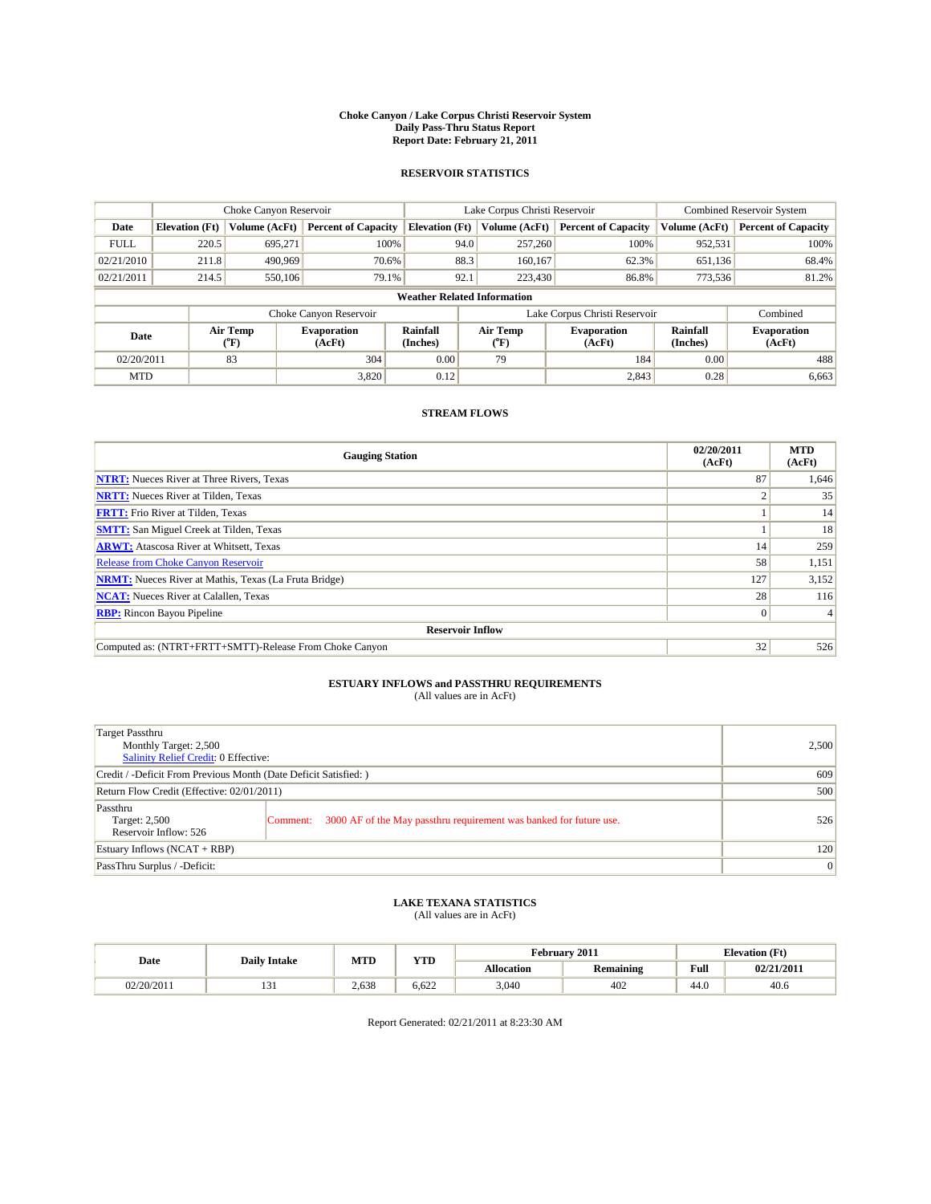#### **Choke Canyon / Lake Corpus Christi Reservoir System Daily Pass-Thru Status Report Report Date: February 21, 2011**

#### **RESERVOIR STATISTICS**

|                                                                                             |                                    | Choke Canyon Reservoir |                              |                       | Lake Corpus Christi Reservoir | <b>Combined Reservoir System</b> |               |                            |  |  |
|---------------------------------------------------------------------------------------------|------------------------------------|------------------------|------------------------------|-----------------------|-------------------------------|----------------------------------|---------------|----------------------------|--|--|
| Date                                                                                        | <b>Elevation</b> (Ft)              | Volume (AcFt)          | <b>Percent of Capacity</b>   | <b>Elevation (Ft)</b> | Volume (AcFt)                 | <b>Percent of Capacity</b>       | Volume (AcFt) | <b>Percent of Capacity</b> |  |  |
| <b>FULL</b>                                                                                 | 220.5                              | 695,271                | 100%                         |                       | 257,260<br>94.0               | 100%                             | 952,531       | 100%                       |  |  |
| 02/21/2010                                                                                  | 211.8                              | 490.969                | 70.6%                        |                       | 88.3<br>160,167               | 62.3%                            | 651,136       | 68.4%                      |  |  |
| 02/21/2011                                                                                  | 214.5                              | 550,106                | 79.1%                        | 92.1                  | 223,430                       | 86.8%                            | 773,536       | 81.2%                      |  |  |
|                                                                                             | <b>Weather Related Information</b> |                        |                              |                       |                               |                                  |               |                            |  |  |
|                                                                                             |                                    |                        | Choke Canyon Reservoir       |                       |                               | Lake Corpus Christi Reservoir    |               | Combined                   |  |  |
| Air Temp<br>Rainfall<br><b>Evaporation</b><br>Date<br>(AcFt)<br>(Inches)<br>${}^{\circ}$ F) |                                    | Air Temp<br>("F)       | <b>Evaporation</b><br>(AcFt) | Rainfall<br>(Inches)  | <b>Evaporation</b><br>(AcFt)  |                                  |               |                            |  |  |
| 02/20/2011                                                                                  |                                    | 83                     | 304                          | 0.00                  | 79                            | 184                              | 0.00          | 488                        |  |  |
| <b>MTD</b>                                                                                  |                                    |                        | 3,820                        | 0.12                  |                               | 2,843                            | 0.28          | 6,663                      |  |  |

### **STREAM FLOWS**

| <b>Gauging Station</b>                                       | 02/20/2011<br>(AcFt) | <b>MTD</b><br>(AcFt) |  |  |  |  |
|--------------------------------------------------------------|----------------------|----------------------|--|--|--|--|
| <b>NTRT:</b> Nueces River at Three Rivers, Texas             | 87                   | 1,646                |  |  |  |  |
| <b>NRTT:</b> Nueces River at Tilden, Texas                   |                      | 35                   |  |  |  |  |
| <b>FRTT:</b> Frio River at Tilden, Texas                     |                      | 14                   |  |  |  |  |
| <b>SMTT:</b> San Miguel Creek at Tilden, Texas               |                      | 18                   |  |  |  |  |
| <b>ARWT:</b> Atascosa River at Whitsett, Texas               | 14                   | 259                  |  |  |  |  |
| <b>Release from Choke Canyon Reservoir</b>                   | 58                   | 1,151                |  |  |  |  |
| <b>NRMT:</b> Nueces River at Mathis, Texas (La Fruta Bridge) | 127                  | 3,152                |  |  |  |  |
| <b>NCAT:</b> Nueces River at Calallen, Texas                 | 28                   | 116                  |  |  |  |  |
| <b>RBP:</b> Rincon Bayou Pipeline                            | $\overline{0}$       |                      |  |  |  |  |
| <b>Reservoir Inflow</b>                                      |                      |                      |  |  |  |  |
| Computed as: (NTRT+FRTT+SMTT)-Release From Choke Canyon      | 32                   | 526                  |  |  |  |  |

## **ESTUARY INFLOWS and PASSTHRU REQUIREMENTS**

| (All values are in AcFt) |  |  |
|--------------------------|--|--|
|--------------------------|--|--|

| <b>Target Passthru</b><br>Monthly Target: 2,500<br>Salinity Relief Credit: 0 Effective: |                                                                                | 2,500 |
|-----------------------------------------------------------------------------------------|--------------------------------------------------------------------------------|-------|
| Credit / -Deficit From Previous Month (Date Deficit Satisfied: )                        |                                                                                | 609   |
| Return Flow Credit (Effective: 02/01/2011)                                              |                                                                                | 500   |
| Passthru<br>Target: 2,500<br>Reservoir Inflow: 526                                      | 3000 AF of the May passthru requirement was banked for future use.<br>Comment: | 526   |
| Estuary Inflows $(NCAT + RBP)$                                                          |                                                                                | 120   |
| PassThru Surplus / -Deficit:                                                            |                                                                                | 0     |

## **LAKE TEXANA STATISTICS** (All values are in AcFt)

|            | <b>Daily Intake</b> | MTD   | VTT   | February 2011     |                  |                                         | <b>Elevation</b> (Ft) |
|------------|---------------------|-------|-------|-------------------|------------------|-----------------------------------------|-----------------------|
| Date       |                     |       | 1 I.D | <b>Allocation</b> | <b>Remaining</b> | Full<br>the contract of the contract of | 02/21/2011            |
| 02/20/2011 | $\sim$<br>1 J 1     | 2.638 | 6.622 | 3,040             | 402              | $\sim$<br>44.U                          | 40.6                  |

Report Generated: 02/21/2011 at 8:23:30 AM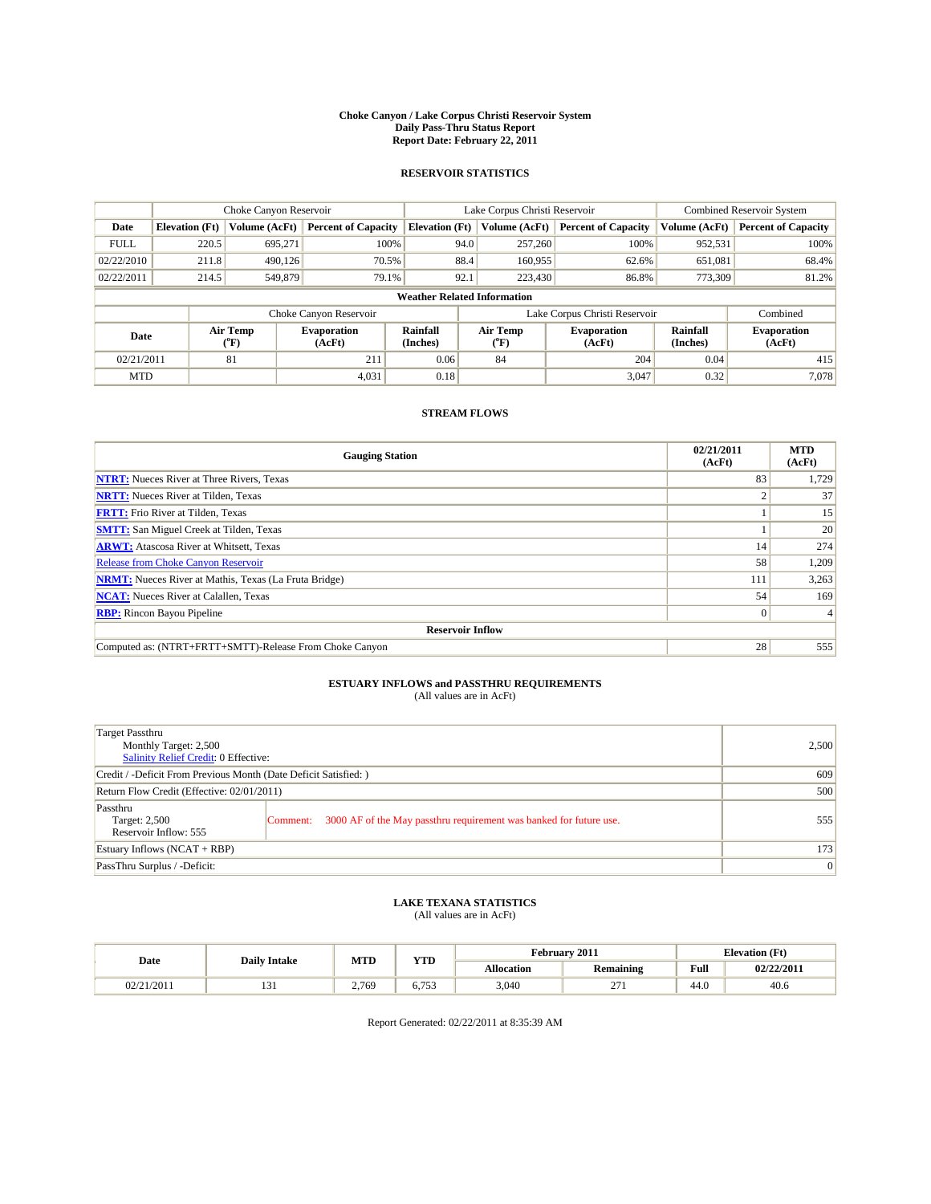#### **Choke Canyon / Lake Corpus Christi Reservoir System Daily Pass-Thru Status Report Report Date: February 22, 2011**

#### **RESERVOIR STATISTICS**

|             | Choke Canyon Reservoir |                          |                              |                       | Lake Corpus Christi Reservoir      |                                                      | <b>Combined Reservoir System</b> |                              |
|-------------|------------------------|--------------------------|------------------------------|-----------------------|------------------------------------|------------------------------------------------------|----------------------------------|------------------------------|
| Date        | <b>Elevation</b> (Ft)  | Volume (AcFt)            | <b>Percent of Capacity</b>   | <b>Elevation (Ft)</b> | Volume (AcFt)                      | <b>Percent of Capacity</b>                           | Volume (AcFt)                    | <b>Percent of Capacity</b>   |
| <b>FULL</b> | 220.5                  | 695,271                  | 100%                         |                       | 257,260<br>94.0                    | 100%                                                 | 952,531                          | 100%                         |
| 02/22/2010  | 211.8                  | 490.126                  | 70.5%                        |                       | 88.4<br>160,955                    | 62.6%                                                | 651,081                          | 68.4%                        |
| 02/22/2011  | 214.5                  | 549.879                  | 79.1%                        |                       | 92.1<br>223,430                    | 86.8%                                                | 773,309                          | 81.2%                        |
|             |                        |                          |                              |                       | <b>Weather Related Information</b> |                                                      |                                  |                              |
|             |                        |                          | Choke Canyon Reservoir       |                       | Lake Corpus Christi Reservoir      |                                                      |                                  | Combined                     |
| Date        |                        | Air Temp<br>$\rm ^{o}F)$ | <b>Evaporation</b><br>(AcFt) | Rainfall<br>(Inches)  | Air Temp<br>$\rm ^{o}F)$           | Rainfall<br><b>Evaporation</b><br>(Inches)<br>(AcFt) |                                  | <b>Evaporation</b><br>(AcFt) |
| 02/21/2011  |                        | 81                       | 211                          | 0.06                  | 84                                 | 204                                                  | 0.04                             | 415                          |
| <b>MTD</b>  |                        |                          | 4,031                        | 0.18                  |                                    | 3,047                                                | 0.32                             | 7,078                        |

### **STREAM FLOWS**

| <b>Gauging Station</b>                                       | 02/21/2011<br>(AcFt) | <b>MTD</b><br>(AcFt) |  |  |  |  |
|--------------------------------------------------------------|----------------------|----------------------|--|--|--|--|
| <b>NTRT:</b> Nueces River at Three Rivers, Texas             | 83                   | 1,729                |  |  |  |  |
| <b>NRTT:</b> Nueces River at Tilden, Texas                   |                      | 37                   |  |  |  |  |
| <b>FRTT:</b> Frio River at Tilden, Texas                     |                      | 15                   |  |  |  |  |
| <b>SMTT:</b> San Miguel Creek at Tilden, Texas               |                      | 20                   |  |  |  |  |
| <b>ARWT:</b> Atascosa River at Whitsett, Texas               | 14                   | 274                  |  |  |  |  |
| Release from Choke Canyon Reservoir                          | 58                   | 1,209                |  |  |  |  |
| <b>NRMT:</b> Nueces River at Mathis, Texas (La Fruta Bridge) | 111                  | 3,263                |  |  |  |  |
| <b>NCAT:</b> Nueces River at Calallen, Texas                 | 54                   | 169                  |  |  |  |  |
| <b>RBP:</b> Rincon Bayou Pipeline                            | $\overline{0}$       |                      |  |  |  |  |
| <b>Reservoir Inflow</b>                                      |                      |                      |  |  |  |  |
| Computed as: (NTRT+FRTT+SMTT)-Release From Choke Canyon      | 28                   | 555                  |  |  |  |  |

## **ESTUARY INFLOWS and PASSTHRU REQUIREMENTS**<br>(All values are in AcFt)

| <b>Target Passthru</b><br>Monthly Target: 2,500<br><b>Salinity Relief Credit: 0 Effective:</b> |                                                                                | 2,500           |
|------------------------------------------------------------------------------------------------|--------------------------------------------------------------------------------|-----------------|
| Credit / -Deficit From Previous Month (Date Deficit Satisfied: )                               |                                                                                | 609             |
| Return Flow Credit (Effective: 02/01/2011)                                                     |                                                                                | 500             |
| Passthru<br>Target: 2,500<br>Reservoir Inflow: 555                                             | 3000 AF of the May passthru requirement was banked for future use.<br>Comment: | 555             |
| Estuary Inflows $(NCAT + RBP)$                                                                 |                                                                                | 173             |
| PassThru Surplus / -Deficit:                                                                   |                                                                                | $\vert 0 \vert$ |

## **LAKE TEXANA STATISTICS** (All values are in AcFt)

|            | <b>Daily Intake</b> |       | MTD<br><b>XZOD</b> |                   | February 2011   | <b>Elevation</b> (Ft)                   |            |
|------------|---------------------|-------|--------------------|-------------------|-----------------|-----------------------------------------|------------|
| Date       |                     |       | 1 I.D              | <b>Allocation</b> | Remaining       | Full<br>the contract of the contract of | 02/22/2011 |
| 02/21/2011 | 1 J 1               | 2.769 | 752<br>U. 799      | 3.040             | $\sim$<br>$-11$ | 44.0                                    | 40.6       |

Report Generated: 02/22/2011 at 8:35:39 AM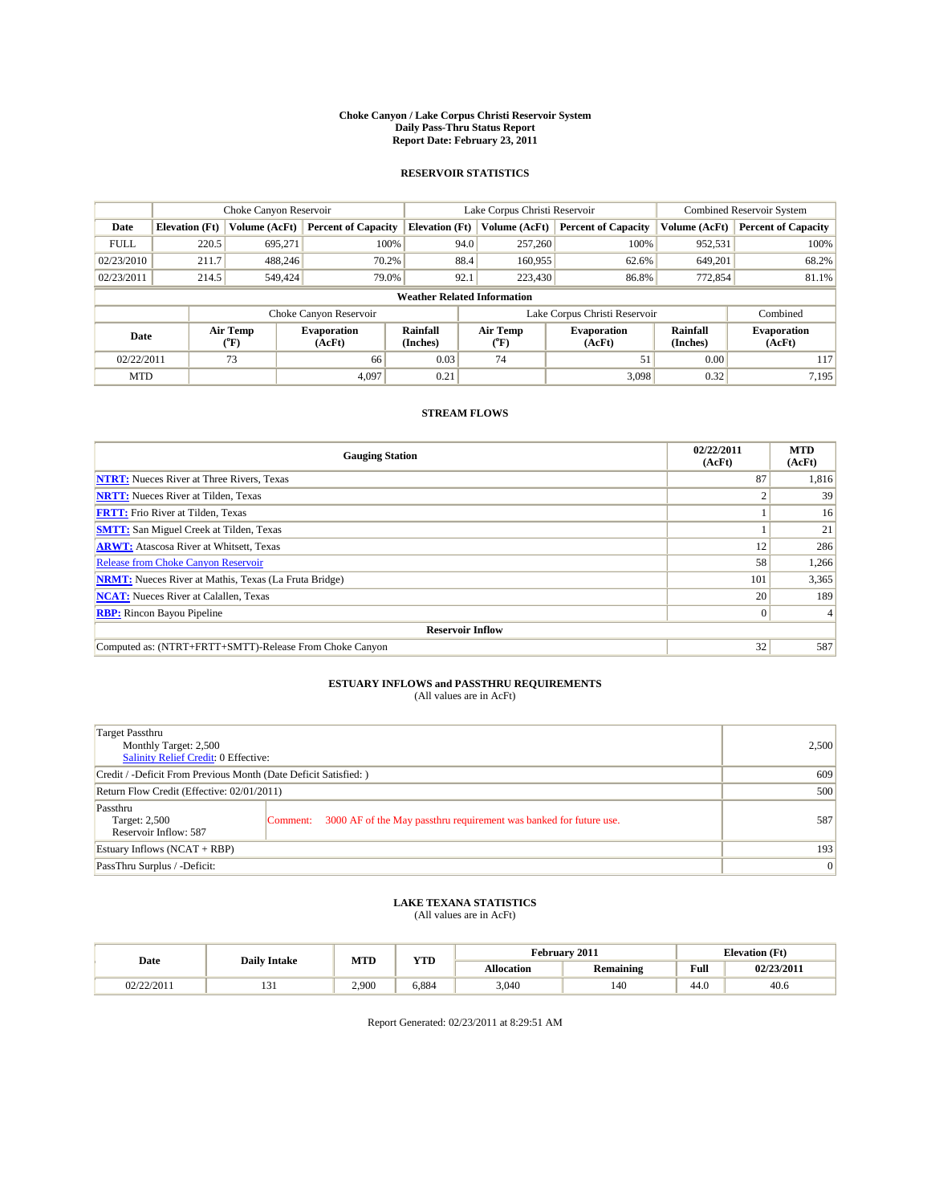#### **Choke Canyon / Lake Corpus Christi Reservoir System Daily Pass-Thru Status Report Report Date: February 23, 2011**

#### **RESERVOIR STATISTICS**

|             | Choke Canyon Reservoir |                  |                              |                       | Lake Corpus Christi Reservoir      | <b>Combined Reservoir System</b>                     |               |                              |
|-------------|------------------------|------------------|------------------------------|-----------------------|------------------------------------|------------------------------------------------------|---------------|------------------------------|
| Date        | <b>Elevation</b> (Ft)  | Volume (AcFt)    | <b>Percent of Capacity</b>   | <b>Elevation</b> (Ft) | Volume (AcFt)                      | <b>Percent of Capacity</b>                           | Volume (AcFt) | <b>Percent of Capacity</b>   |
| <b>FULL</b> | 220.5                  | 695,271          | 100%                         |                       | 94.0<br>257,260                    | 100%                                                 | 952,531       | 100%                         |
| 02/23/2010  | 211.7                  | 488.246          | 70.2%                        |                       | 88.4<br>160,955                    | 62.6%                                                | 649,201       | 68.2%                        |
| 02/23/2011  | 214.5                  | 549,424          | 79.0%                        | 92.1                  | 223,430                            | 86.8%                                                | 772,854       | 81.1%                        |
|             |                        |                  |                              |                       | <b>Weather Related Information</b> |                                                      |               |                              |
|             |                        |                  | Choke Canyon Reservoir       |                       |                                    | Lake Corpus Christi Reservoir                        |               | Combined                     |
| Date        |                        | Air Temp<br>(°F) | <b>Evaporation</b><br>(AcFt) | Rainfall<br>(Inches)  | Air Temp<br>("F)                   | Rainfall<br><b>Evaporation</b><br>(Inches)<br>(AcFt) |               | <b>Evaporation</b><br>(AcFt) |
| 02/22/2011  |                        | 73               | 66                           | 0.03                  | 74                                 | 51                                                   | 0.00          | 117                          |
| <b>MTD</b>  |                        |                  | 4.097                        | 0.21                  |                                    | 3.098                                                | 0.32          | 7.195                        |

### **STREAM FLOWS**

| <b>Gauging Station</b>                                       | 02/22/2011<br>(AcFt) | <b>MTD</b><br>(AcFt) |  |  |  |  |
|--------------------------------------------------------------|----------------------|----------------------|--|--|--|--|
| <b>NTRT:</b> Nueces River at Three Rivers, Texas             | 87                   | 1,816                |  |  |  |  |
| <b>NRTT:</b> Nueces River at Tilden, Texas                   |                      | 39                   |  |  |  |  |
| <b>FRTT:</b> Frio River at Tilden, Texas                     |                      | 16                   |  |  |  |  |
| <b>SMTT:</b> San Miguel Creek at Tilden, Texas               |                      | 21                   |  |  |  |  |
| <b>ARWT:</b> Atascosa River at Whitsett, Texas               | 12                   | 286                  |  |  |  |  |
| Release from Choke Canyon Reservoir                          | 58                   | 1,266                |  |  |  |  |
| <b>NRMT:</b> Nueces River at Mathis, Texas (La Fruta Bridge) | 101                  | 3,365                |  |  |  |  |
| <b>NCAT:</b> Nueces River at Calallen, Texas                 | 20                   | 189                  |  |  |  |  |
| <b>RBP:</b> Rincon Bayou Pipeline                            | $\overline{0}$       |                      |  |  |  |  |
| <b>Reservoir Inflow</b>                                      |                      |                      |  |  |  |  |
| Computed as: (NTRT+FRTT+SMTT)-Release From Choke Canyon      | 32                   | 587                  |  |  |  |  |

# **ESTUARY INFLOWS and PASSTHRU REQUIREMENTS**<br>(All values are in AcFt)

| Target Passthru<br>Monthly Target: 2,500<br>Salinity Relief Credit: 0 Effective: |                                                                                | 2,500 |
|----------------------------------------------------------------------------------|--------------------------------------------------------------------------------|-------|
| Credit / -Deficit From Previous Month (Date Deficit Satisfied: )                 |                                                                                | 609   |
| Return Flow Credit (Effective: 02/01/2011)                                       |                                                                                | 500   |
| Passthru<br>Target: 2,500<br>Reservoir Inflow: 587                               | 3000 AF of the May passthru requirement was banked for future use.<br>Comment: | 587   |
| Estuary Inflows (NCAT + RBP)                                                     |                                                                                | 193   |
| PassThru Surplus / -Deficit:                                                     |                                                                                | 0     |

## **LAKE TEXANA STATISTICS** (All values are in AcFt)

|            | <b>Daily Intake</b> |       | MTD<br><b>XZOD</b> | February 2011     |           | <b>Elevation</b> (Ft)                   |            |
|------------|---------------------|-------|--------------------|-------------------|-----------|-----------------------------------------|------------|
| Date       |                     |       | 1 I.D              | <b>Allocation</b> | Remaining | Full<br>the contract of the contract of | 02/23/2011 |
| 02/22/2011 | .                   | 2.900 | 5.884              | 3.040             | 140       | 44.0                                    | 40.6       |

Report Generated: 02/23/2011 at 8:29:51 AM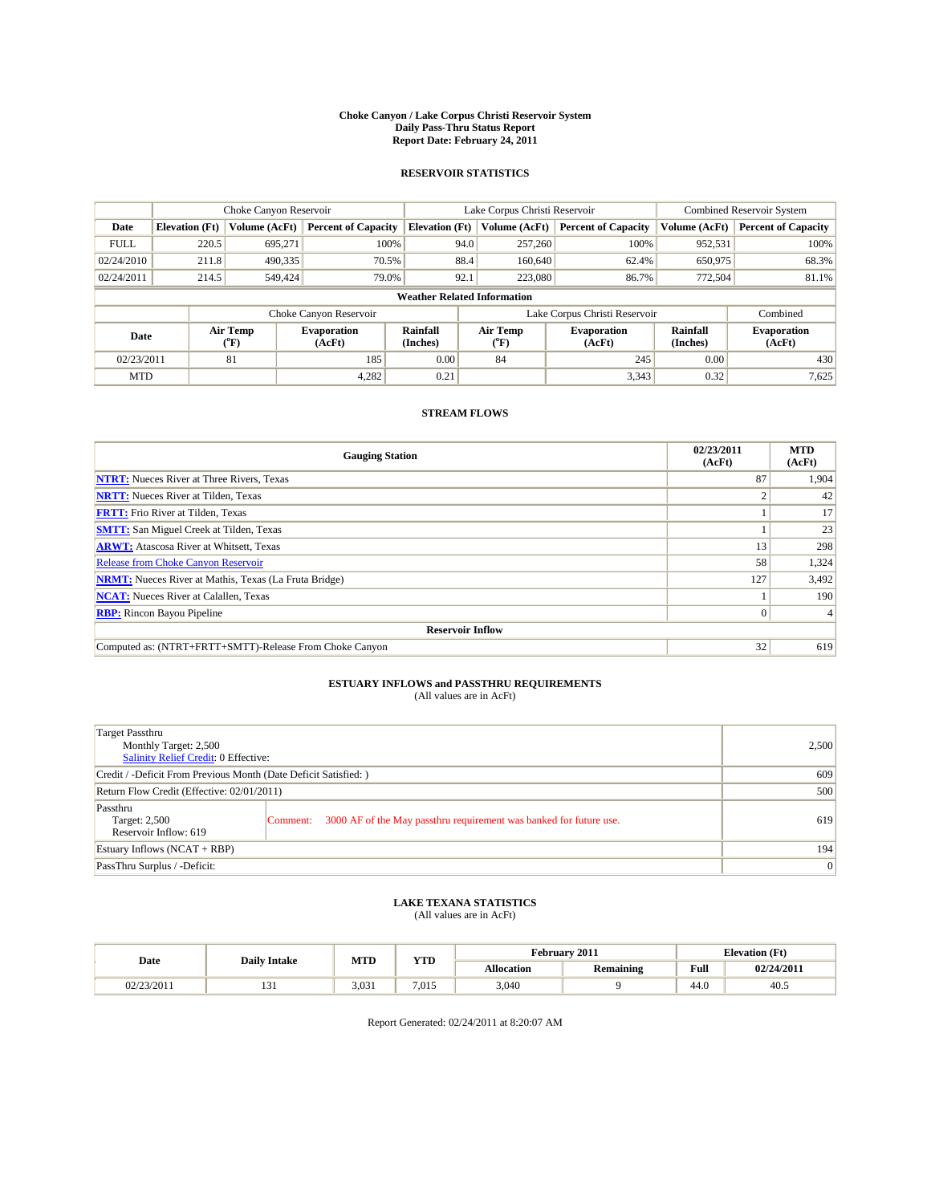#### **Choke Canyon / Lake Corpus Christi Reservoir System Daily Pass-Thru Status Report Report Date: February 24, 2011**

#### **RESERVOIR STATISTICS**

|             | Choke Canyon Reservoir |                  |                              |                                    | Lake Corpus Christi Reservoir | <b>Combined Reservoir System</b>                     |               |                              |
|-------------|------------------------|------------------|------------------------------|------------------------------------|-------------------------------|------------------------------------------------------|---------------|------------------------------|
| Date        | <b>Elevation</b> (Ft)  | Volume (AcFt)    | <b>Percent of Capacity</b>   | <b>Elevation</b> (Ft)              | Volume (AcFt)                 | <b>Percent of Capacity</b>                           | Volume (AcFt) | <b>Percent of Capacity</b>   |
| <b>FULL</b> | 220.5                  | 695,271          | 100%                         | 94.0                               | 257,260                       | 100%                                                 | 952,531       | 100%                         |
| 02/24/2010  | 211.8                  | 490,335          | 70.5%                        | 88.4                               | 160,640                       | 62.4%                                                | 650,975       | 68.3%                        |
| 02/24/2011  | 214.5                  | 549,424          | 79.0%                        | 92.1                               | 223,080                       | 86.7%                                                | 772,504       | 81.1%                        |
|             |                        |                  |                              | <b>Weather Related Information</b> |                               |                                                      |               |                              |
|             |                        |                  | Choke Canyon Reservoir       |                                    |                               | Lake Corpus Christi Reservoir                        |               | Combined                     |
| Date        |                        | Air Temp<br>(°F) | <b>Evaporation</b><br>(AcFt) | Rainfall<br>(Inches)               | Air Temp<br>("F)              | Rainfall<br><b>Evaporation</b><br>(Inches)<br>(AcFt) |               | <b>Evaporation</b><br>(AcFt) |
| 02/23/2011  |                        | 81               | 185                          | 0.00                               | 84                            | 245                                                  | 0.00          | 430                          |
| <b>MTD</b>  |                        |                  | 4,282                        | 0.21                               |                               | 3,343                                                | 0.32          | 7,625                        |

### **STREAM FLOWS**

| <b>Gauging Station</b>                                       | 02/23/2011<br>(AcFt) | <b>MTD</b><br>(AcFt) |  |  |  |  |
|--------------------------------------------------------------|----------------------|----------------------|--|--|--|--|
| <b>NTRT:</b> Nueces River at Three Rivers, Texas             | 87                   | 1,904                |  |  |  |  |
| <b>NRTT:</b> Nueces River at Tilden, Texas                   |                      | 42                   |  |  |  |  |
| <b>FRTT:</b> Frio River at Tilden, Texas                     |                      | 17                   |  |  |  |  |
| <b>SMTT:</b> San Miguel Creek at Tilden, Texas               |                      | 23                   |  |  |  |  |
| <b>ARWT:</b> Atascosa River at Whitsett, Texas               | 13                   | 298                  |  |  |  |  |
| <b>Release from Choke Canyon Reservoir</b>                   | 58                   | 1,324                |  |  |  |  |
| <b>NRMT:</b> Nueces River at Mathis, Texas (La Fruta Bridge) | 127                  | 3,492                |  |  |  |  |
| <b>NCAT:</b> Nueces River at Calallen, Texas                 |                      | 190                  |  |  |  |  |
| <b>RBP:</b> Rincon Bayou Pipeline                            | $\overline{0}$       |                      |  |  |  |  |
| <b>Reservoir Inflow</b>                                      |                      |                      |  |  |  |  |
| Computed as: (NTRT+FRTT+SMTT)-Release From Choke Canyon      | 32                   | 619                  |  |  |  |  |

## **ESTUARY INFLOWS and PASSTHRU REQUIREMENTS**<br>(All values are in AcFt)

| Target Passthru<br>Monthly Target: 2,500<br>Salinity Relief Credit: 0 Effective: |                                                                                | 2,500           |
|----------------------------------------------------------------------------------|--------------------------------------------------------------------------------|-----------------|
| Credit / -Deficit From Previous Month (Date Deficit Satisfied: )                 |                                                                                | 609             |
| Return Flow Credit (Effective: 02/01/2011)                                       |                                                                                | 500             |
| Passthru<br>Target: 2,500<br>Reservoir Inflow: 619                               | 3000 AF of the May passthru requirement was banked for future use.<br>Comment: | 619             |
| Estuary Inflows $(NCAT + RBP)$                                                   |                                                                                | 194             |
| PassThru Surplus / -Deficit:                                                     |                                                                                | $\vert 0 \vert$ |

## **LAKE TEXANA STATISTICS** (All values are in AcFt)

| Date       | <b>Daily Intake</b> | MTD   | VTT   | February 2011 |                  |                                         | <b>Elevation</b> (Ft) |  |
|------------|---------------------|-------|-------|---------------|------------------|-----------------------------------------|-----------------------|--|
|            |                     |       | 1 I.D | Allocation    | <b>Remaining</b> | Full<br>the contract of the contract of | 02/24/2011            |  |
| 02/23/2011 | $\sim$<br>1 J 1     | 3.031 | 7.015 | 3,040         |                  | $\sim$<br>44.U                          | 40.5                  |  |

Report Generated: 02/24/2011 at 8:20:07 AM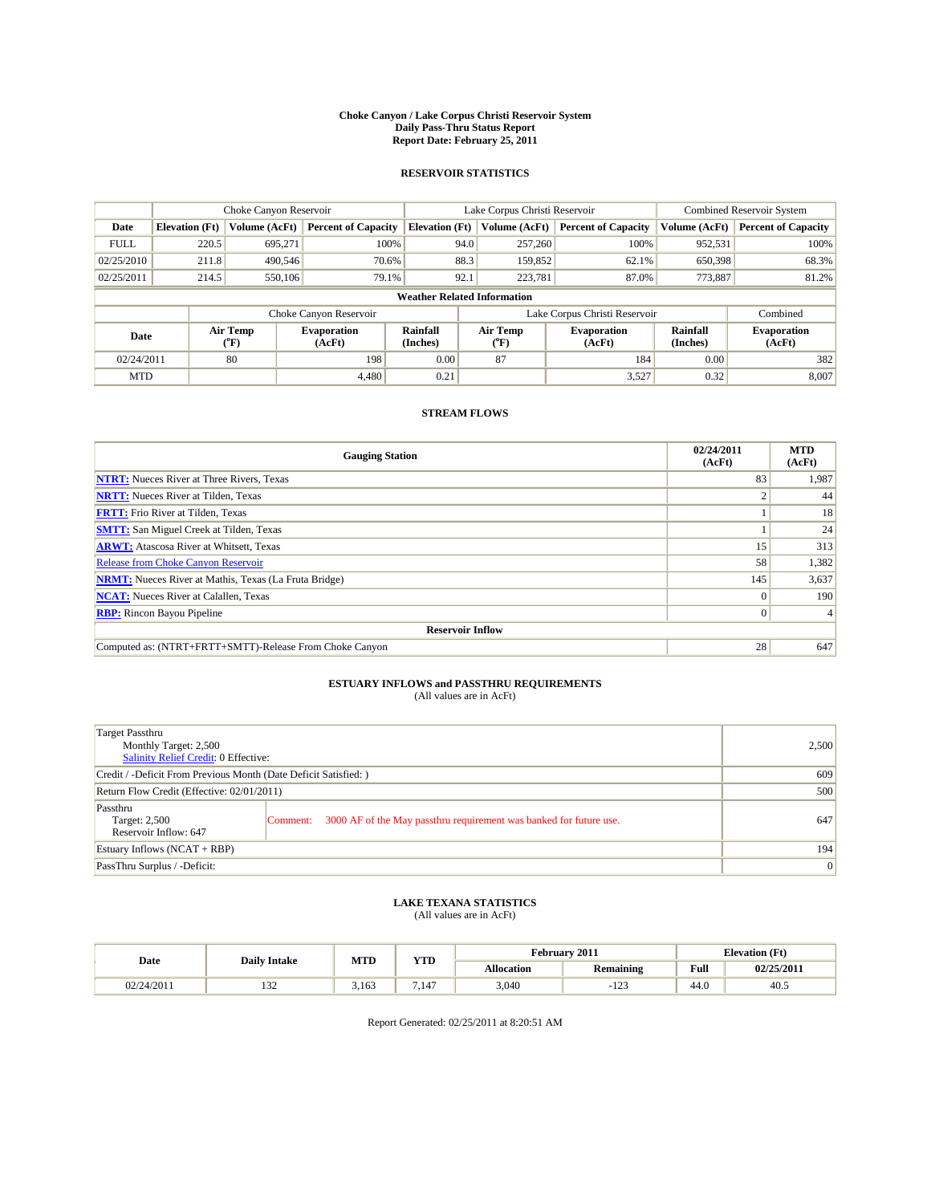#### **Choke Canyon / Lake Corpus Christi Reservoir System Daily Pass-Thru Status Report Report Date: February 25, 2011**

#### **RESERVOIR STATISTICS**

|             | Choke Canyon Reservoir |                  |                              |                                    | Lake Corpus Christi Reservoir | <b>Combined Reservoir System</b> |                      |                              |
|-------------|------------------------|------------------|------------------------------|------------------------------------|-------------------------------|----------------------------------|----------------------|------------------------------|
| Date        | <b>Elevation</b> (Ft)  | Volume (AcFt)    | <b>Percent of Capacity</b>   | <b>Elevation</b> (Ft)              | Volume (AcFt)                 | <b>Percent of Capacity</b>       | Volume (AcFt)        | <b>Percent of Capacity</b>   |
| <b>FULL</b> | 220.5                  | 695,271          | 100%                         | 94.0                               | 257,260                       | 100%                             | 952,531              | 100%                         |
| 02/25/2010  | 211.8                  | 490,546          | 70.6%                        | 88.3                               | 159,852                       | 62.1%                            | 650,398              | 68.3%                        |
| 02/25/2011  | 214.5                  | 550,106          | 79.1%                        | 92.1                               | 223,781                       | 87.0%                            | 773,887              | 81.2%                        |
|             |                        |                  |                              | <b>Weather Related Information</b> |                               |                                  |                      |                              |
|             |                        |                  | Choke Canyon Reservoir       |                                    | Lake Corpus Christi Reservoir |                                  |                      | Combined                     |
| Date        |                        | Air Temp<br>(°F) | <b>Evaporation</b><br>(AcFt) | Rainfall<br>(Inches)               | Air Temp<br>("F)              | <b>Evaporation</b><br>(AcFt)     | Rainfall<br>(Inches) | <b>Evaporation</b><br>(AcFt) |
| 02/24/2011  |                        | 80               | 198                          | 0.00                               | 87                            | 184                              | 0.00                 | 382                          |
| <b>MTD</b>  |                        |                  | 4.480                        | 0.21                               |                               | 3,527                            | 0.32                 | 8,007                        |

### **STREAM FLOWS**

| <b>Gauging Station</b>                                       | 02/24/2011<br>(AcFt) | <b>MTD</b><br>(AcFt) |
|--------------------------------------------------------------|----------------------|----------------------|
| <b>NTRT:</b> Nueces River at Three Rivers, Texas             | 83                   | 1,987                |
| <b>NRTT:</b> Nueces River at Tilden, Texas                   |                      | 44                   |
| <b>FRTT:</b> Frio River at Tilden, Texas                     |                      | 18                   |
| <b>SMTT:</b> San Miguel Creek at Tilden, Texas               |                      | 24                   |
| <b>ARWT:</b> Atascosa River at Whitsett, Texas               | 15                   | 313                  |
| <b>Release from Choke Canyon Reservoir</b>                   | 58                   | 1,382                |
| <b>NRMT:</b> Nueces River at Mathis, Texas (La Fruta Bridge) | 145                  | 3,637                |
| <b>NCAT:</b> Nueces River at Calallen, Texas                 | $\Omega$             | 190                  |
| <b>RBP:</b> Rincon Bayou Pipeline                            | $\overline{0}$       |                      |
| <b>Reservoir Inflow</b>                                      |                      |                      |
| Computed as: (NTRT+FRTT+SMTT)-Release From Choke Canyon      | 28                   | 647                  |

## **ESTUARY INFLOWS and PASSTHRU REQUIREMENTS**

| (All values are in AcFt) |  |
|--------------------------|--|
|--------------------------|--|

| <b>Target Passthru</b><br>Monthly Target: 2,500<br>Salinity Relief Credit: 0 Effective: |                                                                                |                 |  |  |  |
|-----------------------------------------------------------------------------------------|--------------------------------------------------------------------------------|-----------------|--|--|--|
| Credit / -Deficit From Previous Month (Date Deficit Satisfied: )                        |                                                                                |                 |  |  |  |
| Return Flow Credit (Effective: 02/01/2011)                                              |                                                                                |                 |  |  |  |
| Passthru<br>Target: 2,500<br>Reservoir Inflow: 647                                      | 3000 AF of the May passthru requirement was banked for future use.<br>Comment: | 647             |  |  |  |
| Estuary Inflows (NCAT + RBP)                                                            | 194                                                                            |                 |  |  |  |
| PassThru Surplus / -Deficit:                                                            |                                                                                | $\vert 0 \vert$ |  |  |  |

## **LAKE TEXANA STATISTICS** (All values are in AcFt)

| Date       | <b>Daily Intake</b> | MTD   | VTT   | February 2011 |                  |                                         | <b>Elevation</b> (Ft) |  |
|------------|---------------------|-------|-------|---------------|------------------|-----------------------------------------|-----------------------|--|
|            |                     |       | 1 I.D | Allocation    | <b>Remaining</b> | Full<br>the contract of the contract of | 02/25/2011            |  |
| 02/24/2011 | $\sim$<br>1 J 4     | 3.163 | .147  | 3,040         | $\sim$<br>ل که ۱ | $\sim$<br>44.U                          | 40.5                  |  |

Report Generated: 02/25/2011 at 8:20:51 AM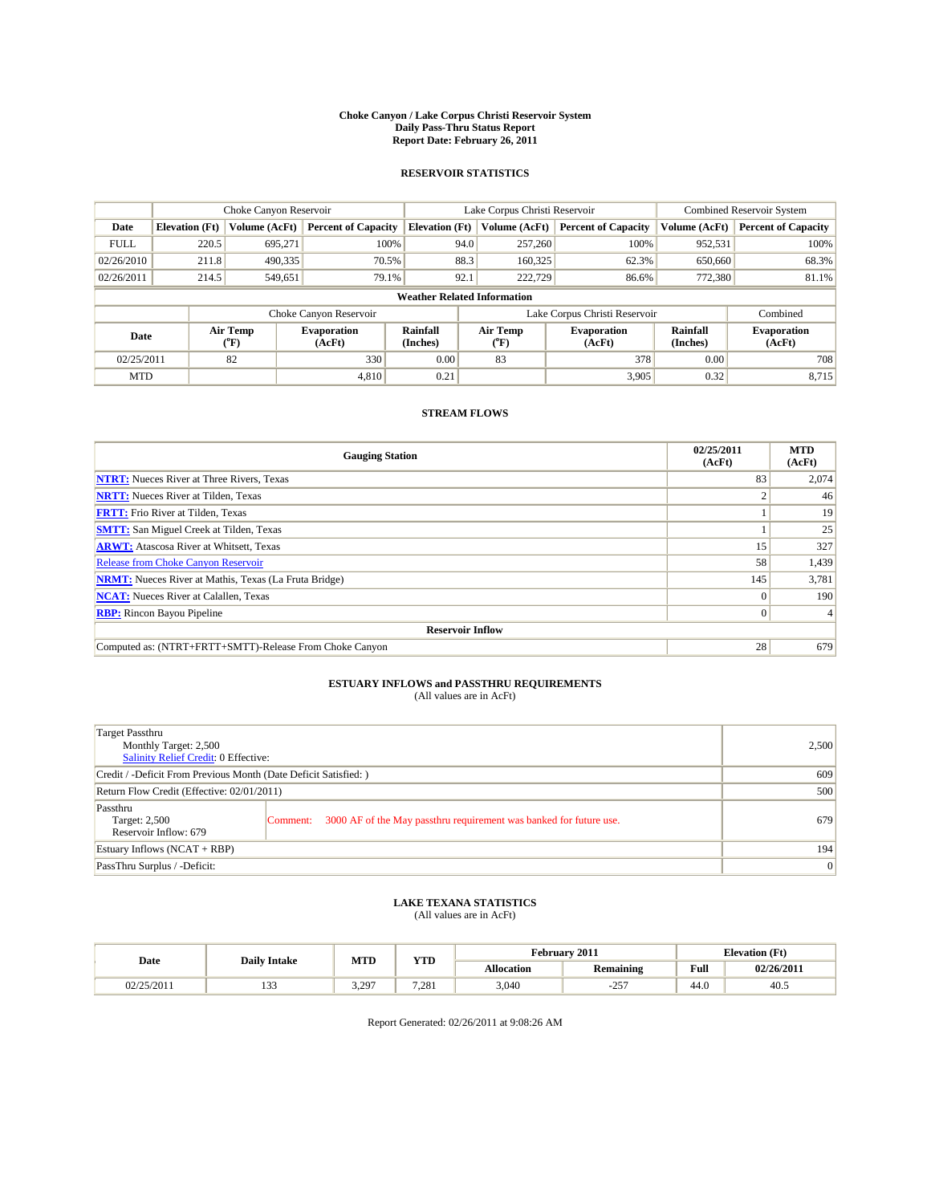#### **Choke Canyon / Lake Corpus Christi Reservoir System Daily Pass-Thru Status Report Report Date: February 26, 2011**

#### **RESERVOIR STATISTICS**

|             | Choke Canyon Reservoir             |                             |                              |                             | Lake Corpus Christi Reservoir |               |                              |                      | <b>Combined Reservoir System</b> |  |  |
|-------------|------------------------------------|-----------------------------|------------------------------|-----------------------------|-------------------------------|---------------|------------------------------|----------------------|----------------------------------|--|--|
| Date        | <b>Elevation</b> (Ft)              | Volume (AcFt)               | <b>Percent of Capacity</b>   | <b>Elevation</b> (Ft)       |                               | Volume (AcFt) | <b>Percent of Capacity</b>   | Volume (AcFt)        | <b>Percent of Capacity</b>       |  |  |
| <b>FULL</b> | 220.5                              | 695,271                     | 100%                         |                             | 94.0                          | 257,260       | 100%                         | 952,531              | 100%                             |  |  |
| 02/26/2010  | 211.8                              | 490,335                     | 70.5%                        |                             | 88.3                          | 160,325       | 62.3%                        | 650,660              | 68.3%                            |  |  |
| 02/26/2011  | 214.5                              | 549,651                     | 79.1%                        |                             | 92.1                          | 222,729       | 86.6%                        | 772,380              | 81.1%                            |  |  |
|             | <b>Weather Related Information</b> |                             |                              |                             |                               |               |                              |                      |                                  |  |  |
|             |                                    |                             | Choke Canyon Reservoir       |                             | Lake Corpus Christi Reservoir |               |                              |                      | Combined                         |  |  |
| Date        |                                    | Air Temp<br>${}^{\circ}$ F) | <b>Evaporation</b><br>(AcFt) | <b>Rainfall</b><br>(Inches) | Air Temp<br>(°F)              |               | <b>Evaporation</b><br>(AcFt) | Rainfall<br>(Inches) | <b>Evaporation</b><br>(AcFt)     |  |  |
| 02/25/2011  |                                    | 82                          | 330                          | 0.00                        | 83                            |               | 378                          | 0.00                 | 708                              |  |  |
| <b>MTD</b>  |                                    |                             | 4.810                        | 0.21                        |                               |               | 3,905                        | 0.32                 | 8,715                            |  |  |

### **STREAM FLOWS**

| <b>Gauging Station</b>                                       | 02/25/2011<br>(AcFt) | <b>MTD</b><br>(AcFt) |
|--------------------------------------------------------------|----------------------|----------------------|
| <b>NTRT:</b> Nueces River at Three Rivers, Texas             | 83                   | 2,074                |
| <b>NRTT:</b> Nueces River at Tilden, Texas                   |                      | 46                   |
| <b>FRTT:</b> Frio River at Tilden, Texas                     |                      | 19                   |
| <b>SMTT:</b> San Miguel Creek at Tilden, Texas               |                      | 25                   |
| <b>ARWT:</b> Atascosa River at Whitsett, Texas               | 15                   | 327                  |
| <b>Release from Choke Canyon Reservoir</b>                   | 58                   | 1,439                |
| <b>NRMT:</b> Nueces River at Mathis, Texas (La Fruta Bridge) | 145                  | 3,781                |
| <b>NCAT:</b> Nueces River at Calallen, Texas                 | $\Omega$             | 190                  |
| <b>RBP:</b> Rincon Bayou Pipeline                            | $\overline{0}$       |                      |
| <b>Reservoir Inflow</b>                                      |                      |                      |
| Computed as: (NTRT+FRTT+SMTT)-Release From Choke Canyon      | 28                   | 679                  |

# **ESTUARY INFLOWS and PASSTHRU REQUIREMENTS**<br>(All values are in AcFt)

| Target Passthru<br>Monthly Target: 2,500<br>Salinity Relief Credit: 0 Effective: | 2,500                                                                          |     |  |  |  |
|----------------------------------------------------------------------------------|--------------------------------------------------------------------------------|-----|--|--|--|
| Credit / -Deficit From Previous Month (Date Deficit Satisfied: )                 |                                                                                |     |  |  |  |
| Return Flow Credit (Effective: 02/01/2011)                                       |                                                                                |     |  |  |  |
| Passthru<br>Target: 2,500<br>Reservoir Inflow: 679                               | 3000 AF of the May passthru requirement was banked for future use.<br>Comment: | 679 |  |  |  |
| Estuary Inflows (NCAT + RBP)                                                     | 194                                                                            |     |  |  |  |
| PassThru Surplus / -Deficit:                                                     |                                                                                | 0   |  |  |  |

# **LAKE TEXANA STATISTICS** (All values are in AcFt)

|            | <b>Daily Intake</b> | <b>MTD</b> | <b>YTD</b> | February 2011     |                  |      | <b>Elevation</b> (Ft) |
|------------|---------------------|------------|------------|-------------------|------------------|------|-----------------------|
| Date       |                     |            |            | <b>Allocation</b> | <b>Remaining</b> | Full | 02/26/2011            |
| 02/25/2011 | $\sim$<br>ر ر د     | 3.297<br>. | 7.281      | 3,040             | 257<br>-25.      | 44.0 | 40.5                  |

Report Generated: 02/26/2011 at 9:08:26 AM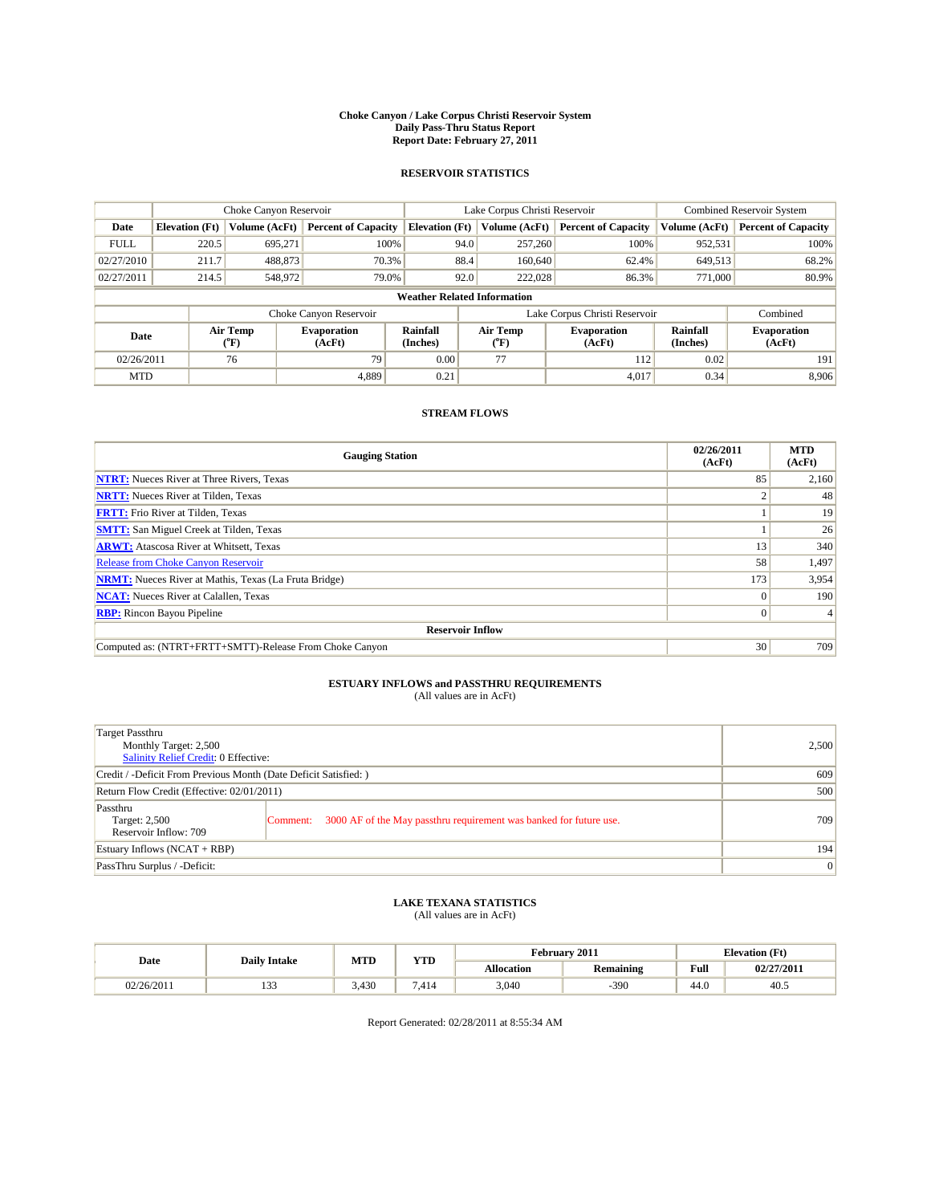#### **Choke Canyon / Lake Corpus Christi Reservoir System Daily Pass-Thru Status Report Report Date: February 27, 2011**

#### **RESERVOIR STATISTICS**

|             | Choke Canyon Reservoir |                  |                              |                                    | Lake Corpus Christi Reservoir |         |                              |                      | <b>Combined Reservoir System</b> |  |  |
|-------------|------------------------|------------------|------------------------------|------------------------------------|-------------------------------|---------|------------------------------|----------------------|----------------------------------|--|--|
| Date        | <b>Elevation</b> (Ft)  | Volume (AcFt)    | <b>Percent of Capacity</b>   | <b>Elevation</b> (Ft)              | Volume (AcFt)                 |         | <b>Percent of Capacity</b>   | Volume (AcFt)        | <b>Percent of Capacity</b>       |  |  |
| <b>FULL</b> | 220.5                  | 695,271          | 100%                         |                                    | 94.0                          | 257,260 | 100%                         | 952,531              | 100%                             |  |  |
| 02/27/2010  | 211.7                  | 488,873          | 70.3%                        |                                    | 88.4                          | 160,640 | 62.4%                        | 649,513              | 68.2%                            |  |  |
| 02/27/2011  | 214.5                  | 548,972          | 79.0%                        |                                    | 92.0                          | 222,028 | 86.3%                        | 771,000              | 80.9%                            |  |  |
|             |                        |                  |                              | <b>Weather Related Information</b> |                               |         |                              |                      |                                  |  |  |
|             |                        |                  | Choke Canyon Reservoir       |                                    | Lake Corpus Christi Reservoir |         |                              |                      | Combined                         |  |  |
| Date        |                        | Air Temp<br>(°F) | <b>Evaporation</b><br>(AcFt) | Rainfall<br>(Inches)               | Air Temp<br>("F)              |         | <b>Evaporation</b><br>(AcFt) | Rainfall<br>(Inches) | <b>Evaporation</b><br>(AcFt)     |  |  |
| 02/26/2011  |                        | 76               | 79                           | 0.00                               | 77                            |         | 112                          | 0.02                 | 191                              |  |  |
| <b>MTD</b>  |                        |                  | 4.889                        | 0.21                               |                               |         | 4.017                        | 0.34                 | 8.906                            |  |  |

### **STREAM FLOWS**

| <b>Gauging Station</b>                                       | 02/26/2011<br>(AcFt) | <b>MTD</b><br>(AcFt) |
|--------------------------------------------------------------|----------------------|----------------------|
| <b>NTRT:</b> Nueces River at Three Rivers, Texas             | 85                   | 2,160                |
| <b>NRTT:</b> Nueces River at Tilden, Texas                   |                      | 48                   |
| <b>FRTT:</b> Frio River at Tilden, Texas                     |                      | 19                   |
| <b>SMTT:</b> San Miguel Creek at Tilden, Texas               |                      | 26                   |
| <b>ARWT:</b> Atascosa River at Whitsett, Texas               | 13                   | 340                  |
| <b>Release from Choke Canyon Reservoir</b>                   | 58                   | 1,497                |
| <b>NRMT:</b> Nueces River at Mathis, Texas (La Fruta Bridge) | 173                  | 3,954                |
| <b>NCAT:</b> Nueces River at Calallen, Texas                 | $\Omega$             | 190                  |
| <b>RBP:</b> Rincon Bayou Pipeline                            | $\overline{0}$       |                      |
| <b>Reservoir Inflow</b>                                      |                      |                      |
| Computed as: (NTRT+FRTT+SMTT)-Release From Choke Canyon      | 30                   | 709                  |

# **ESTUARY INFLOWS and PASSTHRU REQUIREMENTS**<br>(All values are in AcFt)

| Target Passthru<br>Monthly Target: 2,500<br>Salinity Relief Credit: 0 Effective: | 2,500                                                                          |     |
|----------------------------------------------------------------------------------|--------------------------------------------------------------------------------|-----|
| Credit / -Deficit From Previous Month (Date Deficit Satisfied: )                 |                                                                                | 609 |
| Return Flow Credit (Effective: 02/01/2011)                                       |                                                                                | 500 |
| Passthru<br>Target: 2,500<br>Reservoir Inflow: 709                               | 3000 AF of the May passthru requirement was banked for future use.<br>Comment: | 709 |
| Estuary Inflows (NCAT + RBP)                                                     |                                                                                | 194 |
| PassThru Surplus / -Deficit:                                                     | 0                                                                              |     |

## **LAKE TEXANA STATISTICS** (All values are in AcFt)

| Date       | <b>Daily Intake</b> | MTD   | <b>WITH</b><br>1 I.D | February 2011     |           | <b>Elevation</b> (Ft)                   |            |
|------------|---------------------|-------|----------------------|-------------------|-----------|-----------------------------------------|------------|
|            |                     |       |                      | <b>Allocation</b> | Remaining | Full<br>the contract of the contract of | 02/27/2011 |
| 02/26/2011 | .                   | 3.430 | '.414                | 3,040             | $-390$    | 44.0                                    | 40.5       |

Report Generated: 02/28/2011 at 8:55:34 AM